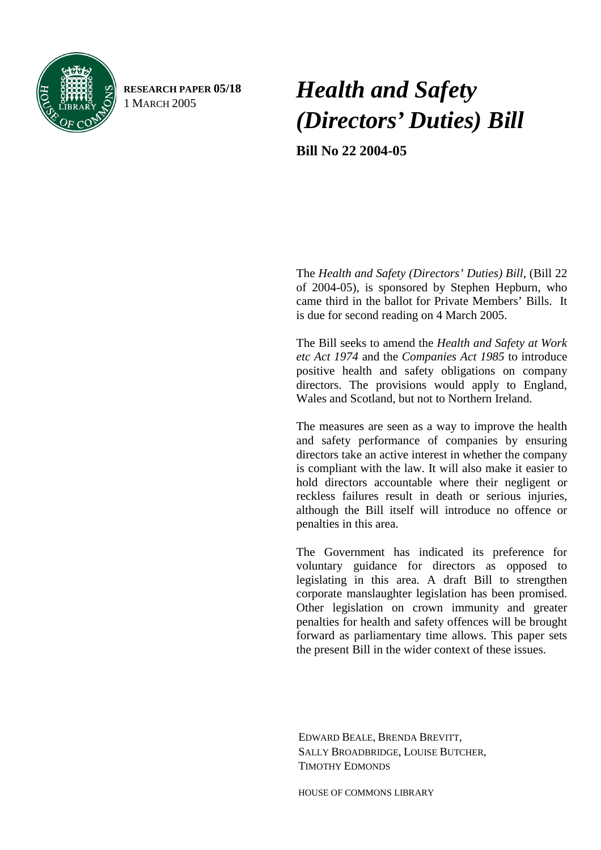

**RESEARCH PAPER 05/18** 

# <sup>1</sup> MARCH 2005 *Health and Safety (Directors' Duties) Bill*

**Bill No 22 2004-05** 

 The *Health and Safety (Directors' Duties) Bill,* (Bill 22 of 2004-05), is sponsored by Stephen Hepburn, who came third in the ballot for Private Members' Bills. It is due for second reading on 4 March 2005.

The Bill seeks to amend the *Health and Safety at Work etc Act 1974* and the *Companies Act 1985* to introduce positive health and safety obligations on company directors. The provisions would apply to England, Wales and Scotland, but not to Northern Ireland.

The measures are seen as a way to improve the health and safety performance of companies by ensuring directors take an active interest in whether the company is compliant with the law. It will also make it easier to hold directors accountable where their negligent or reckless failures result in death or serious injuries, although the Bill itself will introduce no offence or penalties in this area.

The Government has indicated its preference for voluntary guidance for directors as opposed to legislating in this area. A draft Bill to strengthen corporate manslaughter legislation has been promised. Other legislation on crown immunity and greater penalties for health and safety offences will be brought forward as parliamentary time allows. This paper sets the present Bill in the wider context of these issues.

EDWARD BEALE, BRENDA BREVITT, SALLY BROADBRIDGE, LOUISE BUTCHER, TIMOTHY EDMONDS

HOUSE OF COMMONS LIBRARY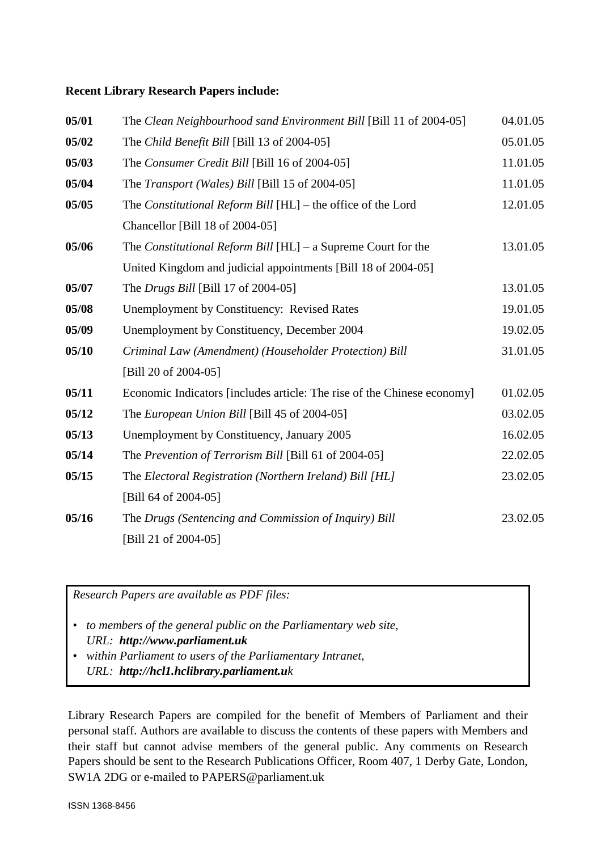#### **Recent Library Research Papers include:**

| 05/01 | The Clean Neighbourhood sand Environment Bill [Bill 11 of 2004-05]      | 04.01.05 |
|-------|-------------------------------------------------------------------------|----------|
| 05/02 | The Child Benefit Bill [Bill 13 of 2004-05]                             | 05.01.05 |
| 05/03 | The Consumer Credit Bill [Bill 16 of 2004-05]                           | 11.01.05 |
| 05/04 | The Transport (Wales) Bill [Bill 15 of 2004-05]                         | 11.01.05 |
| 05/05 | The Constitutional Reform Bill [HL] - the office of the Lord            | 12.01.05 |
|       | Chancellor [Bill 18 of 2004-05]                                         |          |
| 05/06 | The <i>Constitutional Reform Bill</i> $[HL]$ – a Supreme Court for the  | 13.01.05 |
|       | United Kingdom and judicial appointments [Bill 18 of 2004-05]           |          |
| 05/07 | The <i>Drugs Bill</i> [Bill 17 of 2004-05]                              | 13.01.05 |
| 05/08 | <b>Unemployment by Constituency: Revised Rates</b>                      | 19.01.05 |
| 05/09 | Unemployment by Constituency, December 2004                             | 19.02.05 |
| 05/10 | Criminal Law (Amendment) (Householder Protection) Bill                  | 31.01.05 |
|       | [Bill 20 of 2004-05]                                                    |          |
| 05/11 | Economic Indicators [includes article: The rise of the Chinese economy] | 01.02.05 |
| 05/12 | The European Union Bill [Bill 45 of 2004-05]                            | 03.02.05 |
| 05/13 | Unemployment by Constituency, January 2005                              | 16.02.05 |
| 05/14 | The Prevention of Terrorism Bill [Bill 61 of 2004-05]                   | 22.02.05 |
| 05/15 | The Electoral Registration (Northern Ireland) Bill [HL]                 | 23.02.05 |
|       | [Bill 64 of 2004-05]                                                    |          |
| 05/16 | The Drugs (Sentencing and Commission of Inquiry) Bill                   | 23.02.05 |
|       | [Bill 21 of 2004-05]                                                    |          |

*Research Papers are available as PDF files:* 

- *to members of the general public on the Parliamentary web site, URL: http://www.parliament.uk*
- *within Parliament to users of the Parliamentary Intranet, URL: http://hcl1.hclibrary.parliament.uk*

Library Research Papers are compiled for the benefit of Members of Parliament and their personal staff. Authors are available to discuss the contents of these papers with Members and their staff but cannot advise members of the general public. Any comments on Research Papers should be sent to the Research Publications Officer, Room 407, 1 Derby Gate, London, SW1A 2DG or e-mailed to PAPERS@parliament.uk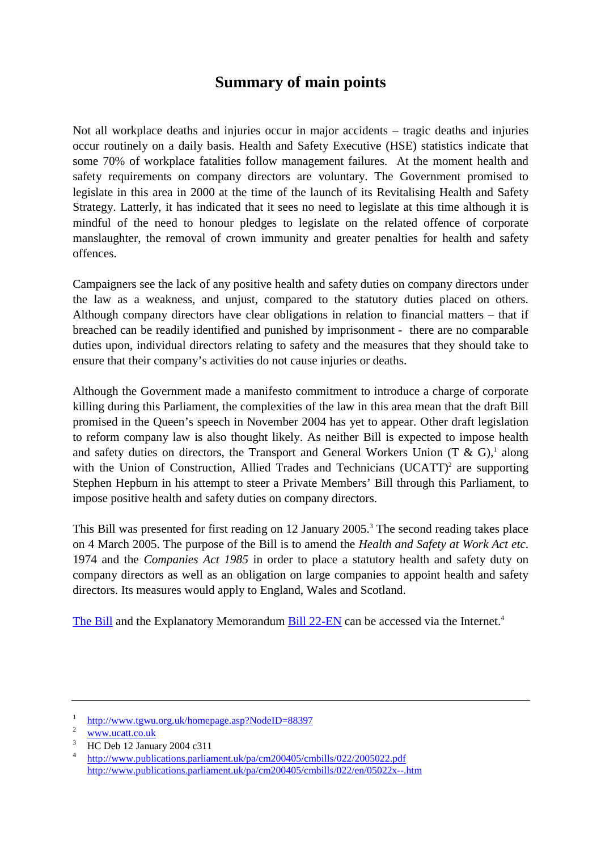# **Summary of main points**

Not all workplace deaths and injuries occur in major accidents – tragic deaths and injuries occur routinely on a daily basis. Health and Safety Executive (HSE) statistics indicate that some 70% of workplace fatalities follow management failures. At the moment health and safety requirements on company directors are voluntary. The Government promised to legislate in this area in 2000 at the time of the launch of its Revitalising Health and Safety Strategy. Latterly, it has indicated that it sees no need to legislate at this time although it is mindful of the need to honour pledges to legislate on the related offence of corporate manslaughter, the removal of crown immunity and greater penalties for health and safety offences.

Campaigners see the lack of any positive health and safety duties on company directors under the law as a weakness, and unjust, compared to the statutory duties placed on others. Although company directors have clear obligations in relation to financial matters – that if breached can be readily identified and punished by imprisonment - there are no comparable duties upon, individual directors relating to safety and the measures that they should take to ensure that their company's activities do not cause injuries or deaths.

Although the Government made a manifesto commitment to introduce a charge of corporate killing during this Parliament, the complexities of the law in this area mean that the draft Bill promised in the Queen's speech in November 2004 has yet to appear. Other draft legislation to reform company law is also thought likely. As neither Bill is expected to impose health and safety duties on directors, the Transport and General Workers Union  $(T & G)$ ,<sup>1</sup> along with the Union of Construction, Allied Trades and Technicians  $(UCATT)^2$  are supporting Stephen Hepburn in his attempt to steer a Private Members' Bill through this Parliament, to impose positive health and safety duties on company directors.

This Bill was presented for first reading on 12 January 2005.<sup>3</sup> The second reading takes place on 4 March 2005. The purpose of the Bill is to amend the *Health and Safety at Work Act etc*. 1974 and the *Companies Act 1985* in order to place a statutory health and safety duty on company directors as well as an obligation on large companies to appoint health and safety directors. Its measures would apply to England, Wales and Scotland.

[The Bill a](http://www.publications.parliament.uk/pa/cm200405/cmbills/022/2005022.pdf)nd the Explanatory Memorandum [Bill 22-EN](http://www.publications.parliament.uk/pa/cm200405/cmbills/022/en/05022x--.htm) can be accessed via the Internet.<sup>4</sup>

<sup>1</sup>  $\frac{h_{\text{t}}}{2}$  http://www.tgwu.org.uk/homepage.asp?NodeID=88397

 $rac{2}{3}$  www.ucatt.co.uk

HC Deb 12 January 2004 c311

<sup>4</sup> <http://www.publications.parliament.uk/pa/cm200405/cmbills/022/2005022.pdf> <http://www.publications.parliament.uk/pa/cm200405/cmbills/022/en/05022x--.htm>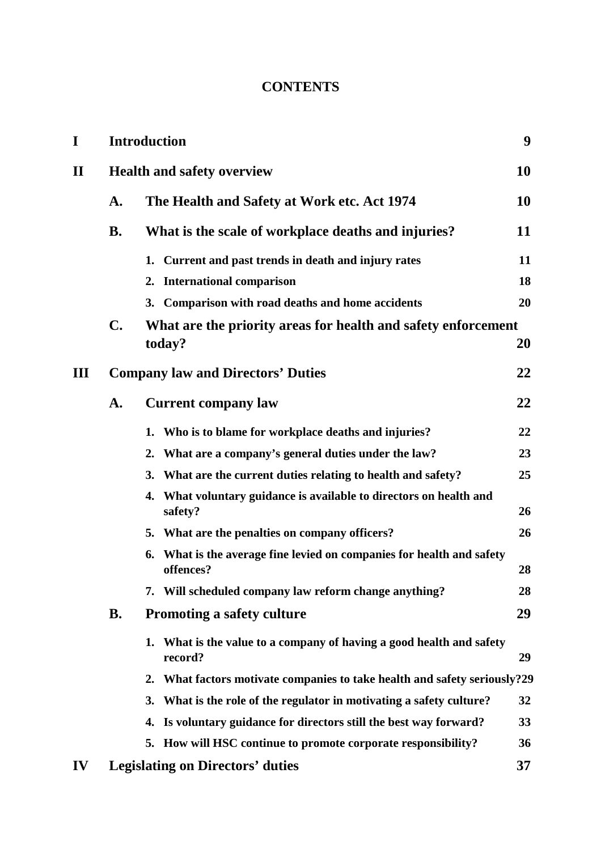# **CONTENTS**

| I            |                | <b>Introduction</b>                                                                |    |  |  |  |  |  |  |
|--------------|----------------|------------------------------------------------------------------------------------|----|--|--|--|--|--|--|
| $\mathbf{I}$ |                | <b>Health and safety overview</b>                                                  |    |  |  |  |  |  |  |
|              | A.             | The Health and Safety at Work etc. Act 1974                                        | 10 |  |  |  |  |  |  |
|              | <b>B.</b>      | What is the scale of workplace deaths and injuries?                                | 11 |  |  |  |  |  |  |
|              |                | 1. Current and past trends in death and injury rates                               | 11 |  |  |  |  |  |  |
|              |                | 2. International comparison                                                        | 18 |  |  |  |  |  |  |
|              |                | 3. Comparison with road deaths and home accidents                                  | 20 |  |  |  |  |  |  |
|              | $\mathbf{C}$ . | What are the priority areas for health and safety enforcement<br>today?            | 20 |  |  |  |  |  |  |
| III          |                | <b>Company law and Directors' Duties</b>                                           | 22 |  |  |  |  |  |  |
|              | A.             | <b>Current company law</b>                                                         | 22 |  |  |  |  |  |  |
|              |                | 1. Who is to blame for workplace deaths and injuries?                              | 22 |  |  |  |  |  |  |
|              |                | What are a company's general duties under the law?<br>2.                           | 23 |  |  |  |  |  |  |
|              |                | What are the current duties relating to health and safety?<br>3.                   | 25 |  |  |  |  |  |  |
|              |                | 4. What voluntary guidance is available to directors on health and<br>safety?      | 26 |  |  |  |  |  |  |
|              |                | 5. What are the penalties on company officers?                                     | 26 |  |  |  |  |  |  |
|              |                | 6. What is the average fine levied on companies for health and safety<br>offences? | 28 |  |  |  |  |  |  |
|              |                | 7. Will scheduled company law reform change anything?                              | 28 |  |  |  |  |  |  |
|              | <b>B.</b>      | <b>Promoting a safety culture</b>                                                  | 29 |  |  |  |  |  |  |
|              |                | 1. What is the value to a company of having a good health and safety<br>record?    | 29 |  |  |  |  |  |  |
|              |                | 2. What factors motivate companies to take health and safety seriously?29          |    |  |  |  |  |  |  |
|              |                | What is the role of the regulator in motivating a safety culture?<br>3.            | 32 |  |  |  |  |  |  |
|              |                | 4. Is voluntary guidance for directors still the best way forward?                 | 33 |  |  |  |  |  |  |
|              |                | 5. How will HSC continue to promote corporate responsibility?                      | 36 |  |  |  |  |  |  |
| IV           |                | <b>Legislating on Directors' duties</b>                                            | 37 |  |  |  |  |  |  |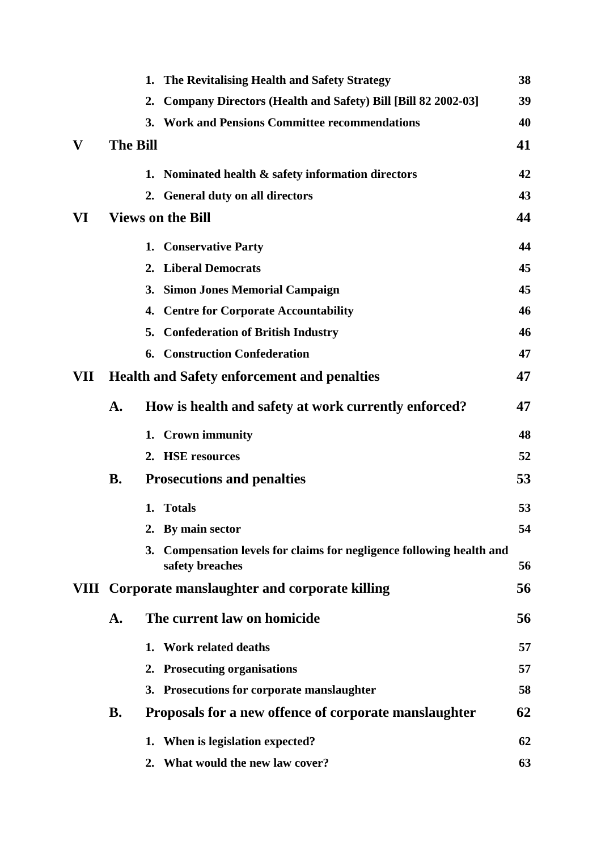|     |                 | 1. The Revitalising Health and Safety Strategy                                           | 38 |
|-----|-----------------|------------------------------------------------------------------------------------------|----|
|     |                 | Company Directors (Health and Safety) Bill [Bill 82 2002-03]<br>2.                       | 39 |
|     |                 | 3. Work and Pensions Committee recommendations                                           | 40 |
| V   | <b>The Bill</b> |                                                                                          | 41 |
|     |                 | 1. Nominated health & safety information directors                                       | 42 |
|     |                 | 2. General duty on all directors                                                         | 43 |
| VI  |                 | <b>Views on the Bill</b>                                                                 | 44 |
|     |                 | 1. Conservative Party                                                                    | 44 |
|     |                 | 2. Liberal Democrats                                                                     | 45 |
|     |                 | 3. Simon Jones Memorial Campaign                                                         | 45 |
|     |                 | 4. Centre for Corporate Accountability                                                   | 46 |
|     |                 | <b>Confederation of British Industry</b><br>5.                                           | 46 |
|     |                 | <b>6. Construction Confederation</b>                                                     | 47 |
| VII |                 | <b>Health and Safety enforcement and penalties</b>                                       | 47 |
|     | A.              | How is health and safety at work currently enforced?                                     | 47 |
|     |                 | 1. Crown immunity                                                                        | 48 |
|     |                 | 2. HSE resources                                                                         | 52 |
|     | <b>B.</b>       | <b>Prosecutions and penalties</b>                                                        | 53 |
|     |                 | 1. Totals                                                                                | 53 |
|     |                 | 2. By main sector                                                                        | 54 |
|     |                 | 3. Compensation levels for claims for negligence following health and<br>safety breaches | 56 |
|     |                 | VIII Corporate manslaughter and corporate killing                                        | 56 |
|     |                 |                                                                                          |    |
|     | A.              | The current law on homicide                                                              | 56 |
|     |                 | 1. Work related deaths                                                                   | 57 |
|     |                 | 2. Prosecuting organisations                                                             | 57 |
|     |                 | 3. Prosecutions for corporate manslaughter                                               | 58 |
|     | <b>B.</b>       | Proposals for a new offence of corporate manslaughter                                    | 62 |
|     |                 | When is legislation expected?<br>1.                                                      | 62 |
|     |                 | 2. What would the new law cover?                                                         | 63 |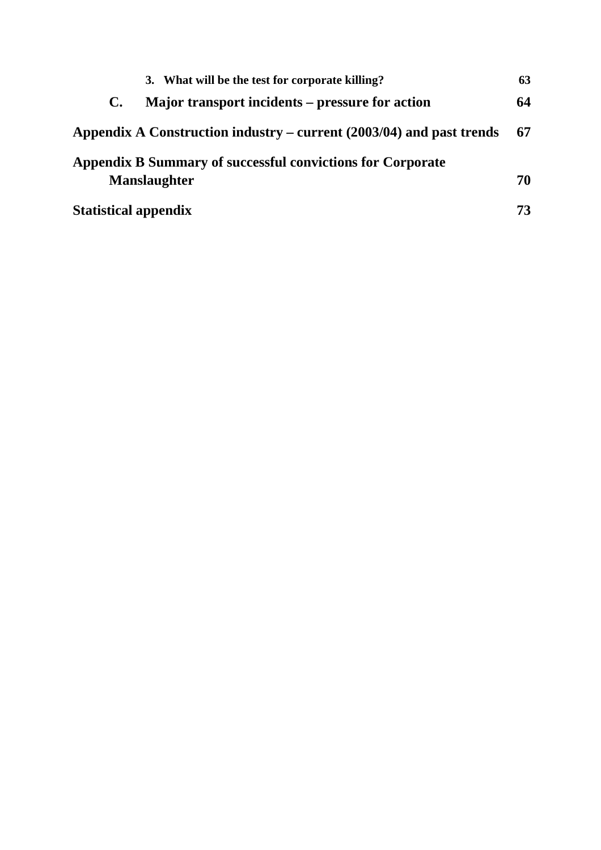|                             | 3. What will be the test for corporate killing?                      | 63 |
|-----------------------------|----------------------------------------------------------------------|----|
| $\mathbf{C}$ .              | Major transport incidents – pressure for action                      | 64 |
|                             | Appendix A Construction industry – current (2003/04) and past trends | 67 |
|                             | Appendix B Summary of successful convictions for Corporate           |    |
| <b>Manslaughter</b>         |                                                                      | 70 |
| <b>Statistical appendix</b> |                                                                      | 73 |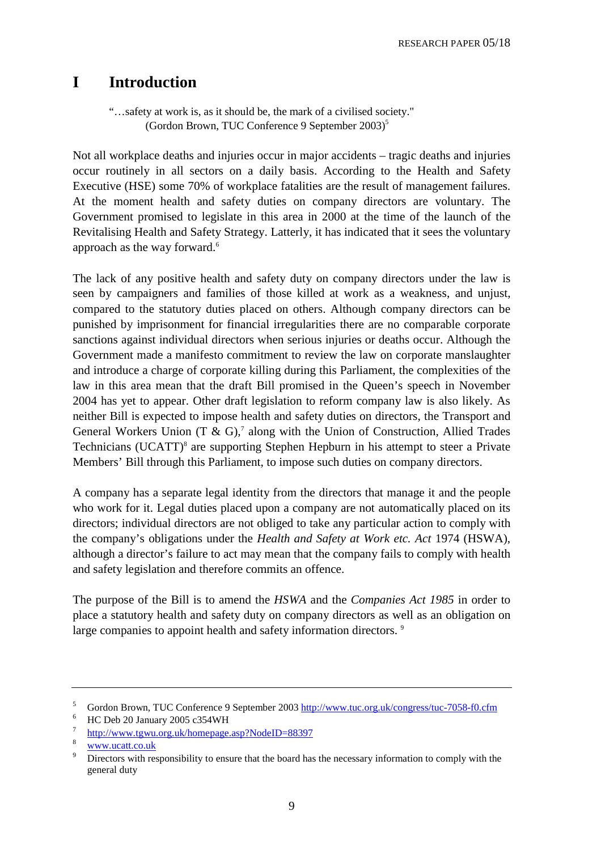# **I Introduction**

"…safety at work is, as it should be, the mark of a civilised society." (Gordon Brown, TUC Conference 9 September 2003)5

Not all workplace deaths and injuries occur in major accidents – tragic deaths and injuries occur routinely in all sectors on a daily basis. According to the Health and Safety Executive (HSE) some 70% of workplace fatalities are the result of management failures. At the moment health and safety duties on company directors are voluntary. The Government promised to legislate in this area in 2000 at the time of the launch of the Revitalising Health and Safety Strategy. Latterly, it has indicated that it sees the voluntary approach as the way forward.<sup>6</sup>

The lack of any positive health and safety duty on company directors under the law is seen by campaigners and families of those killed at work as a weakness, and unjust, compared to the statutory duties placed on others. Although company directors can be punished by imprisonment for financial irregularities there are no comparable corporate sanctions against individual directors when serious injuries or deaths occur. Although the Government made a manifesto commitment to review the law on corporate manslaughter and introduce a charge of corporate killing during this Parliament, the complexities of the law in this area mean that the draft Bill promised in the Queen's speech in November 2004 has yet to appear. Other draft legislation to reform company law is also likely. As neither Bill is expected to impose health and safety duties on directors, the Transport and General Workers Union  $(T \& G)$ ,<sup>7</sup> along with the Union of Construction, Allied Trades Technicians (UCATT)<sup>8</sup> are supporting Stephen Hepburn in his attempt to steer a Private Members' Bill through this Parliament, to impose such duties on company directors.

A company has a separate legal identity from the directors that manage it and the people who work for it. Legal duties placed upon a company are not automatically placed on its directors; individual directors are not obliged to take any particular action to comply with the company's obligations under the *Health and Safety at Work etc. Act* 1974 (HSWA), although a director's failure to act may mean that the company fails to comply with health and safety legislation and therefore commits an offence.

The purpose of the Bill is to amend the *HSWA* and the *Companies Act 1985* in order to place a statutory health and safety duty on company directors as well as an obligation on large companies to appoint health and safety information directors. <sup>9</sup>

<sup>5</sup>  $\frac{5}{100}$  Gordon Brown, TUC Conference 9 September 2003 http://www.tuc.org.uk/congress/tuc-7058-f0.cfm

HC Deb 20 January 2005 c354WH

<sup>7</sup> http://www.tgwu.org.uk/homepage.asp?NodeID=88397

 $rac{w}{9}$  <u>www.ucatt.co.uk</u>

Directors with responsibility to ensure that the board has the necessary information to comply with the general duty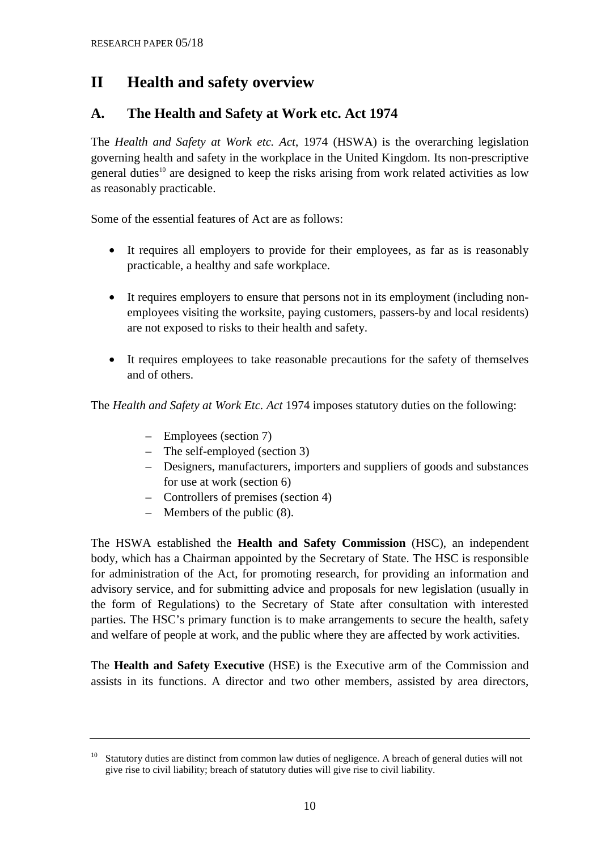# **II Health and safety overview**

# **A. The Health and Safety at Work etc. Act 1974**

The *Health and Safety at Work etc. Act*, 1974 (HSWA) is the overarching legislation governing health and safety in the workplace in the United Kingdom. Its non-prescriptive general duties<sup>10</sup> are designed to keep the risks arising from work related activities as low as reasonably practicable.

Some of the essential features of Act are as follows:

- It requires all employers to provide for their employees, as far as is reasonably practicable, a healthy and safe workplace.
- It requires employers to ensure that persons not in its employment (including nonemployees visiting the worksite, paying customers, passers-by and local residents) are not exposed to risks to their health and safety.
- It requires employees to take reasonable precautions for the safety of themselves and of others.

The *Health and Safety at Work Etc. Act* 1974 imposes statutory duties on the following:

- Employees (section 7)
- The self-employed (section 3)
- Designers, manufacturers, importers and suppliers of goods and substances for use at work (section 6)
- Controllers of premises (section 4)
- Members of the public (8).

The HSWA established the **Health and Safety Commission** (HSC), an independent body, which has a Chairman appointed by the Secretary of State. The HSC is responsible for administration of the Act, for promoting research, for providing an information and advisory service, and for submitting advice and proposals for new legislation (usually in the form of Regulations) to the Secretary of State after consultation with interested parties. The HSC's primary function is to make arrangements to secure the health, safety and welfare of people at work, and the public where they are affected by work activities.

The **Health and Safety Executive** (HSE) is the Executive arm of the Commission and assists in its functions. A director and two other members, assisted by area directors,

<sup>&</sup>lt;sup>10</sup> Statutory duties are distinct from common law duties of negligence. A breach of general duties will not give rise to civil liability; breach of statutory duties will give rise to civil liability.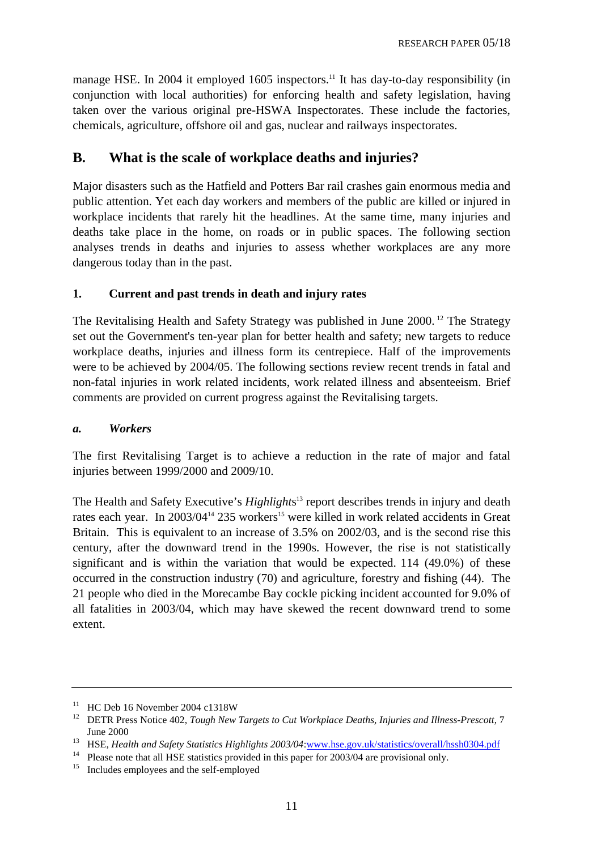manage HSE. In 2004 it employed 1605 inspectors.<sup>11</sup> It has day-to-day responsibility (in conjunction with local authorities) for enforcing health and safety legislation, having taken over the various original pre-HSWA Inspectorates. These include the factories, chemicals, agriculture, offshore oil and gas, nuclear and railways inspectorates.

# **B. What is the scale of workplace deaths and injuries?**

Major disasters such as the Hatfield and Potters Bar rail crashes gain enormous media and public attention. Yet each day workers and members of the public are killed or injured in workplace incidents that rarely hit the headlines. At the same time, many injuries and deaths take place in the home, on roads or in public spaces. The following section analyses trends in deaths and injuries to assess whether workplaces are any more dangerous today than in the past.

#### **1. Current and past trends in death and injury rates**

The Revitalising Health and Safety Strategy was published in June 2000.<sup>12</sup> The Strategy set out the Government's ten-year plan for better health and safety; new targets to reduce workplace deaths, injuries and illness form its centrepiece. Half of the improvements were to be achieved by 2004/05. The following sections review recent trends in fatal and non-fatal injuries in work related incidents, work related illness and absenteeism. Brief comments are provided on current progress against the Revitalising targets.

#### *a. Workers*

The first Revitalising Target is to achieve a reduction in the rate of major and fatal injuries between 1999/2000 and 2009/10.

The Health and Safety Executive's *Highlight*s 13 report describes trends in injury and death rates each year. In  $2003/04^{14}$  235 workers<sup>15</sup> were killed in work related accidents in Great Britain. This is equivalent to an increase of 3.5% on 2002/03, and is the second rise this century, after the downward trend in the 1990s. However, the rise is not statistically significant and is within the variation that would be expected. 114 (49.0%) of these occurred in the construction industry (70) and agriculture, forestry and fishing (44). The 21 people who died in the Morecambe Bay cockle picking incident accounted for 9.0% of all fatalities in 2003/04, which may have skewed the recent downward trend to some extent.

<sup>&</sup>lt;sup>11</sup> HC Deb 16 November 2004 c1318W

<sup>&</sup>lt;sup>12</sup> DETR Press Notice 402, *Tough New Targets to Cut Workplace Deaths, Injuries and Illness-Prescott*, 7

June 2000<br><sup>13</sup> HSE, *Health and Safety Statistics Highlights 2003/04*:<u>www.hse.gov.uk/statistics/overall/hssh0304.pdf</u><br><sup>14</sup> Please note that all HSE statistics provided in this paper for 2003/04 are provisional only.

<sup>&</sup>lt;sup>15</sup> Includes employees and the self-employed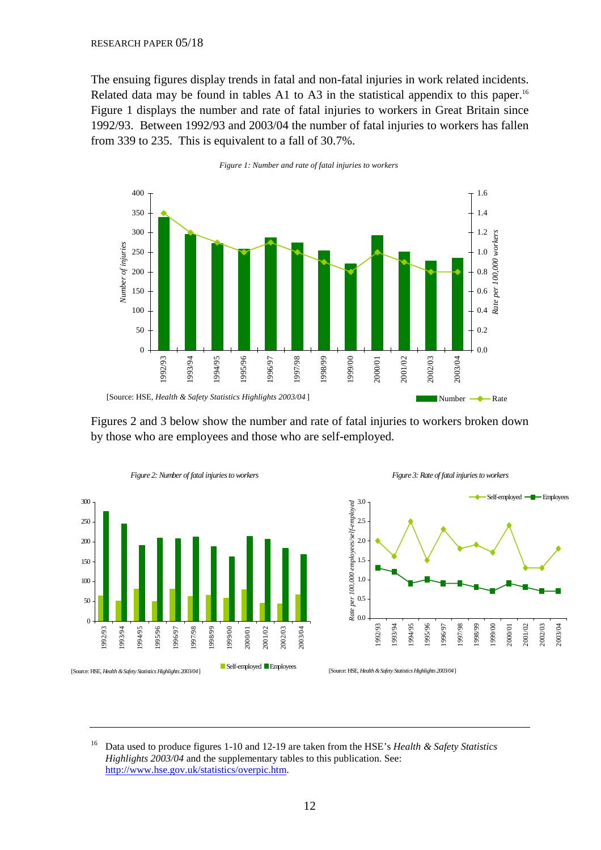The ensuing figures display trends in fatal and non-fatal injuries in work related incidents. Related data may be found in tables A1 to A3 in the statistical appendix to this paper.<sup>16</sup> Figure 1 displays the number and rate of fatal injuries to workers in Great Britain since 1992/93. Between 1992/93 and 2003/04 the number of fatal injuries to workers has fallen from 339 to 235. This is equivalent to a fall of 30.7%.





Figures 2 and 3 below show the number and rate of fatal injuries to workers broken down by those who are employees and those who are self-employed.







<sup>[</sup>Source: HSE, *Health & Safety Statistics Highlights 2003/04*]

<sup>16</sup> Data used to produce figures 1-10 and 12-19 are taken from the HSE's *Health & Safety Statistics Highlights 2003/04* and the supplementary tables to this publication. See: [http://www.hse.gov.uk/statistics/overpic.htm.](http://www.hse.gov.uk/statistics/overall/hssh0304.pdf)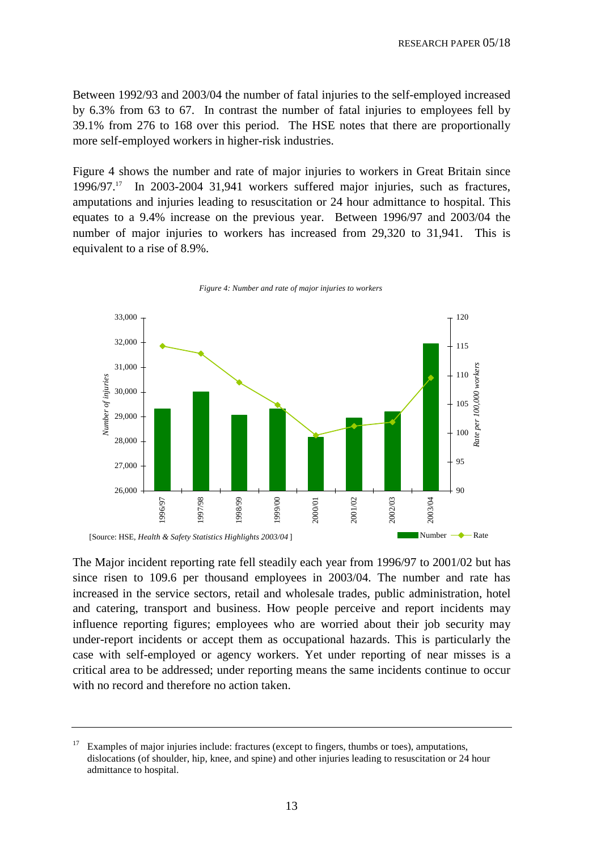Between 1992/93 and 2003/04 the number of fatal injuries to the self-employed increased by 6.3% from 63 to 67. In contrast the number of fatal injuries to employees fell by 39.1% from 276 to 168 over this period. The HSE notes that there are proportionally more self-employed workers in higher-risk industries.

Figure 4 shows the number and rate of major injuries to workers in Great Britain since  $1996/97$ <sup>17</sup> In 2003-2004 31,941 workers suffered major injuries, such as fractures, amputations and injuries leading to resuscitation or 24 hour admittance to hospital. This equates to a 9.4% increase on the previous year. Between 1996/97 and 2003/04 the number of major injuries to workers has increased from 29,320 to 31,941. This is equivalent to a rise of 8.9%.



*Figure 4: Number and rate of major injuries to workers*

The Major incident reporting rate fell steadily each year from 1996/97 to 2001/02 but has since risen to 109.6 per thousand employees in 2003/04. The number and rate has increased in the service sectors, retail and wholesale trades, public administration, hotel and catering, transport and business. How people perceive and report incidents may influence reporting figures; employees who are worried about their job security may under-report incidents or accept them as occupational hazards. This is particularly the case with self-employed or agency workers. Yet under reporting of near misses is a critical area to be addressed; under reporting means the same incidents continue to occur with no record and therefore no action taken.

Examples of major injuries include: fractures (except to fingers, thumbs or toes), amputations, dislocations (of shoulder, hip, knee, and spine) and other injuries leading to resuscitation or 24 hour admittance to hospital.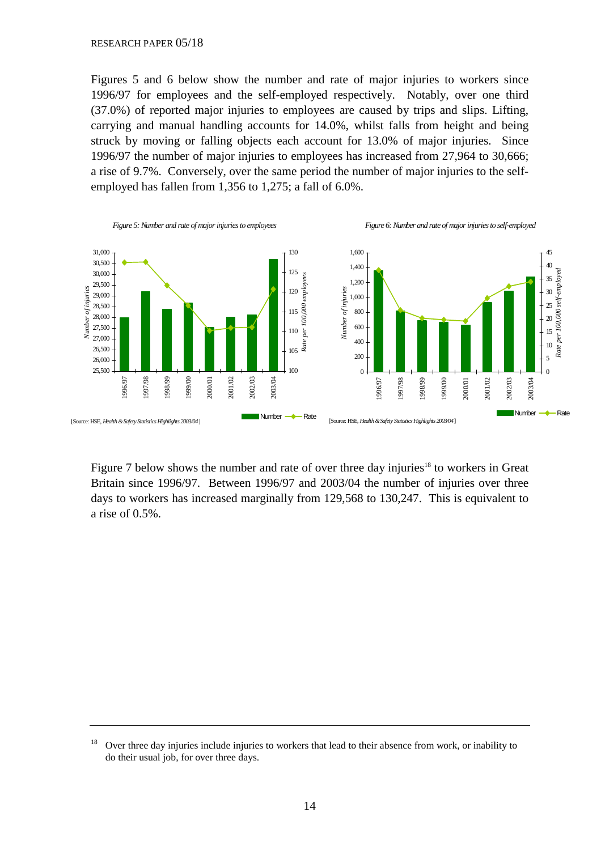Figures 5 and 6 below show the number and rate of major injuries to workers since 1996/97 for employees and the self-employed respectively. Notably, over one third (37.0%) of reported major injuries to employees are caused by trips and slips. Lifting, carrying and manual handling accounts for 14.0%, whilst falls from height and being struck by moving or falling objects each account for 13.0% of major injuries. Since 1996/97 the number of major injuries to employees has increased from 27,964 to 30,666; a rise of 9.7%. Conversely, over the same period the number of major injuries to the selfemployed has fallen from 1,356 to 1,275; a fall of 6.0%.



Figure 7 below shows the number and rate of over three day injuries<sup>18</sup> to workers in Great Britain since 1996/97. Between 1996/97 and 2003/04 the number of injuries over three days to workers has increased marginally from 129,568 to 130,247. This is equivalent to a rise of 0.5%.

<sup>&</sup>lt;sup>18</sup> Over three day injuries include injuries to workers that lead to their absence from work, or inability to do their usual job, for over three days.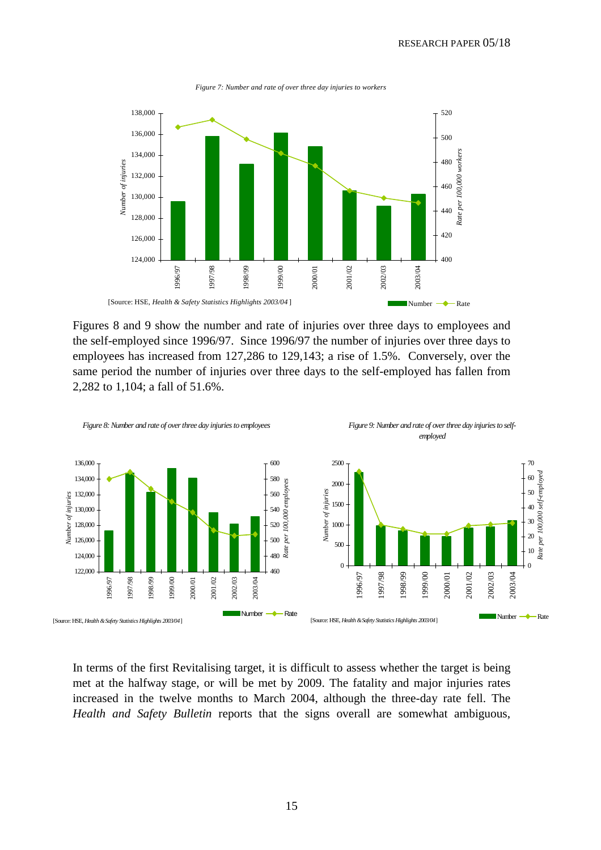

*Figure 7: Number and rate of over three day injuries to workers*

Figures 8 and 9 show the number and rate of injuries over three days to employees and the self-employed since 1996/97. Since 1996/97 the number of injuries over three days to employees has increased from 127,286 to 129,143; a rise of 1.5%. Conversely, over the same period the number of injuries over three days to the self-employed has fallen from 2,282 to 1,104; a fall of 51.6%.



In terms of the first Revitalising target, it is difficult to assess whether the target is being met at the halfway stage, or will be met by 2009. The fatality and major injuries rates increased in the twelve months to March 2004, although the three-day rate fell. The *Health and Safety Bulletin* reports that the signs overall are somewhat ambiguous,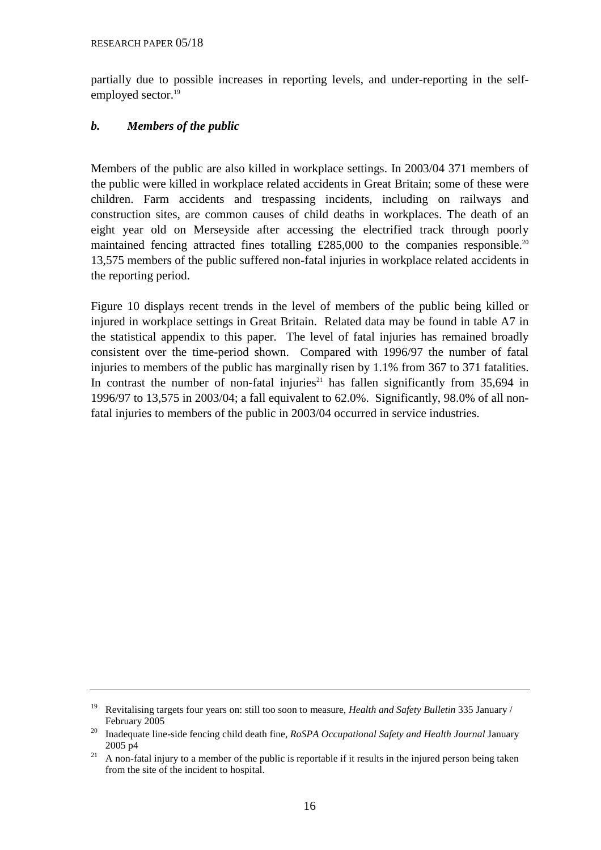partially due to possible increases in reporting levels, and under-reporting in the selfemployed sector.<sup>19</sup>

## *b. Members of the public*

Members of the public are also killed in workplace settings. In 2003/04 371 members of the public were killed in workplace related accidents in Great Britain; some of these were children. Farm accidents and trespassing incidents, including on railways and construction sites, are common causes of child deaths in workplaces. The death of an eight year old on Merseyside after accessing the electrified track through poorly maintained fencing attracted fines totalling  $£285,000$  to the companies responsible.<sup>20</sup> 13,575 members of the public suffered non-fatal injuries in workplace related accidents in the reporting period.

Figure 10 displays recent trends in the level of members of the public being killed or injured in workplace settings in Great Britain. Related data may be found in table A7 in the statistical appendix to this paper. The level of fatal injuries has remained broadly consistent over the time-period shown. Compared with 1996/97 the number of fatal injuries to members of the public has marginally risen by 1.1% from 367 to 371 fatalities. In contrast the number of non-fatal injuries<sup>21</sup> has fallen significantly from  $35,694$  in 1996/97 to 13,575 in 2003/04; a fall equivalent to 62.0%. Significantly, 98.0% of all nonfatal injuries to members of the public in 2003/04 occurred in service industries.

<sup>19</sup> Revitalising targets four years on: still too soon to measure, *Health and Safety Bulletin* 335 January /

February 2005 20 Inadequate line-side fencing child death fine, *RoSPA Occupational Safety and Health Journal* January 2005 p4<br><sup>21</sup> A non-fatal injury to a member of the public is reportable if it results in the injured person being taken

from the site of the incident to hospital.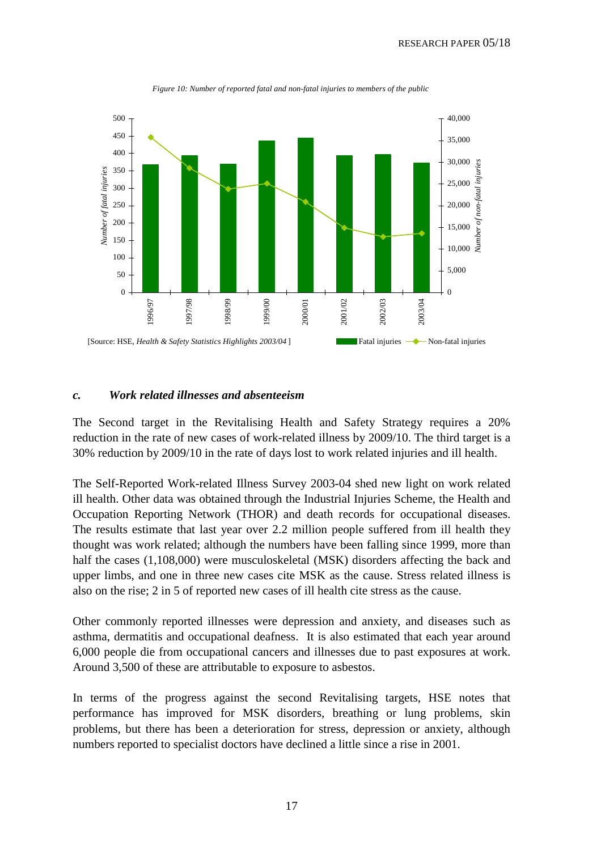

*Figure 10: Number of reported fatal and non-fatal injuries to members of the public*

#### *c. Work related illnesses and absenteeism*

The Second target in the Revitalising Health and Safety Strategy requires a 20% reduction in the rate of new cases of work-related illness by 2009/10. The third target is a 30% reduction by 2009/10 in the rate of days lost to work related injuries and ill health.

The Self-Reported Work-related Illness Survey 2003-04 shed new light on work related ill health. Other data was obtained through the Industrial Injuries Scheme, the Health and Occupation Reporting Network (THOR) and death records for occupational diseases. The results estimate that last year over 2.2 million people suffered from ill health they thought was work related; although the numbers have been falling since 1999, more than half the cases (1,108,000) were musculoskeletal (MSK) disorders affecting the back and upper limbs, and one in three new cases cite MSK as the cause. Stress related illness is also on the rise; 2 in 5 of reported new cases of ill health cite stress as the cause.

Other commonly reported illnesses were depression and anxiety, and diseases such as asthma, dermatitis and occupational deafness. It is also estimated that each year around 6,000 people die from occupational cancers and illnesses due to past exposures at work. Around 3,500 of these are attributable to exposure to asbestos.

In terms of the progress against the second Revitalising targets, HSE notes that performance has improved for MSK disorders, breathing or lung problems, skin problems, but there has been a deterioration for stress, depression or anxiety, although numbers reported to specialist doctors have declined a little since a rise in 2001.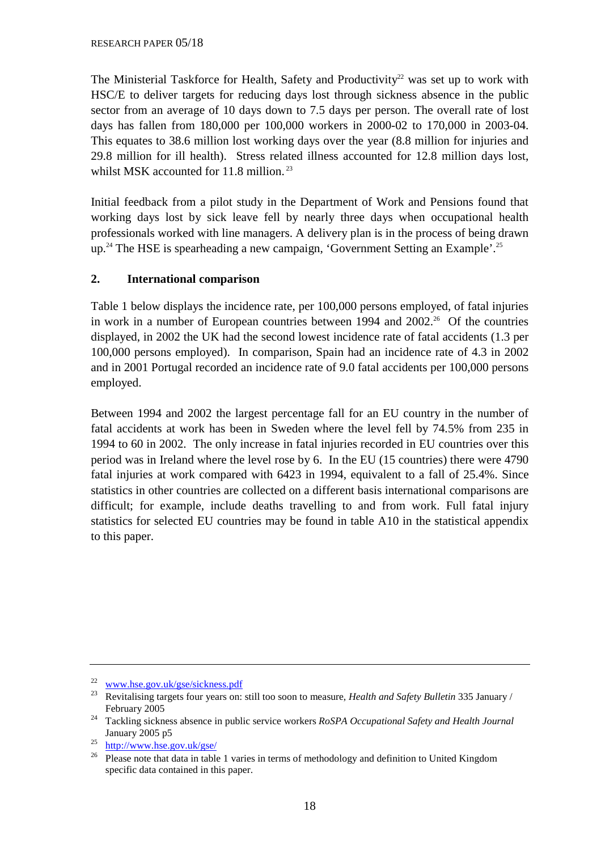The Ministerial Taskforce for Health, Safety and Productivity<sup>22</sup> was set up to work with HSC/E to deliver targets for reducing days lost through sickness absence in the public sector from an average of 10 days down to 7.5 days per person. The overall rate of lost days has fallen from 180,000 per 100,000 workers in 2000-02 to 170,000 in 2003-04. This equates to 38.6 million lost working days over the year (8.8 million for injuries and 29.8 million for ill health). Stress related illness accounted for 12.8 million days lost, whilst MSK accounted for 11.8 million.<sup>23</sup>

Initial feedback from a pilot study in the Department of Work and Pensions found that working days lost by sick leave fell by nearly three days when occupational health professionals worked with line managers. A delivery plan is in the process of being drawn up.<sup>24</sup> The HSE is spearheading a new campaign, 'Government Setting an Example'.<sup>25</sup>

## **2. International comparison**

Table 1 below displays the incidence rate, per 100,000 persons employed, of fatal injuries in work in a number of European countries between  $1994$  and  $2002.<sup>26</sup>$  Of the countries displayed, in 2002 the UK had the second lowest incidence rate of fatal accidents (1.3 per 100,000 persons employed). In comparison, Spain had an incidence rate of 4.3 in 2002 and in 2001 Portugal recorded an incidence rate of 9.0 fatal accidents per 100,000 persons employed.

Between 1994 and 2002 the largest percentage fall for an EU country in the number of fatal accidents at work has been in Sweden where the level fell by 74.5% from 235 in 1994 to 60 in 2002. The only increase in fatal injuries recorded in EU countries over this period was in Ireland where the level rose by 6. In the EU (15 countries) there were 4790 fatal injuries at work compared with 6423 in 1994, equivalent to a fall of 25.4%. Since statistics in other countries are collected on a different basis international comparisons are difficult; for example, include deaths travelling to and from work. Full fatal injury statistics for selected EU countries may be found in table A10 in the statistical appendix to this paper.

<sup>22</sup> [www.hse.gov.uk/gse/sickness.pdf](http://www.hse.gov.uk/gse/sickness.pdf) 23 Revitalising targets four years on: still too soon to measure, *Health and Safety Bulletin* 335 January /

February 2005 24 Tackling sickness absence in public service workers *RoSPA Occupational Safety and Health Journal* January 2005 p5<br>
<sup>25</sup> http://www.hse.gov.uk/gse/<br>
<sup>26</sup> Please note that data in table 1 varies in terms of methodology and definition to United Kingdom

specific data contained in this paper.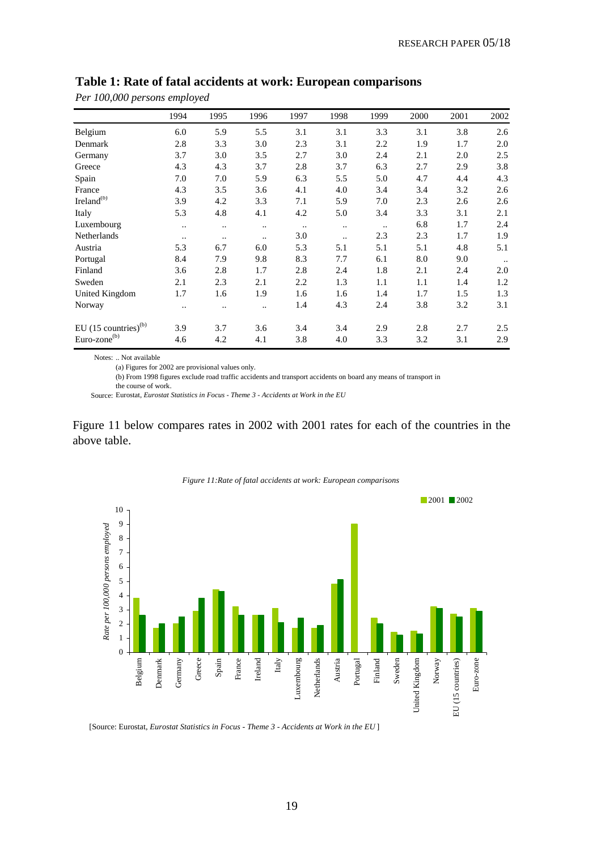| $\mathbf{I}$                       | $\mathbf{r}$<br>1994 | 1995      | 1996      | 1997      | 1998                 | 1999      | 2000 | 2001 | 2002      |
|------------------------------------|----------------------|-----------|-----------|-----------|----------------------|-----------|------|------|-----------|
| Belgium                            | 6.0                  | 5.9       | 5.5       | 3.1       | 3.1                  | 3.3       | 3.1  | 3.8  | 2.6       |
|                                    |                      |           |           |           |                      |           |      |      |           |
| Denmark                            | 2.8                  | 3.3       | 3.0       | 2.3       | 3.1                  | 2.2       | 1.9  | 1.7  | 2.0       |
| Germany                            | 3.7                  | 3.0       | 3.5       | 2.7       | 3.0                  | 2.4       | 2.1  | 2.0  | 2.5       |
| Greece                             | 4.3                  | 4.3       | 3.7       | 2.8       | 3.7                  | 6.3       | 2.7  | 2.9  | 3.8       |
| Spain                              | 7.0                  | 7.0       | 5.9       | 6.3       | 5.5                  | 5.0       | 4.7  | 4.4  | 4.3       |
| France                             | 4.3                  | 3.5       | 3.6       | 4.1       | 4.0                  | 3.4       | 3.4  | 3.2  | 2.6       |
| Ireland <sup>(b)</sup>             | 3.9                  | 4.2       | 3.3       | 7.1       | 5.9                  | 7.0       | 2.3  | 2.6  | 2.6       |
| Italy                              | 5.3                  | 4.8       | 4.1       | 4.2       | 5.0                  | 3.4       | 3.3  | 3.1  | 2.1       |
| Luxembourg                         | $\ddot{\phantom{a}}$ |           |           | $\ddotsc$ | $\ddot{\phantom{a}}$ | $\ddotsc$ | 6.8  | 1.7  | 2.4       |
| Netherlands                        | $\cdot$ .            | $\ddotsc$ | $\ddotsc$ | 3.0       | $\ddotsc$            | 2.3       | 2.3  | 1.7  | 1.9       |
| Austria                            | 5.3                  | 6.7       | 6.0       | 5.3       | 5.1                  | 5.1       | 5.1  | 4.8  | 5.1       |
| Portugal                           | 8.4                  | 7.9       | 9.8       | 8.3       | 7.7                  | 6.1       | 8.0  | 9.0  | $\ddotsc$ |
| Finland                            | 3.6                  | 2.8       | 1.7       | 2.8       | 2.4                  | 1.8       | 2.1  | 2.4  | 2.0       |
| Sweden                             | 2.1                  | 2.3       | 2.1       | 2.2       | 1.3                  | 1.1       | 1.1  | 1.4  | 1.2       |
| United Kingdom                     | 1.7                  | 1.6       | 1.9       | 1.6       | 1.6                  | 1.4       | 1.7  | 1.5  | 1.3       |
| Norway                             |                      | ٠.        | $\ddotsc$ | 1.4       | 4.3                  | 2.4       | 3.8  | 3.2  | 3.1       |
| EU $(15$ countries) <sup>(b)</sup> | 3.9                  | 3.7       | 3.6       | 3.4       | 3.4                  | 2.9       | 2.8  | 2.7  | 2.5       |
| Euro-zone <sup>(b)</sup>           | 4.6                  | 4.2       | 4.1       | 3.8       | 4.0                  | 3.3       | 3.2  | 3.1  | 2.9       |

#### **Table 1: Rate of fatal accidents at work: European comparisons**

Notes: .. Not available

*Per 100,000 persons employed* 

(a) Figures for 2002 are provisional values only.

(b) From 1998 figures exclude road traffic accidents and transport accidents on board any means of transport in the course of work.

Source: Eurostat, *Eurostat Statistics in Focus - Theme 3 - Accidents at Work in the EU*

Figure 11 below compares rates in 2002 with 2001 rates for each of the countries in the above table.



*Figure 11:Rate of fatal accidents at work: European comparisons*

[Source: Eurostat, *Eurostat Statistics in Focus - Theme 3 - Accidents at Work in the EU* ]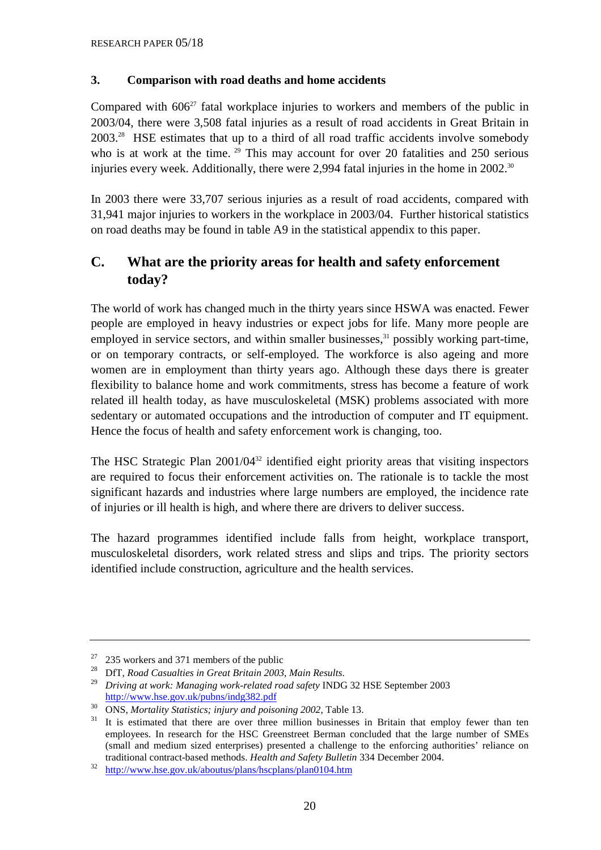#### **3. Comparison with road deaths and home accidents**

Compared with  $606^{27}$  fatal workplace injuries to workers and members of the public in 2003/04, there were 3,508 fatal injuries as a result of road accidents in Great Britain in 2003.28 HSE estimates that up to a third of all road traffic accidents involve somebody who is at work at the time. <sup>29</sup> This may account for over 20 fatalities and 250 serious injuries every week. Additionally, there were 2,994 fatal injuries in the home in 2002.<sup>30</sup>

In 2003 there were 33,707 serious injuries as a result of road accidents, compared with 31,941 major injuries to workers in the workplace in 2003/04. Further historical statistics on road deaths may be found in table A9 in the statistical appendix to this paper.

# **C. What are the priority areas for health and safety enforcement today?**

The world of work has changed much in the thirty years since HSWA was enacted. Fewer people are employed in heavy industries or expect jobs for life. Many more people are employed in service sectors, and within smaller businesses,  $31$  possibly working part-time, or on temporary contracts, or self-employed. The workforce is also ageing and more women are in employment than thirty years ago. Although these days there is greater flexibility to balance home and work commitments, stress has become a feature of work related ill health today, as have musculoskeletal (MSK) problems associated with more sedentary or automated occupations and the introduction of computer and IT equipment. Hence the focus of health and safety enforcement work is changing, too.

The HSC Strategic Plan 2001/04<sup>32</sup> identified eight priority areas that visiting inspectors are required to focus their enforcement activities on. The rationale is to tackle the most significant hazards and industries where large numbers are employed, the incidence rate of injuries or ill health is high, and where there are drivers to deliver success.

The hazard programmes identified include falls from height, workplace transport, musculoskeletal disorders, work related stress and slips and trips. The priority sectors identified include construction, agriculture and the health services.

<sup>&</sup>lt;sup>27</sup> 235 workers and 371 members of the public<br><sup>28</sup> DfT, *Road Casualties in Great Britain 2003, Main Results*.

<sup>&</sup>lt;sup>29</sup> Driving at work: Managing work-related road safety INDG 32 HSE September 2003<br>http://www.hse.gov.uk/pubns/indg382.pdf

 $\frac{30}{31}$  ONS, *Mortality Statistics; injury and poisoning 2002*, Table 13.<br><sup>31</sup> It is estimated that there are over three million businesses in Britain that employ fewer than ten employees. In research for the HSC Greenstreet Berman concluded that the large number of SMEs (small and medium sized enterprises) presented a challenge to the enforcing authorities' reliance on traditional contract-based methods. *Health and Safety Bulletin* 334 December 2004.<br><sup>32</sup> http://www.hse.gov.uk/aboutus/plans/hscplans/plan0104.htm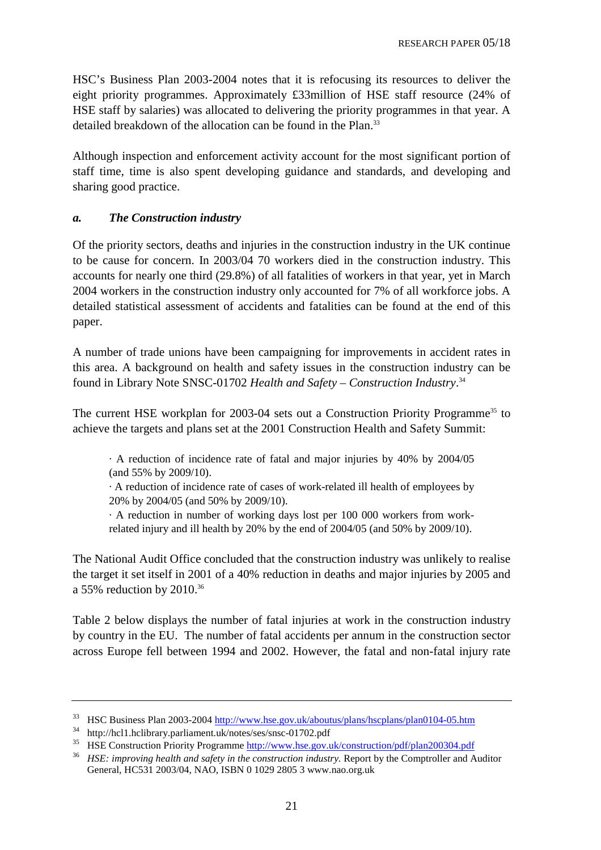HSC's Business Plan 2003-2004 notes that it is refocusing its resources to deliver the eight priority programmes. Approximately £33million of HSE staff resource (24% of HSE staff by salaries) was allocated to delivering the priority programmes in that year. A detailed breakdown of the allocation can be found in the Plan.<sup>33</sup>

Although inspection and enforcement activity account for the most significant portion of staff time, time is also spent developing guidance and standards, and developing and sharing good practice.

#### *a. The Construction industry*

Of the priority sectors, deaths and injuries in the construction industry in the UK continue to be cause for concern. In 2003/04 70 workers died in the construction industry. This accounts for nearly one third (29.8%) of all fatalities of workers in that year, yet in March 2004 workers in the construction industry only accounted for 7% of all workforce jobs. A detailed statistical assessment of accidents and fatalities can be found at the end of this paper.

A number of trade unions have been campaigning for improvements in accident rates in this area. A background on health and safety issues in the construction industry can be found in Library Note SNSC-01702 *Health and Safety – Construction Industry*. 34

The current HSE workplan for 2003-04 sets out a Construction Priority Programme<sup>35</sup> to achieve the targets and plans set at the 2001 Construction Health and Safety Summit:

· A reduction of incidence rate of fatal and major injuries by 40% by 2004/05 (and 55% by 2009/10).

· A reduction of incidence rate of cases of work-related ill health of employees by 20% by 2004/05 (and 50% by 2009/10).

· A reduction in number of working days lost per 100 000 workers from workrelated injury and ill health by 20% by the end of 2004/05 (and 50% by 2009/10).

The National Audit Office concluded that the construction industry was unlikely to realise the target it set itself in 2001 of a 40% reduction in deaths and major injuries by 2005 and a 55% reduction by 2010.36

Table 2 below displays the number of fatal injuries at work in the construction industry by country in the EU. The number of fatal accidents per annum in the construction sector across Europe fell between 1994 and 2002. However, the fatal and non-fatal injury rate

<sup>&</sup>lt;sup>33</sup> HSC Business Plan 2003-2004 <u>http://www.hse.gov.uk/aboutus/plans/hscplans/plan0104-05.htm</u> http://hcl1.hclibrary.parliament.uk/notes/ses/snsc-01702.pdf

<sup>&</sup>lt;sup>35</sup> HSE Construction Priority Programme <u>http://www.hse.gov.uk/construction/pdf/plan200304.pdf</u><br><sup>36</sup> *HSE: improving health and safety in the construction industry.* Report by the Comptroller and Auditor

General, HC531 2003/04, NAO, ISBN 0 1029 2805 3<www.nao.org.uk>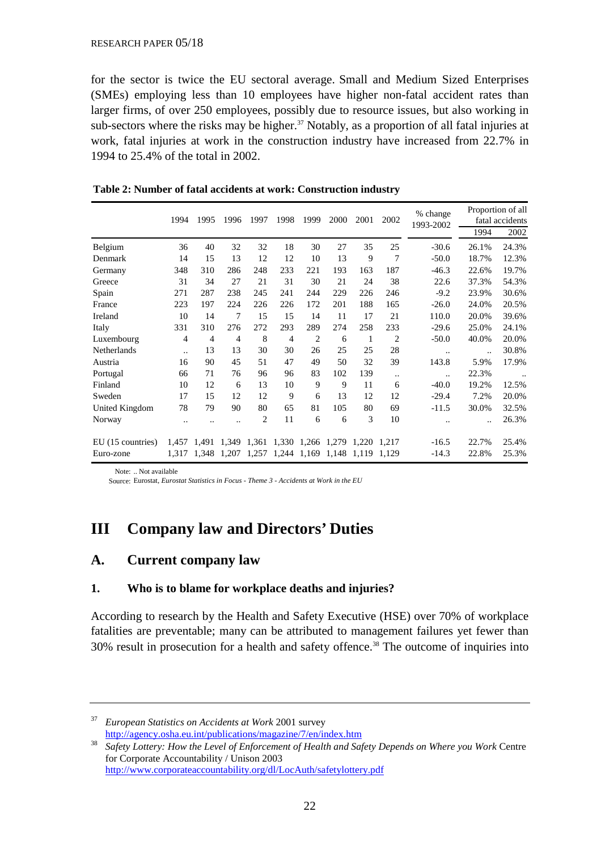for the sector is twice the EU sectoral average. Small and Medium Sized Enterprises (SMEs) employing less than 10 employees have higher non-fatal accident rates than larger firms, of over 250 employees, possibly due to resource issues, but also working in sub-sectors where the risks may be higher.<sup>37</sup> Notably, as a proportion of all fatal injuries at work, fatal injuries at work in the construction industry have increased from 22.7% in 1994 to 25.4% of the total in 2002.

|                   | 1994      | 1995           | 1996                 | 1997           | 1998           | 1999           | 2000  | 2001  | 2002           | % change<br>1993-2002 | Proportion of all<br>fatal accidents |       |
|-------------------|-----------|----------------|----------------------|----------------|----------------|----------------|-------|-------|----------------|-----------------------|--------------------------------------|-------|
|                   |           |                |                      |                |                |                |       |       |                |                       | 1994                                 | 2002  |
| Belgium           | 36        | 40             | 32                   | 32             | 18             | 30             | 27    | 35    | 25             | $-30.6$               | 26.1%                                | 24.3% |
| Denmark           | 14        | 15             | 13                   | 12             | 12             | 10             | 13    | 9     | 7              | $-50.0$               | 18.7%                                | 12.3% |
| Germany           | 348       | 310            | 286                  | 248            | 233            | 221            | 193   | 163   | 187            | $-46.3$               | 22.6%                                | 19.7% |
| Greece            | 31        | 34             | 27                   | 21             | 31             | 30             | 21    | 24    | 38             | 22.6                  | 37.3%                                | 54.3% |
| Spain             | 271       | 287            | 238                  | 245            | 241            | 244            | 229   | 226   | 246            | $-9.2$                | 23.9%                                | 30.6% |
| France            | 223       | 197            | 224                  | 226            | 226            | 172            | 201   | 188   | 165            | $-26.0$               | 24.0%                                | 20.5% |
| Ireland           | 10        | 14             | 7                    | 15             | 15             | 14             | 11    | 17    | 21             | 110.0                 | 20.0%                                | 39.6% |
| Italy             | 331       | 310            | 276                  | 272            | 293            | 289            | 274   | 258   | 233            | $-29.6$               | 25.0%                                | 24.1% |
| Luxembourg        | 4         | $\overline{4}$ | 4                    | 8              | $\overline{4}$ | $\overline{2}$ | 6     | 1     | $\overline{2}$ | $-50.0$               | 40.0%                                | 20.0% |
| Netherlands       | $\ddotsc$ | 13             | 13                   | 30             | 30             | 26             | 25    | 25    | 28             | $\ddotsc$             |                                      | 30.8% |
| Austria           | 16        | 90             | 45                   | 51             | 47             | 49             | 50    | 32    | 39             | 143.8                 | 5.9%                                 | 17.9% |
| Portugal          | 66        | 71             | 76                   | 96             | 96             | 83             | 102   | 139   | $\ddotsc$      | $\ddotsc$             | 22.3%                                |       |
| Finland           | 10        | 12             | 6                    | 13             | 10             | 9              | 9     | 11    | 6              | $-40.0$               | 19.2%                                | 12.5% |
| Sweden            | 17        | 15             | 12                   | 12             | 9              | 6              | 13    | 12    | 12             | $-29.4$               | 7.2%                                 | 20.0% |
| United Kingdom    | 78        | 79             | 90                   | 80             | 65             | 81             | 105   | 80    | 69             | $-11.5$               | 30.0%                                | 32.5% |
| Norway            |           |                | $\ddot{\phantom{a}}$ | $\overline{2}$ | 11             | 6              | 6     | 3     | 10             |                       |                                      | 26.3% |
| EU (15 countries) | 1,457     | 1,491          | 1,349                | 1,361          | 1,330          | 1,266          | 1,279 | 1,220 | 1.217          | $-16.5$               | 22.7%                                | 25.4% |
| Euro-zone         | 1,317     | 1,348          | 1,207                | 1,257          | 1,244          | 1,169          | 1,148 | 1,119 | 1,129          | $-14.3$               | 22.8%                                | 25.3% |

| Table 2: Number of fatal accidents at work: Construction industry |  |  |  |  |  |
|-------------------------------------------------------------------|--|--|--|--|--|
|-------------------------------------------------------------------|--|--|--|--|--|

Note: .. Not available

Source: Eurostat, *Eurostat Statistics in Focus - Theme 3 - Accidents at Work in the EU*

# **III Company law and Directors' Duties**

## **A. Current company law**

#### **1. Who is to blame for workplace deaths and injuries?**

According to research by the Health and Safety Executive (HSE) over 70% of workplace fatalities are preventable; many can be attributed to management failures yet fewer than 30% result in prosecution for a health and safety offence.38 The outcome of inquiries into

<sup>37</sup> *European Statistics on Accidents at Work* 2001 survey<br>http://agency.osha.eu.int/publications/magazine/7/en/index.htm

<sup>&</sup>lt;sup>38</sup> Safety Lottery: How the Level of Enforcement of Health and Safety Depends on Where you Work Centre for Corporate Accountability / Unison 2003 <http://www.corporateaccountability.org/dl/LocAuth/safetylottery.pdf>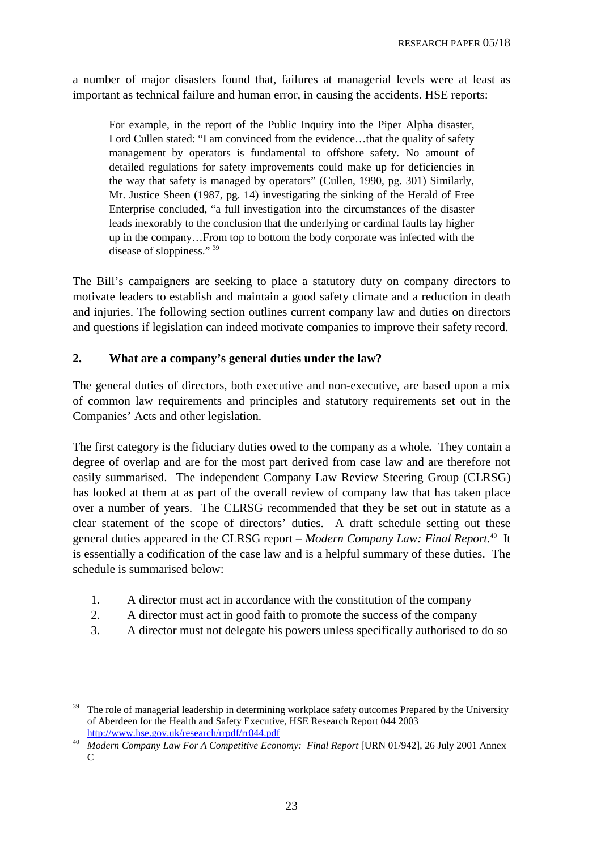a number of major disasters found that, failures at managerial levels were at least as important as technical failure and human error, in causing the accidents. HSE reports:

For example, in the report of the Public Inquiry into the Piper Alpha disaster, Lord Cullen stated: "I am convinced from the evidence…that the quality of safety management by operators is fundamental to offshore safety. No amount of detailed regulations for safety improvements could make up for deficiencies in the way that safety is managed by operators" (Cullen, 1990, pg. 301) Similarly, Mr. Justice Sheen (1987, pg. 14) investigating the sinking of the Herald of Free Enterprise concluded, "a full investigation into the circumstances of the disaster leads inexorably to the conclusion that the underlying or cardinal faults lay higher up in the company…From top to bottom the body corporate was infected with the disease of sloppiness." 39

The Bill's campaigners are seeking to place a statutory duty on company directors to motivate leaders to establish and maintain a good safety climate and a reduction in death and injuries. The following section outlines current company law and duties on directors and questions if legislation can indeed motivate companies to improve their safety record.

## **2. What are a company's general duties under the law?**

The general duties of directors, both executive and non-executive, are based upon a mix of common law requirements and principles and statutory requirements set out in the Companies' Acts and other legislation.

The first category is the fiduciary duties owed to the company as a whole. They contain a degree of overlap and are for the most part derived from case law and are therefore not easily summarised. The independent Company Law Review Steering Group (CLRSG) has looked at them at as part of the overall review of company law that has taken place over a number of years. The CLRSG recommended that they be set out in statute as a clear statement of the scope of directors' duties. A draft schedule setting out these general duties appeared in the CLRSG report – *Modern Company Law: Final Report.*40 It is essentially a codification of the case law and is a helpful summary of these duties. The schedule is summarised below:

- 1. A director must act in accordance with the constitution of the company
- 2. A director must act in good faith to promote the success of the company
- 3. A director must not delegate his powers unless specifically authorised to do so

<sup>&</sup>lt;sup>39</sup> The role of managerial leadership in determining workplace safety outcomes Prepared by the University of Aberdeen for the Health and Safety Executive, HSE Research Report 044 2003

<http://www.hse.gov.uk/research/rrpdf/rr044.pdf>40 *Modern Company Law For A Competitive Economy: Final Report* [URN 01/942], 26 July 2001 Annex  $\mathcal{C}$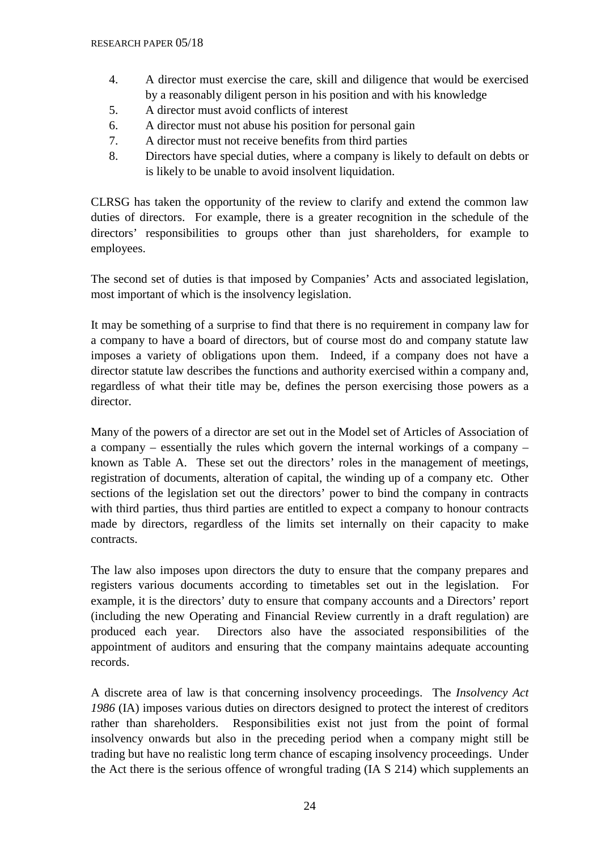- 4. A director must exercise the care, skill and diligence that would be exercised by a reasonably diligent person in his position and with his knowledge
- 5. A director must avoid conflicts of interest
- 6. A director must not abuse his position for personal gain
- 7. A director must not receive benefits from third parties
- 8. Directors have special duties, where a company is likely to default on debts or is likely to be unable to avoid insolvent liquidation.

CLRSG has taken the opportunity of the review to clarify and extend the common law duties of directors. For example, there is a greater recognition in the schedule of the directors' responsibilities to groups other than just shareholders, for example to employees.

The second set of duties is that imposed by Companies' Acts and associated legislation, most important of which is the insolvency legislation.

It may be something of a surprise to find that there is no requirement in company law for a company to have a board of directors, but of course most do and company statute law imposes a variety of obligations upon them. Indeed, if a company does not have a director statute law describes the functions and authority exercised within a company and, regardless of what their title may be, defines the person exercising those powers as a director.

Many of the powers of a director are set out in the Model set of Articles of Association of a company – essentially the rules which govern the internal workings of a company – known as Table A. These set out the directors' roles in the management of meetings, registration of documents, alteration of capital, the winding up of a company etc. Other sections of the legislation set out the directors' power to bind the company in contracts with third parties, thus third parties are entitled to expect a company to honour contracts made by directors, regardless of the limits set internally on their capacity to make contracts.

The law also imposes upon directors the duty to ensure that the company prepares and registers various documents according to timetables set out in the legislation. For example, it is the directors' duty to ensure that company accounts and a Directors' report (including the new Operating and Financial Review currently in a draft regulation) are produced each year. Directors also have the associated responsibilities of the appointment of auditors and ensuring that the company maintains adequate accounting records.

A discrete area of law is that concerning insolvency proceedings. The *Insolvency Act 1986* (IA) imposes various duties on directors designed to protect the interest of creditors rather than shareholders. Responsibilities exist not just from the point of formal insolvency onwards but also in the preceding period when a company might still be trading but have no realistic long term chance of escaping insolvency proceedings. Under the Act there is the serious offence of wrongful trading (IA S 214) which supplements an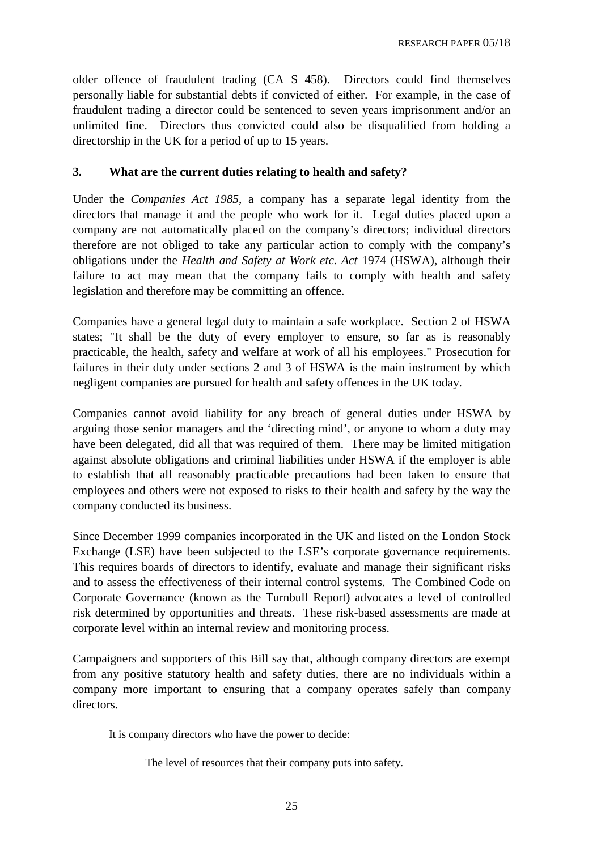older offence of fraudulent trading (CA S 458). Directors could find themselves personally liable for substantial debts if convicted of either. For example, in the case of fraudulent trading a director could be sentenced to seven years imprisonment and/or an unlimited fine. Directors thus convicted could also be disqualified from holding a directorship in the UK for a period of up to 15 years.

#### **3. What are the current duties relating to health and safety?**

Under the *Companies Act 1985*, a company has a separate legal identity from the directors that manage it and the people who work for it. Legal duties placed upon a company are not automatically placed on the company's directors; individual directors therefore are not obliged to take any particular action to comply with the company's obligations under the *Health and Safety at Work etc. Act* 1974 (HSWA), although their failure to act may mean that the company fails to comply with health and safety legislation and therefore may be committing an offence.

Companies have a general legal duty to maintain a safe workplace. Section 2 of HSWA states; "It shall be the duty of every employer to ensure, so far as is reasonably practicable, the health, safety and welfare at work of all his employees." Prosecution for failures in their duty under sections 2 and 3 of HSWA is the main instrument by which negligent companies are pursued for health and safety offences in the UK today.

Companies cannot avoid liability for any breach of general duties under HSWA by arguing those senior managers and the 'directing mind', or anyone to whom a duty may have been delegated, did all that was required of them. There may be limited mitigation against absolute obligations and criminal liabilities under HSWA if the employer is able to establish that all reasonably practicable precautions had been taken to ensure that employees and others were not exposed to risks to their health and safety by the way the company conducted its business.

Since December 1999 companies incorporated in the UK and listed on the London Stock Exchange (LSE) have been subjected to the LSE's corporate governance requirements. This requires boards of directors to identify, evaluate and manage their significant risks and to assess the effectiveness of their internal control systems. The Combined Code on Corporate Governance (known as the Turnbull Report) advocates a level of controlled risk determined by opportunities and threats. These risk-based assessments are made at corporate level within an internal review and monitoring process.

Campaigners and supporters of this Bill say that, although company directors are exempt from any positive statutory health and safety duties, there are no individuals within a company more important to ensuring that a company operates safely than company directors.

It is company directors who have the power to decide:

The level of resources that their company puts into safety.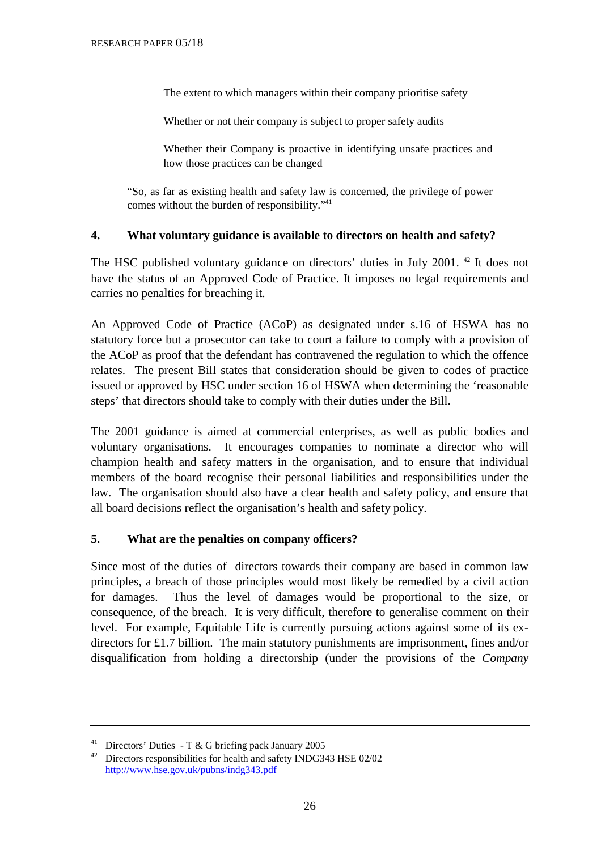The extent to which managers within their company prioritise safety

Whether or not their company is subject to proper safety audits

 Whether their Company is proactive in identifying unsafe practices and how those practices can be changed

"So, as far as existing health and safety law is concerned, the privilege of power comes without the burden of responsibility."41

#### **4. What voluntary guidance is available to directors on health and safety?**

The HSC published voluntary guidance on directors' duties in July 2001. 42 It does not have the status of an Approved Code of Practice. It imposes no legal requirements and carries no penalties for breaching it.

An Approved Code of Practice (ACoP) as designated under s.16 of HSWA has no statutory force but a prosecutor can take to court a failure to comply with a provision of the ACoP as proof that the defendant has contravened the regulation to which the offence relates. The present Bill states that consideration should be given to codes of practice issued or approved by HSC under section 16 of HSWA when determining the 'reasonable steps' that directors should take to comply with their duties under the Bill.

The 2001 guidance is aimed at commercial enterprises, as well as public bodies and voluntary organisations. It encourages companies to nominate a director who will champion health and safety matters in the organisation, and to ensure that individual members of the board recognise their personal liabilities and responsibilities under the law. The organisation should also have a clear health and safety policy, and ensure that all board decisions reflect the organisation's health and safety policy.

#### **5. What are the penalties on company officers?**

Since most of the duties of directors towards their company are based in common law principles, a breach of those principles would most likely be remedied by a civil action for damages. Thus the level of damages would be proportional to the size, or consequence, of the breach. It is very difficult, therefore to generalise comment on their level. For example, Equitable Life is currently pursuing actions against some of its exdirectors for £1.7 billion. The main statutory punishments are imprisonment, fines and/or disqualification from holding a directorship (under the provisions of the *Company* 

<sup>&</sup>lt;sup>41</sup> Directors' Duties - T & G briefing pack January 2005

<sup>42</sup> Directors responsibilities for health and safety INDG343 HSE 02/02 <http://www.hse.gov.uk/pubns/indg343.pdf>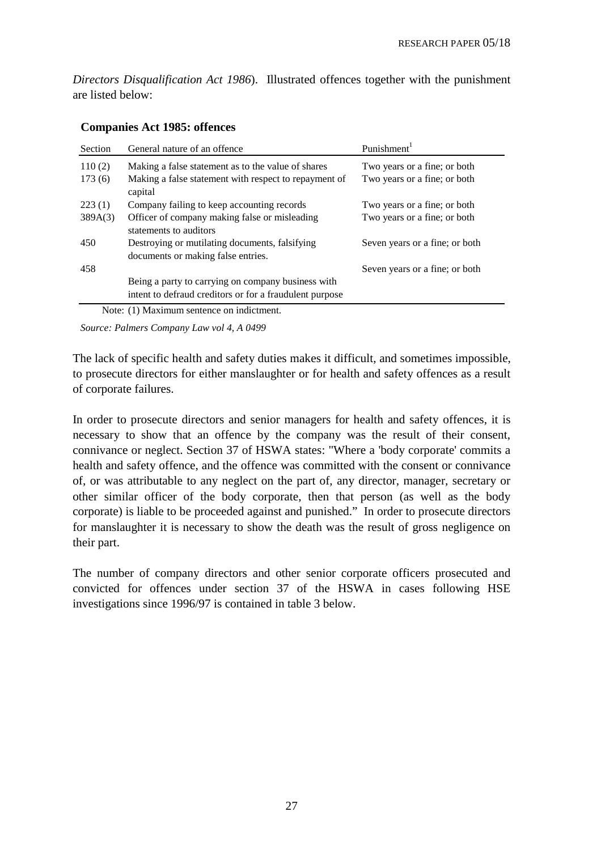*Directors Disqualification Act 1986*). Illustrated offences together with the punishment are listed below:

| Section | General nature of an offence                                                                                  | Punishment <sup>1</sup>        |
|---------|---------------------------------------------------------------------------------------------------------------|--------------------------------|
| 110(2)  | Making a false statement as to the value of shares                                                            | Two years or a fine; or both   |
| 173(6)  | Making a false statement with respect to repayment of<br>capital                                              | Two years or a fine; or both   |
| 223(1)  | Company failing to keep accounting records                                                                    | Two years or a fine; or both   |
| 389A(3) | Officer of company making false or misleading<br>statements to auditors                                       | Two years or a fine; or both   |
| 450     | Destroying or mutilating documents, falsifying<br>documents or making false entries.                          | Seven years or a fine; or both |
| 458     |                                                                                                               | Seven years or a fine; or both |
|         | Being a party to carrying on company business with<br>intent to defraud creditors or for a fraudulent purpose |                                |

#### **Companies Act 1985: offences**

Note: (1) Maximum sentence on indictment.

*Source: Palmers Company Law vol 4, A 0499*

The lack of specific health and safety duties makes it difficult, and sometimes impossible, to prosecute directors for either manslaughter or for health and safety offences as a result of corporate failures.

In order to prosecute directors and senior managers for health and safety offences, it is necessary to show that an offence by the company was the result of their consent, connivance or neglect. Section 37 of HSWA states: "Where a 'body corporate' commits a health and safety offence, and the offence was committed with the consent or connivance of, or was attributable to any neglect on the part of, any director, manager, secretary or other similar officer of the body corporate, then that person (as well as the body corporate) is liable to be proceeded against and punished." In order to prosecute directors for manslaughter it is necessary to show the death was the result of gross negligence on their part.

The number of company directors and other senior corporate officers prosecuted and convicted for offences under section 37 of the HSWA in cases following HSE investigations since 1996/97 is contained in table 3 below.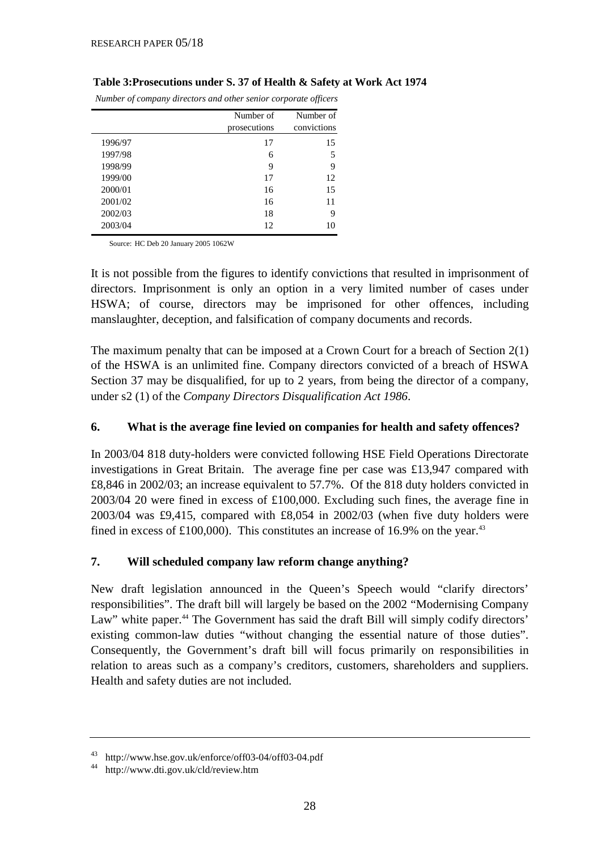|         | Number of<br>prosecutions | Number of<br>convictions |
|---------|---------------------------|--------------------------|
| 1996/97 | 17                        | 15                       |
| 1997/98 | 6                         | 5                        |
| 1998/99 | 9                         | 9                        |
| 1999/00 | 17                        | 12                       |
| 2000/01 | 16                        | 15                       |
| 2001/02 | 16                        | 11                       |
| 2002/03 | 18                        | 9                        |
| 2003/04 | 12                        | 10                       |

#### **Table 3:Prosecutions under S. 37 of Health & Safety at Work Act 1974**

 *Number of company directors and other senior corporate officers*

Source: HC Deb 20 January 2005 1062W

It is not possible from the figures to identify convictions that resulted in imprisonment of directors. Imprisonment is only an option in a very limited number of cases under HSWA; of course, directors may be imprisoned for other offences, including manslaughter, deception, and falsification of company documents and records.

The maximum penalty that can be imposed at a Crown Court for a breach of Section 2(1) of the HSWA is an unlimited fine. Company directors convicted of a breach of HSWA Section 37 may be disqualified, for up to 2 years, from being the director of a company, under s2 (1) of the *Company Directors Disqualification Act 1986*.

#### **6. What is the average fine levied on companies for health and safety offences?**

In 2003/04 818 duty-holders were convicted following HSE Field Operations Directorate investigations in Great Britain. The average fine per case was £13,947 compared with £8,846 in 2002/03; an increase equivalent to 57.7%. Of the 818 duty holders convicted in 2003/04 20 were fined in excess of £100,000. Excluding such fines, the average fine in 2003/04 was £9,415, compared with £8,054 in 2002/03 (when five duty holders were fined in excess of £100,000). This constitutes an increase of 16.9% on the year. $43$ 

## **7. Will scheduled company law reform change anything?**

New draft legislation announced in the Queen's Speech would "clarify directors' responsibilities". The draft bill will largely be based on the 2002 "Modernising Company Law" white paper.<sup>44</sup> The Government has said the draft Bill will simply codify directors' existing common-law duties "without changing the essential nature of those duties". Consequently, the Government's draft bill will focus primarily on responsibilities in relation to areas such as a company's creditors, customers, shareholders and suppliers. Health and safety duties are not included.

<sup>43</sup> <http://www.hse.gov.uk/enforce/off03-04/off03-04.pdf>

<sup>44</sup> <http://www.dti.gov.uk/cld/review.htm>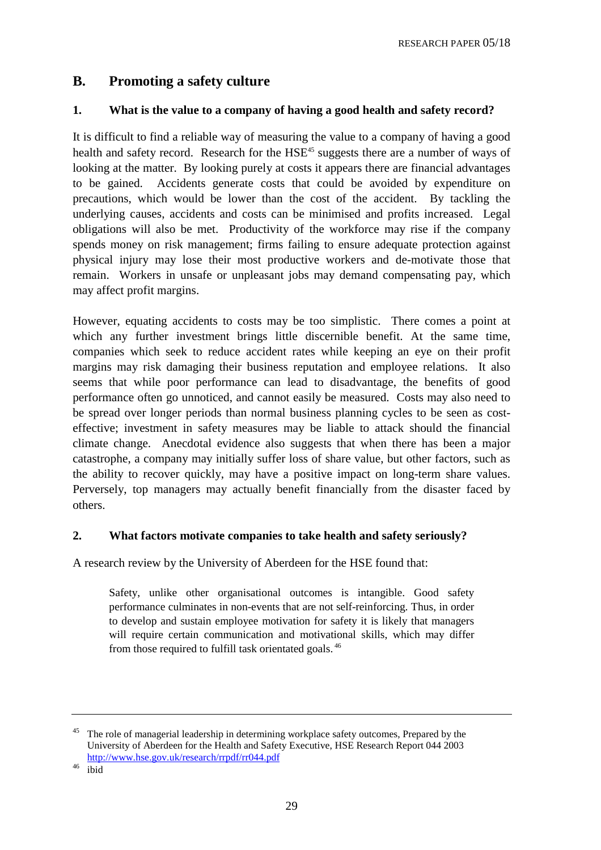# **B. Promoting a safety culture**

#### **1. What is the value to a company of having a good health and safety record?**

It is difficult to find a reliable way of measuring the value to a company of having a good health and safety record. Research for the HSE<sup>45</sup> suggests there are a number of ways of looking at the matter. By looking purely at costs it appears there are financial advantages to be gained. Accidents generate costs that could be avoided by expenditure on precautions, which would be lower than the cost of the accident. By tackling the underlying causes, accidents and costs can be minimised and profits increased. Legal obligations will also be met. Productivity of the workforce may rise if the company spends money on risk management; firms failing to ensure adequate protection against physical injury may lose their most productive workers and de-motivate those that remain. Workers in unsafe or unpleasant jobs may demand compensating pay, which may affect profit margins.

However, equating accidents to costs may be too simplistic. There comes a point at which any further investment brings little discernible benefit. At the same time, companies which seek to reduce accident rates while keeping an eye on their profit margins may risk damaging their business reputation and employee relations. It also seems that while poor performance can lead to disadvantage, the benefits of good performance often go unnoticed, and cannot easily be measured. Costs may also need to be spread over longer periods than normal business planning cycles to be seen as costeffective; investment in safety measures may be liable to attack should the financial climate change. Anecdotal evidence also suggests that when there has been a major catastrophe, a company may initially suffer loss of share value, but other factors, such as the ability to recover quickly, may have a positive impact on long-term share values. Perversely, top managers may actually benefit financially from the disaster faced by others.

#### **2. What factors motivate companies to take health and safety seriously?**

A research review by the University of Aberdeen for the HSE found that:

Safety, unlike other organisational outcomes is intangible. Good safety performance culminates in non-events that are not self-reinforcing. Thus, in order to develop and sustain employee motivation for safety it is likely that managers will require certain communication and motivational skills, which may differ from those required to fulfill task orientated goals. 46

<sup>&</sup>lt;sup>45</sup> The role of managerial leadership in determining workplace safety outcomes, Prepared by the University of Aberdeen for the Health and Safety Executive, HSE Research Report 044 2003 <http://www.hse.gov.uk/research/rrpdf/rr044.pdf>

<sup>46</sup> ibid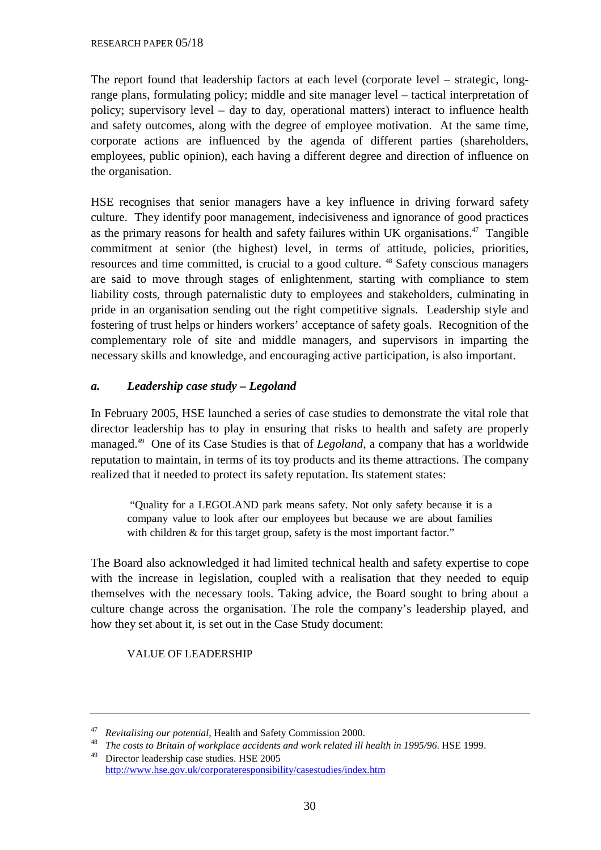The report found that leadership factors at each level (corporate level – strategic, longrange plans, formulating policy; middle and site manager level – tactical interpretation of policy; supervisory level – day to day, operational matters) interact to influence health and safety outcomes, along with the degree of employee motivation. At the same time, corporate actions are influenced by the agenda of different parties (shareholders, employees, public opinion), each having a different degree and direction of influence on the organisation.

HSE recognises that senior managers have a key influence in driving forward safety culture. They identify poor management, indecisiveness and ignorance of good practices as the primary reasons for health and safety failures within UK organisations.<sup>47</sup> Tangible commitment at senior (the highest) level, in terms of attitude, policies, priorities, resources and time committed, is crucial to a good culture. <sup>48</sup> Safety conscious managers are said to move through stages of enlightenment, starting with compliance to stem liability costs, through paternalistic duty to employees and stakeholders, culminating in pride in an organisation sending out the right competitive signals. Leadership style and fostering of trust helps or hinders workers' acceptance of safety goals. Recognition of the complementary role of site and middle managers, and supervisors in imparting the necessary skills and knowledge, and encouraging active participation, is also important.

#### *a. Leadership case study – Legoland*

In February 2005, HSE launched a series of case studies to demonstrate the vital role that director leadership has to play in ensuring that risks to health and safety are properly managed.49 One of its Case Studies is that of *Legoland*, a company that has a worldwide reputation to maintain, in terms of its toy products and its theme attractions. The company realized that it needed to protect its safety reputation. Its statement states:

 "Quality for a LEGOLAND park means safety. Not only safety because it is a company value to look after our employees but because we are about families with children & for this target group, safety is the most important factor."

The Board also acknowledged it had limited technical health and safety expertise to cope with the increase in legislation, coupled with a realisation that they needed to equip themselves with the necessary tools. Taking advice, the Board sought to bring about a culture change across the organisation. The role the company's leadership played, and how they set about it, is set out in the Case Study document:

#### VALUE OF LEADERSHIP

<sup>47</sup> *Revitalising our potential*, Health and Safety Commission 2000.

<sup>&</sup>lt;sup>48</sup> *The costs to Britain of workplace accidents and work related ill health in 1995/96. HSE 1999.*<br><sup>49</sup> Directed to bright in the USE 2005 49 Director leadership case studies. HSE 2005 <http://www.hse.gov.uk/corporateresponsibility/casestudies/index.htm>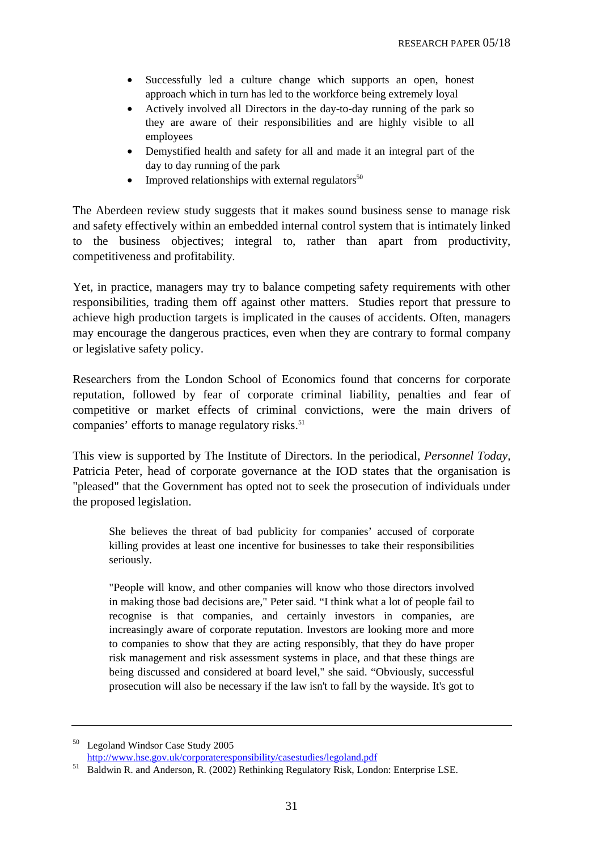- Successfully led a culture change which supports an open, honest approach which in turn has led to the workforce being extremely loyal
- Actively involved all Directors in the day-to-day running of the park so they are aware of their responsibilities and are highly visible to all employees
- Demystified health and safety for all and made it an integral part of the day to day running of the park
- Improved relationships with external regulators $50$

The Aberdeen review study suggests that it makes sound business sense to manage risk and safety effectively within an embedded internal control system that is intimately linked to the business objectives; integral to, rather than apart from productivity, competitiveness and profitability.

Yet, in practice, managers may try to balance competing safety requirements with other responsibilities, trading them off against other matters. Studies report that pressure to achieve high production targets is implicated in the causes of accidents. Often, managers may encourage the dangerous practices, even when they are contrary to formal company or legislative safety policy.

Researchers from the London School of Economics found that concerns for corporate reputation, followed by fear of corporate criminal liability, penalties and fear of competitive or market effects of criminal convictions, were the main drivers of companies' efforts to manage regulatory risks.<sup>51</sup>

This view is supported by The Institute of Directors. In the periodical, *Personnel Today,*  Patricia Peter, head of corporate governance at the IOD states that the organisation is "pleased" that the Government has opted not to seek the prosecution of individuals under the proposed legislation.

She believes the threat of bad publicity for companies' accused of corporate killing provides at least one incentive for businesses to take their responsibilities seriously.

"People will know, and other companies will know who those directors involved in making those bad decisions are," Peter said. "I think what a lot of people fail to recognise is that companies, and certainly investors in companies, are increasingly aware of corporate reputation. Investors are looking more and more to companies to show that they are acting responsibly, that they do have proper risk management and risk assessment systems in place, and that these things are being discussed and considered at board level," she said. "Obviously, successful prosecution will also be necessary if the law isn't to fall by the wayside. It's got to

<sup>&</sup>lt;sup>50</sup> Legoland Windsor Case Study 2005<br>http://www.hse.gov.uk/corporateresponsibility/casestudies/legoland.pdf

<sup>&</sup>lt;sup>51</sup> Baldwin R. and Anderson, R. (2002) Rethinking Regulatory Risk, London: Enterprise LSE.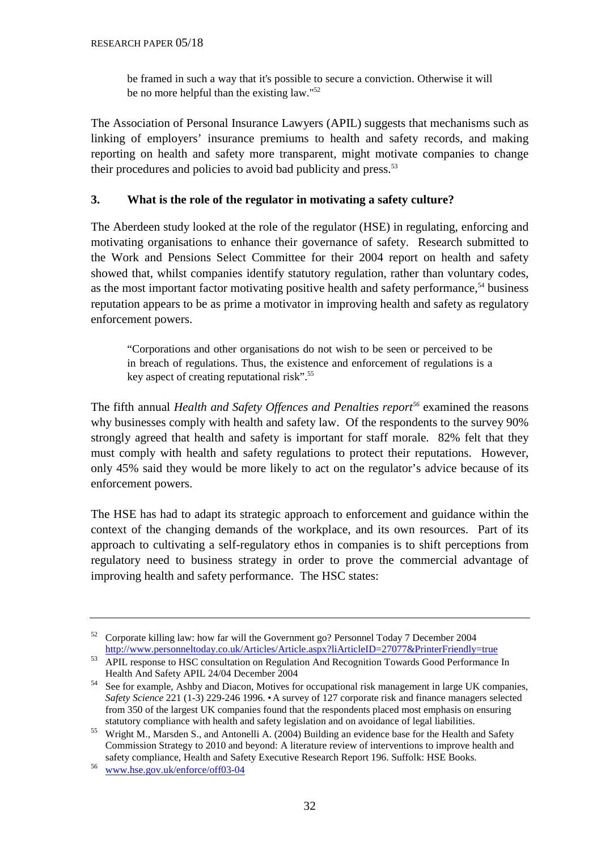be framed in such a way that it's possible to secure a conviction. Otherwise it will be no more helpful than the existing law."52

The Association of Personal Insurance Lawyers (APIL) suggests that mechanisms such as linking of employers' insurance premiums to health and safety records, and making reporting on health and safety more transparent, might motivate companies to change their procedures and policies to avoid bad publicity and press.<sup>53</sup>

## **3. What is the role of the regulator in motivating a safety culture?**

The Aberdeen study looked at the role of the regulator (HSE) in regulating, enforcing and motivating organisations to enhance their governance of safety. Research submitted to the Work and Pensions Select Committee for their 2004 report on health and safety showed that, whilst companies identify statutory regulation, rather than voluntary codes, as the most important factor motivating positive health and safety performance, $54$  business reputation appears to be as prime a motivator in improving health and safety as regulatory enforcement powers.

"Corporations and other organisations do not wish to be seen or perceived to be in breach of regulations. Thus, the existence and enforcement of regulations is a key aspect of creating reputational risk".<sup>55</sup>

The fifth annual *Health and Safety Offences and Penalties report*<sup>56</sup> examined the reasons why businesses comply with health and safety law. Of the respondents to the survey 90% strongly agreed that health and safety is important for staff morale. 82% felt that they must comply with health and safety regulations to protect their reputations. However, only 45% said they would be more likely to act on the regulator's advice because of its enforcement powers.

The HSE has had to adapt its strategic approach to enforcement and guidance within the context of the changing demands of the workplace, and its own resources. Part of its approach to cultivating a self-regulatory ethos in companies is to shift perceptions from regulatory need to business strategy in order to prove the commercial advantage of improving health and safety performance. The HSC states:

<sup>&</sup>lt;sup>52</sup> Corporate killing law: how far will the Government go? Personnel Today 7 December 2004<br>http://www.personneltoday.co.uk/Articles/Article.aspx?liArticleID=27077&PrinterFriendly=true

http://www.personneltoday.com/27077/27077/27077/27077/27077/27077/27077/27077/27077/27077/2707/2707/2707/2707/<br>APIL response to HSC consultation on Regulation And Recognition Towards Good Performance In Health And Safety APIL 24/04 December 2004

<sup>54</sup> See for example, Ashby and Diacon, Motives for occupational risk management in large UK companies, *Safety Science* 221 (1-3) 229-246 1996. • A survey of 127 corporate risk and finance managers selected from 350 of the largest UK companies found that the respondents placed most emphasis on ensuring statutory compliance with health and safety legislation and on avoidance of legal liabilities.

<sup>&</sup>lt;sup>55</sup> Wright M., Marsden S., and Antonelli A. (2004) Building an evidence base for the Health and Safety Commission Strategy to 2010 and beyond: A literature review of interventions to improve health and safety compliance, Health and Safety Executive Research Report 196. Suffolk: HSE Books.

<sup>56</sup> [www.hse.gov.uk/enforce/off03-04](http://www.hse.gov.uk/enforce/off03-04/)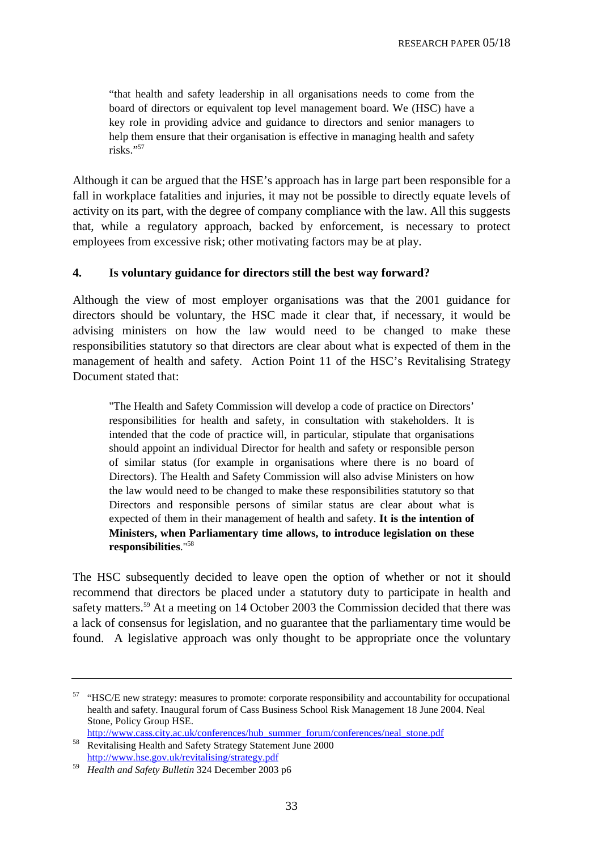"that health and safety leadership in all organisations needs to come from the board of directors or equivalent top level management board. We (HSC) have a key role in providing advice and guidance to directors and senior managers to help them ensure that their organisation is effective in managing health and safety  $ris\bar{k}s.$ "

Although it can be argued that the HSE's approach has in large part been responsible for a fall in workplace fatalities and injuries, it may not be possible to directly equate levels of activity on its part, with the degree of company compliance with the law. All this suggests that, while a regulatory approach, backed by enforcement, is necessary to protect employees from excessive risk; other motivating factors may be at play.

#### **4. Is voluntary guidance for directors still the best way forward?**

Although the view of most employer organisations was that the 2001 guidance for directors should be voluntary, the HSC made it clear that, if necessary, it would be advising ministers on how the law would need to be changed to make these responsibilities statutory so that directors are clear about what is expected of them in the management of health and safety. Action Point 11 of the HSC's Revitalising Strategy Document stated that:

"The Health and Safety Commission will develop a code of practice on Directors' responsibilities for health and safety, in consultation with stakeholders. It is intended that the code of practice will, in particular, stipulate that organisations should appoint an individual Director for health and safety or responsible person of similar status (for example in organisations where there is no board of Directors). The Health and Safety Commission will also advise Ministers on how the law would need to be changed to make these responsibilities statutory so that Directors and responsible persons of similar status are clear about what is expected of them in their management of health and safety. **It is the intention of Ministers, when Parliamentary time allows, to introduce legislation on these responsibilities**."58

The HSC subsequently decided to leave open the option of whether or not it should recommend that directors be placed under a statutory duty to participate in health and safety matters.<sup>59</sup> At a meeting on 14 October 2003 the Commission decided that there was a lack of consensus for legislation, and no guarantee that the parliamentary time would be found. A legislative approach was only thought to be appropriate once the voluntary

<sup>&</sup>lt;sup>57</sup> "HSC/E new strategy: measures to promote: corporate responsibility and accountability for occupational health and safety. Inaugural forum of Cass Business School Risk Management 18 June 2004. Neal Stone, Policy Group HSE.

http://www.cass.city.ac.uk/conferences/hub\_summer\_forum/conferences/neal\_stone.pdf<br>Revitalising Health and Safety Strategy Statement June 2000<br>http://www.hse.gov.uk/revitalising/strategy.pdf

<sup>&</sup>lt;sup>59</sup> Health and Safety Bulletin 324 December 2003 p6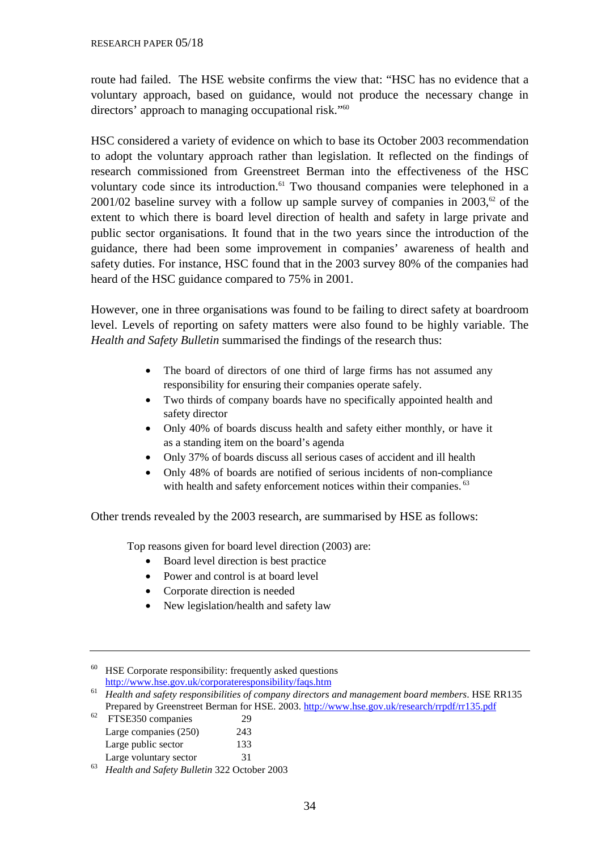route had failed. The HSE website confirms the view that: "HSC has no evidence that a voluntary approach, based on guidance, would not produce the necessary change in directors' approach to managing occupational risk."<sup>60</sup>

HSC considered a variety of evidence on which to base its October 2003 recommendation to adopt the voluntary approach rather than legislation. It reflected on the findings of research commissioned from Greenstreet Berman into the effectiveness of the HSC voluntary code since its introduction.<sup>61</sup> Two thousand companies were telephoned in a 2001/02 baseline survey with a follow up sample survey of companies in  $2003$ ,<sup> $\sigma$ </sup> of the extent to which there is board level direction of health and safety in large private and public sector organisations. It found that in the two years since the introduction of the guidance, there had been some improvement in companies' awareness of health and safety duties. For instance, HSC found that in the 2003 survey 80% of the companies had heard of the HSC guidance compared to 75% in 2001.

However, one in three organisations was found to be failing to direct safety at boardroom level. Levels of reporting on safety matters were also found to be highly variable. The *Health and Safety Bulletin* summarised the findings of the research thus:

- The board of directors of one third of large firms has not assumed any responsibility for ensuring their companies operate safely.
- Two thirds of company boards have no specifically appointed health and safety director
- Only 40% of boards discuss health and safety either monthly, or have it as a standing item on the board's agenda
- Only 37% of boards discuss all serious cases of accident and ill health
- Only 48% of boards are notified of serious incidents of non-compliance with health and safety enforcement notices within their companies.<sup>63</sup>

Other trends revealed by the 2003 research, are summarised by HSE as follows:

Top reasons given for board level direction (2003) are:

- Board level direction is best practice
- Power and control is at board level
- Corporate direction is needed
- New legislation/health and safety law

<sup>&</sup>lt;sup>60</sup> HSE Corporate responsibility: frequently asked questions http://www.hse.gov.uk/corporateresponsibility/faqs.htm

<sup>&</sup>lt;sup>61</sup> Health and safety responsibilities of company directors and management board members. HSE RR135 Prepared by Greenstreet Berman for HSE. 2003.<http://www.hse.gov.uk/research/rrpdf/rr135.pdf>FTSE350 companies 29

Large companies (250) 243

Large public sector 133

Large voluntary sector 31

<sup>63</sup> *Health and Safety Bulletin* 322 October 2003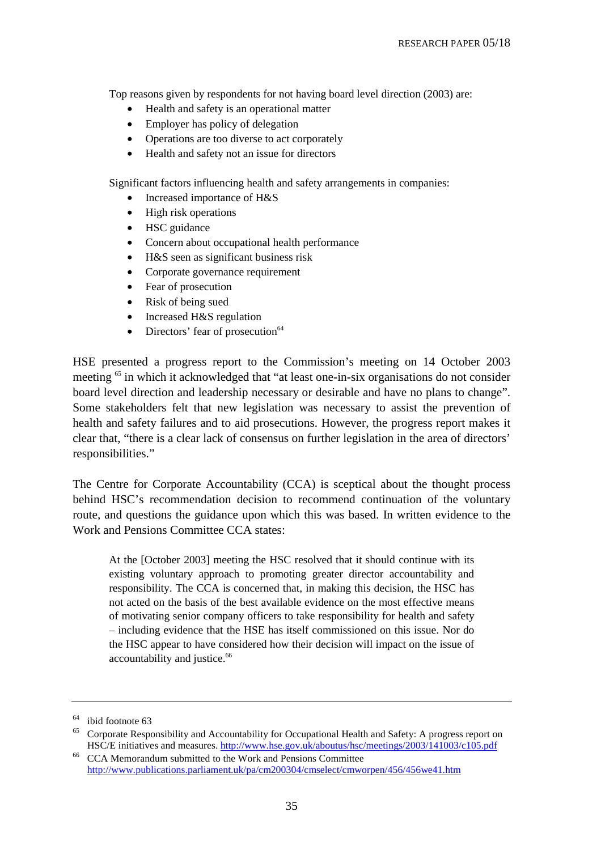Top reasons given by respondents for not having board level direction (2003) are:

- Health and safety is an operational matter
- Employer has policy of delegation
- Operations are too diverse to act corporately
- Health and safety not an issue for directors

Significant factors influencing health and safety arrangements in companies:

- Increased importance of H&S
- High risk operations
- HSC guidance
- Concern about occupational health performance
- H&S seen as significant business risk
- Corporate governance requirement
- Fear of prosecution
- Risk of being sued
- Increased H&S regulation
- Directors' fear of prosecution<sup>64</sup>

HSE presented a progress report to the Commission's meeting on 14 October 2003 meeting 65 in which it acknowledged that "at least one-in-six organisations do not consider board level direction and leadership necessary or desirable and have no plans to change". Some stakeholders felt that new legislation was necessary to assist the prevention of health and safety failures and to aid prosecutions. However, the progress report makes it clear that, "there is a clear lack of consensus on further legislation in the area of directors' responsibilities."

The Centre for Corporate Accountability (CCA) is sceptical about the thought process behind HSC's recommendation decision to recommend continuation of the voluntary route, and questions the guidance upon which this was based. In written evidence to the Work and Pensions Committee CCA states:

At the [October 2003] meeting the HSC resolved that it should continue with its existing voluntary approach to promoting greater director accountability and responsibility. The CCA is concerned that, in making this decision, the HSC has not acted on the basis of the best available evidence on the most effective means of motivating senior company officers to take responsibility for health and safety – including evidence that the HSE has itself commissioned on this issue. Nor do the HSC appear to have considered how their decision will impact on the issue of accountability and justice.<sup>66</sup>

<sup>64</sup> ibid footnote 63

<sup>65</sup> Corporate Responsibility and Accountability for Occupational Health and Safety: A progress report on HSC/E initiatives and measures.<http://www.hse.gov.uk/aboutus/hsc/meetings/2003/141003/c105.pdf>CCA Memorandum submitted to the Work and Pensions Committee

<http://www.publications.parliament.uk/pa/cm200304/cmselect/cmworpen/456/456we41.htm>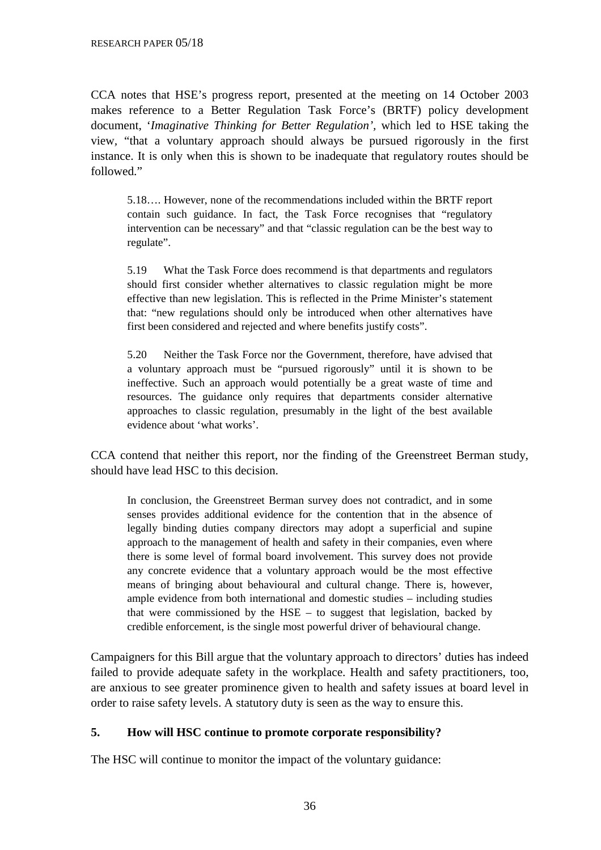CCA notes that HSE's progress report, presented at the meeting on 14 October 2003 makes reference to a Better Regulation Task Force's (BRTF) policy development document, '*Imaginative Thinking for Better Regulation',* which led to HSE taking the view*,* "that a voluntary approach should always be pursued rigorously in the first instance. It is only when this is shown to be inadequate that regulatory routes should be followed."

5.18…. However, none of the recommendations included within the BRTF report contain such guidance. In fact, the Task Force recognises that "regulatory intervention can be necessary" and that "classic regulation can be the best way to regulate".

5.19 What the Task Force does recommend is that departments and regulators should first consider whether alternatives to classic regulation might be more effective than new legislation. This is reflected in the Prime Minister's statement that: "new regulations should only be introduced when other alternatives have first been considered and rejected and where benefits justify costs".

5.20 Neither the Task Force nor the Government, therefore, have advised that a voluntary approach must be "pursued rigorously" until it is shown to be ineffective. Such an approach would potentially be a great waste of time and resources. The guidance only requires that departments consider alternative approaches to classic regulation, presumably in the light of the best available evidence about 'what works'.

CCA contend that neither this report, nor the finding of the Greenstreet Berman study, should have lead HSC to this decision.

In conclusion, the Greenstreet Berman survey does not contradict, and in some senses provides additional evidence for the contention that in the absence of legally binding duties company directors may adopt a superficial and supine approach to the management of health and safety in their companies, even where there is some level of formal board involvement. This survey does not provide any concrete evidence that a voluntary approach would be the most effective means of bringing about behavioural and cultural change. There is, however, ample evidence from both international and domestic studies – including studies that were commissioned by the HSE – to suggest that legislation, backed by credible enforcement, is the single most powerful driver of behavioural change.

Campaigners for this Bill argue that the voluntary approach to directors' duties has indeed failed to provide adequate safety in the workplace. Health and safety practitioners, too, are anxious to see greater prominence given to health and safety issues at board level in order to raise safety levels. A statutory duty is seen as the way to ensure this.

#### **5. How will HSC continue to promote corporate responsibility?**

The HSC will continue to monitor the impact of the voluntary guidance: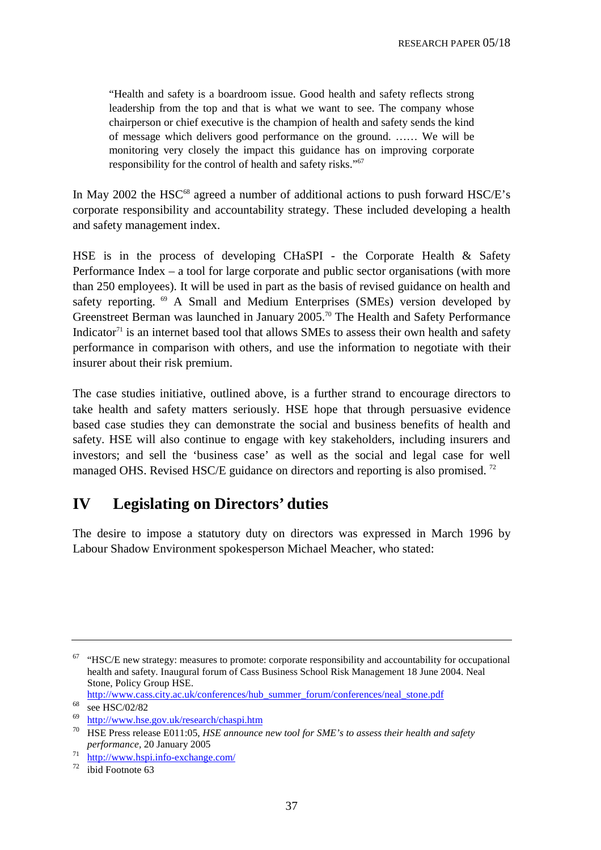"Health and safety is a boardroom issue. Good health and safety reflects strong leadership from the top and that is what we want to see. The company whose chairperson or chief executive is the champion of health and safety sends the kind of message which delivers good performance on the ground. …… We will be monitoring very closely the impact this guidance has on improving corporate responsibility for the control of health and safety risks."<sup>67</sup>

In May 2002 the HSC<sup>68</sup> agreed a number of additional actions to push forward HSC $/E$ 's corporate responsibility and accountability strategy. These included developing a health and safety management index.

HSE is in the process of developing CHaSPI - the Corporate Health & Safety Performance Index – a tool for large corporate and public sector organisations (with more than 250 employees). It will be used in part as the basis of revised guidance on health and safety reporting. <sup>69</sup> A Small and Medium Enterprises (SMEs) version developed by Greenstreet Berman was launched in January 2005.70 The Health and Safety Performance Indicator<sup>71</sup> is an internet based tool that allows SMEs to assess their own health and safety performance in comparison with others, and use the information to negotiate with their insurer about their risk premium.

The case studies initiative, outlined above, is a further strand to encourage directors to take health and safety matters seriously. HSE hope that through persuasive evidence based case studies they can demonstrate the social and business benefits of health and safety. HSE will also continue to engage with key stakeholders, including insurers and investors; and sell the 'business case' as well as the social and legal case for well managed OHS. Revised HSC/E guidance on directors and reporting is also promised.<sup>72</sup>

# **IV Legislating on Directors' duties**

The desire to impose a statutory duty on directors was expressed in March 1996 by Labour Shadow Environment spokesperson Michael Meacher, who stated:

http://www.cass.city.ac.uk/conferences/hub\_summer\_forum/conferences/neal\_stone.pdf<br>  $\frac{68}{68}$  see HSC/02/82

 $67$  "HSC/E new strategy: measures to promote: corporate responsibility and accountability for occupational health and safety. Inaugural forum of Cass Business School Risk Management 18 June 2004. Neal Stone, Policy Group HSE.

<http://www.hse.gov.uk/research/chaspi.htm><br> [HSE Press release E011:05,](http://www.hse.gov.uk/research/chaspi.htm) *HSE announce new tool for SME's to assess their health and safety performance,* 20 January 2005

 $rac{71}{72}$  http://www.hspi.info-exchange.com/<br>ibid Footnote 63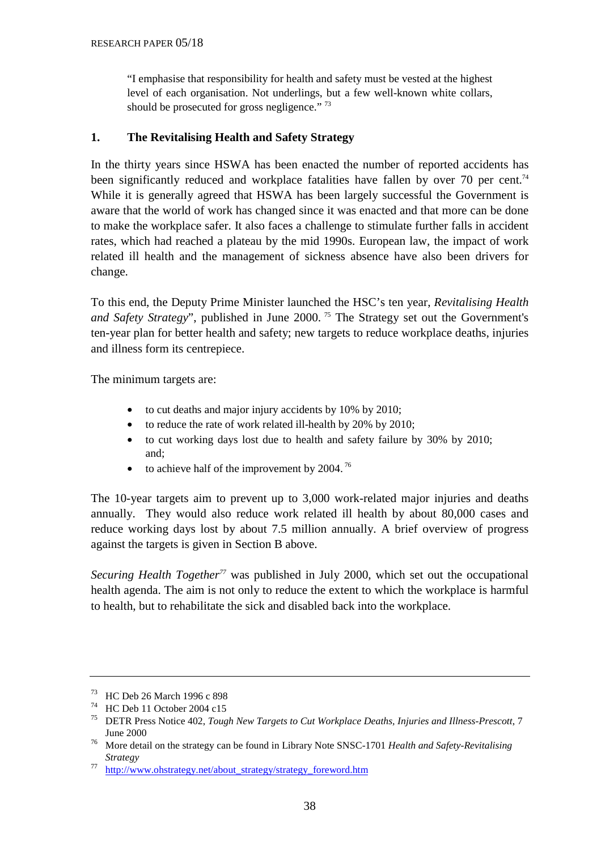"I emphasise that responsibility for health and safety must be vested at the highest level of each organisation. Not underlings, but a few well-known white collars, should be prosecuted for gross negligence."<sup>73</sup>

### **1. The Revitalising Health and Safety Strategy**

In the thirty years since HSWA has been enacted the number of reported accidents has been significantly reduced and workplace fatalities have fallen by over 70 per cent.<sup>74</sup> While it is generally agreed that HSWA has been largely successful the Government is aware that the world of work has changed since it was enacted and that more can be done to make the workplace safer. It also faces a challenge to stimulate further falls in accident rates, which had reached a plateau by the mid 1990s. European law, the impact of work related ill health and the management of sickness absence have also been drivers for change.

To this end, the Deputy Prime Minister launched the HSC's ten year, *Revitalising Health*  and Safety Strategy", published in June 2000.<sup>75</sup> The Strategy set out the Government's ten-year plan for better health and safety; new targets to reduce workplace deaths, injuries and illness form its centrepiece.

The minimum targets are:

- to cut deaths and major injury accidents by 10% by 2010;
- to reduce the rate of work related ill-health by 20% by 2010;
- to cut working days lost due to health and safety failure by 30% by 2010; and;
- to achieve half of the improvement by  $2004$ .<sup>76</sup>

The 10-year targets aim to prevent up to 3,000 work-related major injuries and deaths annually. They would also reduce work related ill health by about 80,000 cases and reduce working days lost by about 7.5 million annually. A brief overview of progress against the targets is given in Section B above.

*Securing Health Together*<sup>77</sup> was published in July 2000, which set out the occupational health agenda. The aim is not only to reduce the extent to which the workplace is harmful to health, but to rehabilitate the sick and disabled back into the workplace.

 $^{73}$  HC Deb 26 March 1996 c 898

<sup>&</sup>lt;sup> $14$ </sup> HC Deb 11 October 2004 c15

<sup>75</sup> DETR Press Notice 402, *Tough New Targets to Cut Workplace Deaths, Injuries and Illness-Prescott*, 7

June 2000 76 More detail on the strategy can be found in Library Note SNSC-1701 *Health and Safety-Revitalising Strategy*<br><sup>77</sup> http://www.ohstrategy.net/about\_strategy/strategy\_foreword.htm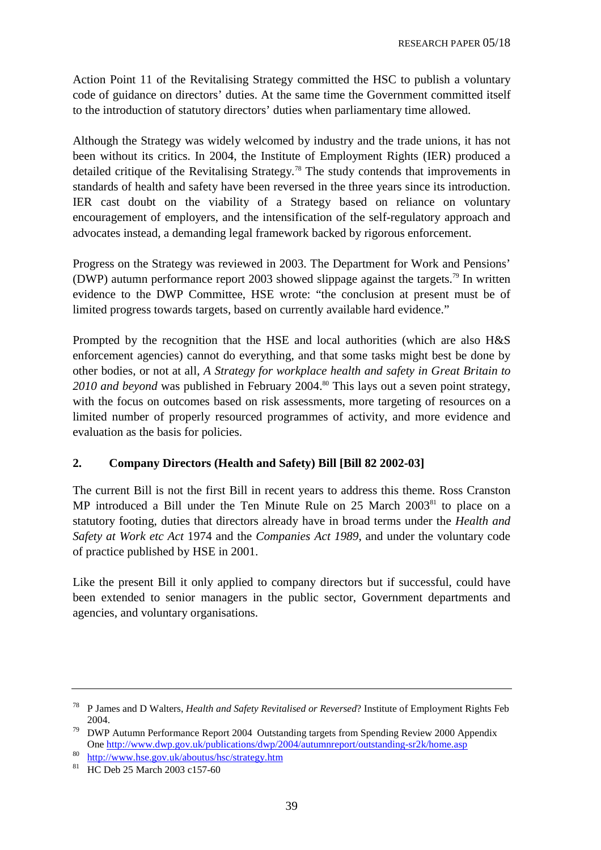Action Point 11 of the Revitalising Strategy committed the HSC to publish a voluntary code of guidance on directors' duties. At the same time the Government committed itself to the introduction of statutory directors' duties when parliamentary time allowed.

Although the Strategy was widely welcomed by industry and the trade unions, it has not been without its critics. In 2004, the Institute of Employment Rights (IER) produced a detailed critique of the Revitalising Strategy*.* 78 The study contends that improvements in standards of health and safety have been reversed in the three years since its introduction. IER cast doubt on the viability of a Strategy based on reliance on voluntary encouragement of employers, and the intensification of the self-regulatory approach and advocates instead, a demanding legal framework backed by rigorous enforcement.

Progress on the Strategy was reviewed in 2003. The Department for Work and Pensions' (DWP) autumn performance report 2003 showed slippage against the targets.79 In written evidence to the DWP Committee, HSE wrote: "the conclusion at present must be of limited progress towards targets, based on currently available hard evidence."

Prompted by the recognition that the HSE and local authorities (which are also H&S enforcement agencies) cannot do everything, and that some tasks might best be done by other bodies, or not at all, *A Strategy for workplace health and safety in Great Britain to*  2010 and beyond was published in February 2004.<sup>80</sup> This lays out a seven point strategy, with the focus on outcomes based on risk assessments, more targeting of resources on a limited number of properly resourced programmes of activity, and more evidence and evaluation as the basis for policies.

### **2. Company Directors (Health and Safety) Bill [Bill 82 2002-03]**

The current Bill is not the first Bill in recent years to address this theme. Ross Cranston MP introduced a Bill under the Ten Minute Rule on  $25$  March  $2003<sup>81</sup>$  to place on a statutory footing, duties that directors already have in broad terms under the *Health and Safety at Work etc Act* 1974 and the *Companies Act 1989*, and under the voluntary code of practice published by HSE in 2001.

Like the present Bill it only applied to company directors but if successful, could have been extended to senior managers in the public sector, Government departments and agencies, and voluntary organisations.

<sup>78</sup> P James and D Walters, *Health and Safety Revitalised or Reversed*? Institute of Employment Rights Feb 2004.

 $79$  DWP Autumn Performance Report 2004 Outstanding targets from Spending Review 2000 Appendix One<http://www.dwp.gov.uk/publications/dwp/2004/autumnreport/outstanding-sr2k/home.asp><br>
<sup>80</sup> <http://www.hse.gov.uk/aboutus/hsc/strategy.htm><br>
<sup>81</sup> HC Deb 25 March 2003 c157-60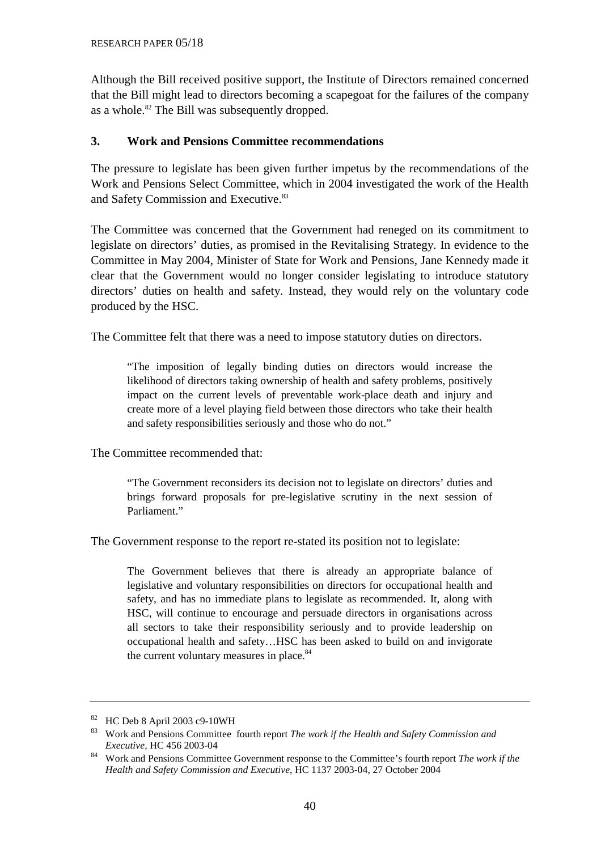Although the Bill received positive support, the Institute of Directors remained concerned that the Bill might lead to directors becoming a scapegoat for the failures of the company as a whole.<sup>82</sup> The Bill was subsequently dropped.

### **3. Work and Pensions Committee recommendations**

The pressure to legislate has been given further impetus by the recommendations of the Work and Pensions Select Committee, which in 2004 investigated the work of the Health and Safety Commission and Executive.<sup>83</sup>

The Committee was concerned that the Government had reneged on its commitment to legislate on directors' duties, as promised in the Revitalising Strategy. In evidence to the Committee in May 2004, Minister of State for Work and Pensions, Jane Kennedy made it clear that the Government would no longer consider legislating to introduce statutory directors' duties on health and safety. Instead, they would rely on the voluntary code produced by the HSC.

The Committee felt that there was a need to impose statutory duties on directors.

"The imposition of legally binding duties on directors would increase the likelihood of directors taking ownership of health and safety problems, positively impact on the current levels of preventable work-place death and injury and create more of a level playing field between those directors who take their health and safety responsibilities seriously and those who do not."

The Committee recommended that:

"The Government reconsiders its decision not to legislate on directors' duties and brings forward proposals for pre-legislative scrutiny in the next session of Parliament."

The Government response to the report re-stated its position not to legislate:

The Government believes that there is already an appropriate balance of legislative and voluntary responsibilities on directors for occupational health and safety, and has no immediate plans to legislate as recommended. It, along with HSC, will continue to encourage and persuade directors in organisations across all sectors to take their responsibility seriously and to provide leadership on occupational health and safety…HSC has been asked to build on and invigorate the current voluntary measures in place.<sup>84</sup>

<sup>82</sup> HC Deb 8 April 2003 c9-10WH

<sup>83</sup> Work and Pensions Committee fourth report *The work if the Health and Safety Commission and Executive*, HC 456 2003-04

<sup>84</sup> Work and Pensions Committee Government response to the Committee's fourth report *The work if the Health and Safety Commission and Executive*, HC 1137 2003-04, 27 October 2004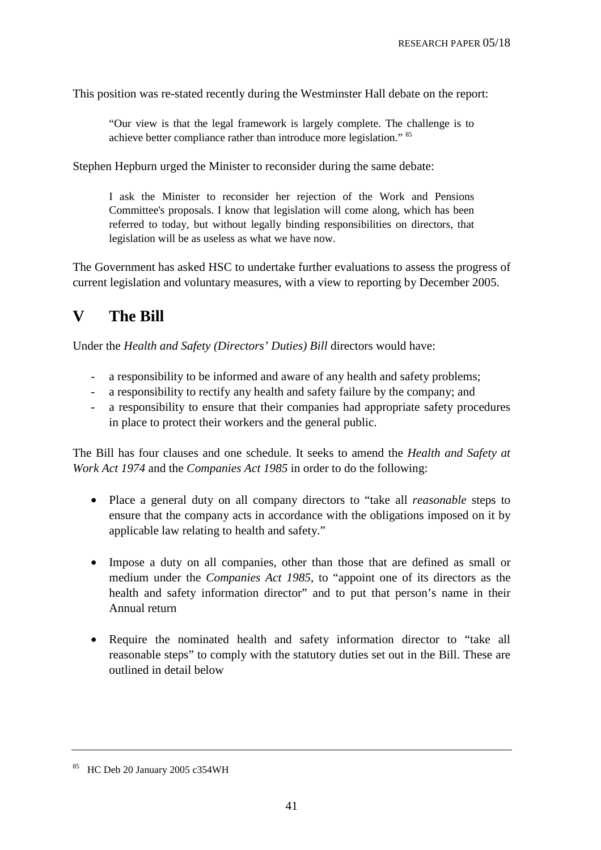This position was re-stated recently during the Westminster Hall debate on the report:

"Our view is that the legal framework is largely complete. The challenge is to achieve better compliance rather than introduce more legislation." 85

Stephen Hepburn urged the Minister to reconsider during the same debate:

I ask the Minister to reconsider her rejection of the Work and Pensions Committee's proposals. I know that legislation will come along, which has been referred to today, but without legally binding responsibilities on directors, that legislation will be as useless as what we have now.

The Government has asked HSC to undertake further evaluations to assess the progress of current legislation and voluntary measures, with a view to reporting by December 2005.

# **V The Bill**

Under the *Health and Safety (Directors' Duties) Bill* directors would have:

- a responsibility to be informed and aware of any health and safety problems;
- a responsibility to rectify any health and safety failure by the company; and
- a responsibility to ensure that their companies had appropriate safety procedures in place to protect their workers and the general public.

The Bill has four clauses and one schedule. It seeks to amend the *Health and Safety at Work Act 1974* and the *Companies Act 1985* in order to do the following:

- Place a general duty on all company directors to "take all *reasonable* steps to ensure that the company acts in accordance with the obligations imposed on it by applicable law relating to health and safety."
- Impose a duty on all companies, other than those that are defined as small or medium under the *Companies Act 1985*, to "appoint one of its directors as the health and safety information director" and to put that person's name in their Annual return
- Require the nominated health and safety information director to "take all reasonable steps" to comply with the statutory duties set out in the Bill. These are outlined in detail below

<sup>85</sup> HC Deb 20 January 2005 c354WH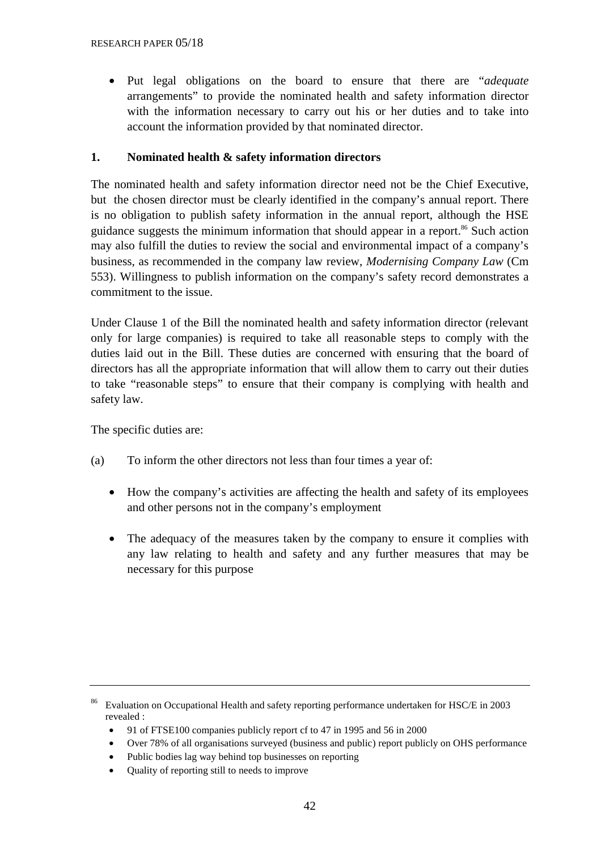• Put legal obligations on the board to ensure that there are "*adequate* arrangements" to provide the nominated health and safety information director with the information necessary to carry out his or her duties and to take into account the information provided by that nominated director.

# **1. Nominated health & safety information directors**

The nominated health and safety information director need not be the Chief Executive, but the chosen director must be clearly identified in the company's annual report. There is no obligation to publish safety information in the annual report, although the HSE guidance suggests the minimum information that should appear in a report.<sup>86</sup> Such action may also fulfill the duties to review the social and environmental impact of a company's business, as recommended in the company law review, *Modernising Company Law* (Cm 553). Willingness to publish information on the company's safety record demonstrates a commitment to the issue.

Under Clause 1 of the Bill the nominated health and safety information director (relevant only for large companies) is required to take all reasonable steps to comply with the duties laid out in the Bill. These duties are concerned with ensuring that the board of directors has all the appropriate information that will allow them to carry out their duties to take "reasonable steps" to ensure that their company is complying with health and safety law.

The specific duties are:

- (a) To inform the other directors not less than four times a year of:
	- How the company's activities are affecting the health and safety of its employees and other persons not in the company's employment
	- The adequacy of the measures taken by the company to ensure it complies with any law relating to health and safety and any further measures that may be necessary for this purpose

- 91 of FTSE100 companies publicly report cf to 47 in 1995 and 56 in 2000
- Over 78% of all organisations surveyed (business and public) report publicly on OHS performance
- Public bodies lag way behind top businesses on reporting
- Quality of reporting still to needs to improve

<sup>&</sup>lt;sup>86</sup> Evaluation on Occupational Health and safety reporting performance undertaken for HSC/E in 2003 revealed :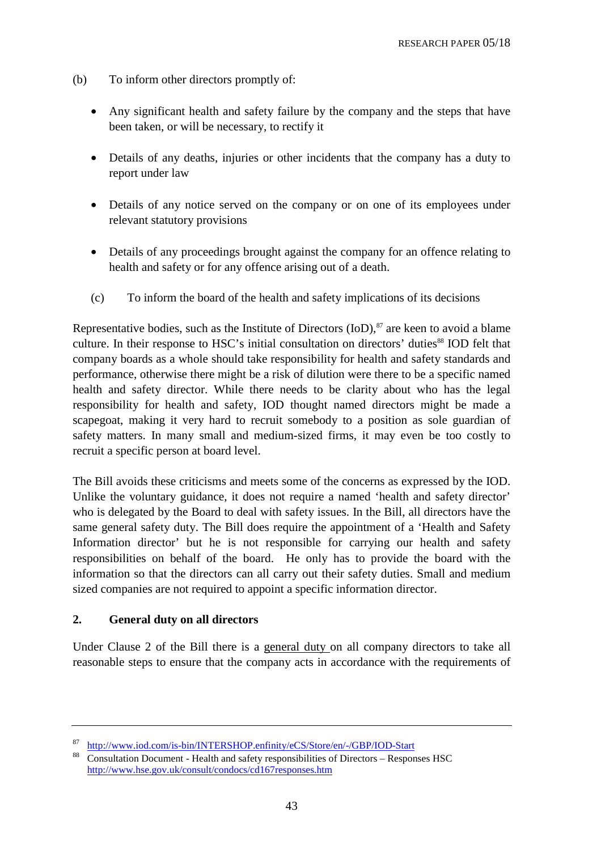- (b) To inform other directors promptly of:
	- Any significant health and safety failure by the company and the steps that have been taken, or will be necessary, to rectify it
	- Details of any deaths, injuries or other incidents that the company has a duty to report under law
	- Details of any notice served on the company or on one of its employees under relevant statutory provisions
	- Details of any proceedings brought against the company for an offence relating to health and safety or for any offence arising out of a death.
	- (c) To inform the board of the health and safety implications of its decisions

Representative bodies, such as the Institute of Directors  $(IoD)$ ,  $\frac{87}{3}$  are keen to avoid a blame culture. In their response to HSC's initial consultation on directors' duties<sup>88</sup> IOD felt that company boards as a whole should take responsibility for health and safety standards and performance, otherwise there might be a risk of dilution were there to be a specific named health and safety director. While there needs to be clarity about who has the legal responsibility for health and safety, IOD thought named directors might be made a scapegoat, making it very hard to recruit somebody to a position as sole guardian of safety matters. In many small and medium-sized firms, it may even be too costly to recruit a specific person at board level.

The Bill avoids these criticisms and meets some of the concerns as expressed by the IOD. Unlike the voluntary guidance, it does not require a named 'health and safety director' who is delegated by the Board to deal with safety issues. In the Bill, all directors have the same general safety duty. The Bill does require the appointment of a 'Health and Safety Information director' but he is not responsible for carrying our health and safety responsibilities on behalf of the board. He only has to provide the board with the information so that the directors can all carry out their safety duties. Small and medium sized companies are not required to appoint a specific information director.

### **2. General duty on all directors**

Under Clause 2 of the Bill there is a general duty on all company directors to take all reasonable steps to ensure that the company acts in accordance with the requirements of

http://www.iod.com/is-bin/INTERSHOP.enfinity/eCS/Store/en/-/GBP/IOD-Start<br>[Consultation Document - Health and safety responsibilities of Directors – Respons](http://www.iod.com/is-bin/INTERSHOP.enfinity/eCS/Store/en/-/GBP/IOD-Start)es HSC <http://www.hse.gov.uk/consult/condocs/cd167responses.htm>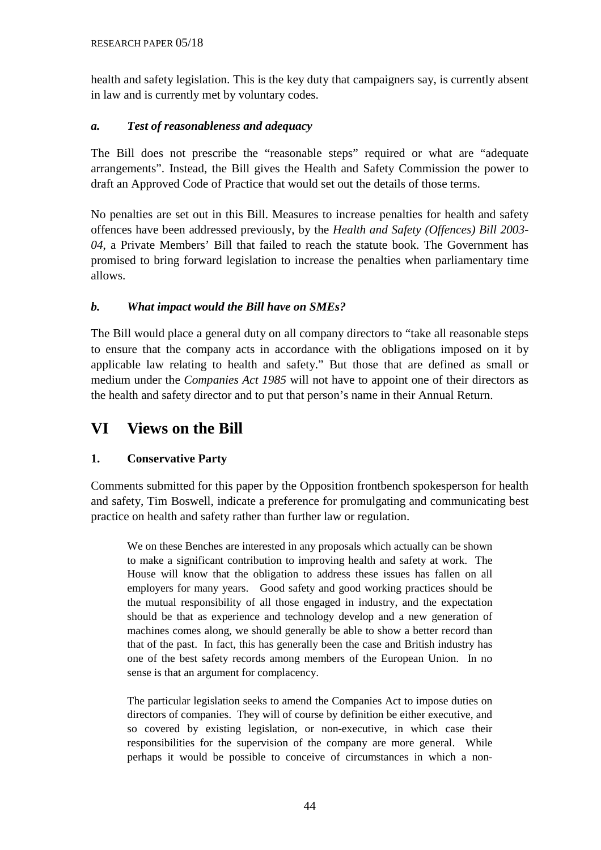health and safety legislation. This is the key duty that campaigners say, is currently absent in law and is currently met by voluntary codes.

# *a. Test of reasonableness and adequacy*

The Bill does not prescribe the "reasonable steps" required or what are "adequate arrangements". Instead, the Bill gives the Health and Safety Commission the power to draft an Approved Code of Practice that would set out the details of those terms.

No penalties are set out in this Bill. Measures to increase penalties for health and safety offences have been addressed previously, by the *Health and Safety (Offences) Bill 2003- 04*, a Private Members' Bill that failed to reach the statute book. The Government has promised to bring forward legislation to increase the penalties when parliamentary time allows.

# *b. What impact would the Bill have on SMEs?*

The Bill would place a general duty on all company directors to "take all reasonable steps to ensure that the company acts in accordance with the obligations imposed on it by applicable law relating to health and safety." But those that are defined as small or medium under the *Companies Act 1985* will not have to appoint one of their directors as the health and safety director and to put that person's name in their Annual Return.

# **VI Views on the Bill**

# **1. Conservative Party**

Comments submitted for this paper by the Opposition frontbench spokesperson for health and safety, Tim Boswell, indicate a preference for promulgating and communicating best practice on health and safety rather than further law or regulation.

We on these Benches are interested in any proposals which actually can be shown to make a significant contribution to improving health and safety at work. The House will know that the obligation to address these issues has fallen on all employers for many years. Good safety and good working practices should be the mutual responsibility of all those engaged in industry, and the expectation should be that as experience and technology develop and a new generation of machines comes along, we should generally be able to show a better record than that of the past. In fact, this has generally been the case and British industry has one of the best safety records among members of the European Union. In no sense is that an argument for complacency.

The particular legislation seeks to amend the Companies Act to impose duties on directors of companies. They will of course by definition be either executive, and so covered by existing legislation, or non-executive, in which case their responsibilities for the supervision of the company are more general. While perhaps it would be possible to conceive of circumstances in which a non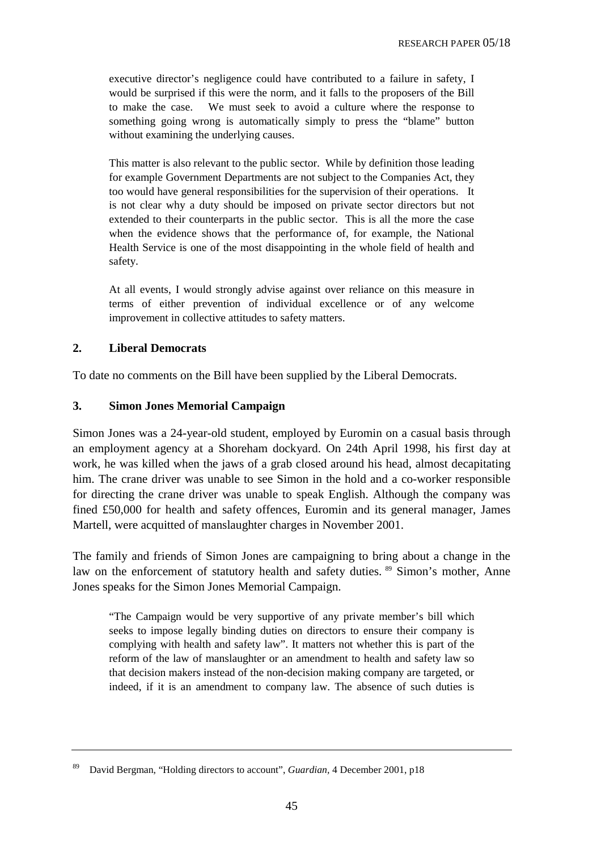executive director's negligence could have contributed to a failure in safety, I would be surprised if this were the norm, and it falls to the proposers of the Bill to make the case. We must seek to avoid a culture where the response to something going wrong is automatically simply to press the "blame" button without examining the underlying causes.

This matter is also relevant to the public sector. While by definition those leading for example Government Departments are not subject to the Companies Act, they too would have general responsibilities for the supervision of their operations. It is not clear why a duty should be imposed on private sector directors but not extended to their counterparts in the public sector. This is all the more the case when the evidence shows that the performance of, for example, the National Health Service is one of the most disappointing in the whole field of health and safety.

At all events, I would strongly advise against over reliance on this measure in terms of either prevention of individual excellence or of any welcome improvement in collective attitudes to safety matters.

### **2. Liberal Democrats**

To date no comments on the Bill have been supplied by the Liberal Democrats.

### **3. Simon Jones Memorial Campaign**

Simon Jones was a 24-year-old student, employed by Euromin on a casual basis through an employment agency at a Shoreham dockyard. On 24th April 1998, his first day at work, he was killed when the jaws of a grab closed around his head, almost decapitating him. The crane driver was unable to see Simon in the hold and a co-worker responsible for directing the crane driver was unable to speak English. Although the company was fined £50,000 for health and safety offences, Euromin and its general manager, James Martell, were acquitted of manslaughter charges in November 2001.

The family and friends of Simon Jones are campaigning to bring about a change in the law on the enforcement of statutory health and safety duties. <sup>89</sup> Simon's mother, Anne Jones speaks for the Simon Jones Memorial Campaign.

"The Campaign would be very supportive of any private member's bill which seeks to impose legally binding duties on directors to ensure their company is complying with health and safety law". It matters not whether this is part of the reform of the law of manslaughter or an amendment to health and safety law so that decision makers instead of the non-decision making company are targeted, or indeed, if it is an amendment to company law. The absence of such duties is

<sup>89</sup> David Bergman, "Holding directors to account", *Guardian,* 4 December 2001, p18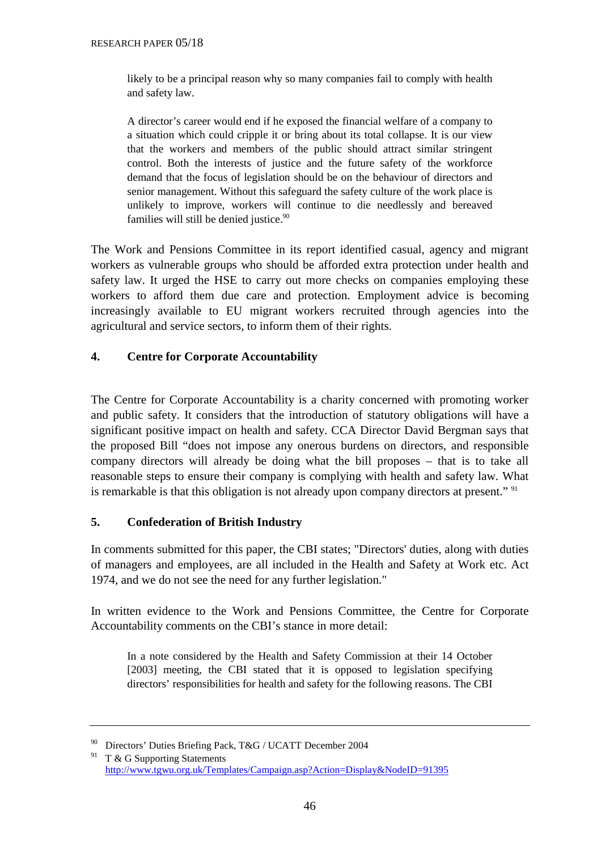likely to be a principal reason why so many companies fail to comply with health and safety law.

A director's career would end if he exposed the financial welfare of a company to a situation which could cripple it or bring about its total collapse. It is our view that the workers and members of the public should attract similar stringent control. Both the interests of justice and the future safety of the workforce demand that the focus of legislation should be on the behaviour of directors and senior management. Without this safeguard the safety culture of the work place is unlikely to improve, workers will continue to die needlessly and bereaved families will still be denied justice.<sup>90</sup>

The Work and Pensions Committee in its report identified casual, agency and migrant workers as vulnerable groups who should be afforded extra protection under health and safety law. It urged the HSE to carry out more checks on companies employing these workers to afford them due care and protection. Employment advice is becoming increasingly available to EU migrant workers recruited through agencies into the agricultural and service sectors, to inform them of their rights.

### **4. Centre for Corporate Accountability**

The Centre for Corporate Accountability is a charity concerned with promoting worker and public safety. It considers that the introduction of statutory obligations will have a significant positive impact on health and safety. CCA Director David Bergman says that the proposed Bill "does not impose any onerous burdens on directors, and responsible company directors will already be doing what the bill proposes – that is to take all reasonable steps to ensure their company is complying with health and safety law. What is remarkable is that this obligation is not already upon company directors at present." <sup>91</sup>

### **5. Confederation of British Industry**

In comments submitted for this paper, the CBI states; "Directors' duties, along with duties of managers and employees, are all included in the Health and Safety at Work etc. Act 1974, and we do not see the need for any further legislation."

In written evidence to the Work and Pensions Committee, the Centre for Corporate Accountability comments on the CBI's stance in more detail:

In a note considered by the Health and Safety Commission at their 14 October [2003] meeting, the CBI stated that it is opposed to legislation specifying directors' responsibilities for health and safety for the following reasons. The CBI

<sup>90</sup> Directors' Duties Briefing Pack, T&G / UCATT December 2004

<sup>&</sup>lt;sup>91</sup> T & G Supporting Statements <http://www.tgwu.org.uk/Templates/Campaign.asp?Action=Display&NodeID=91395>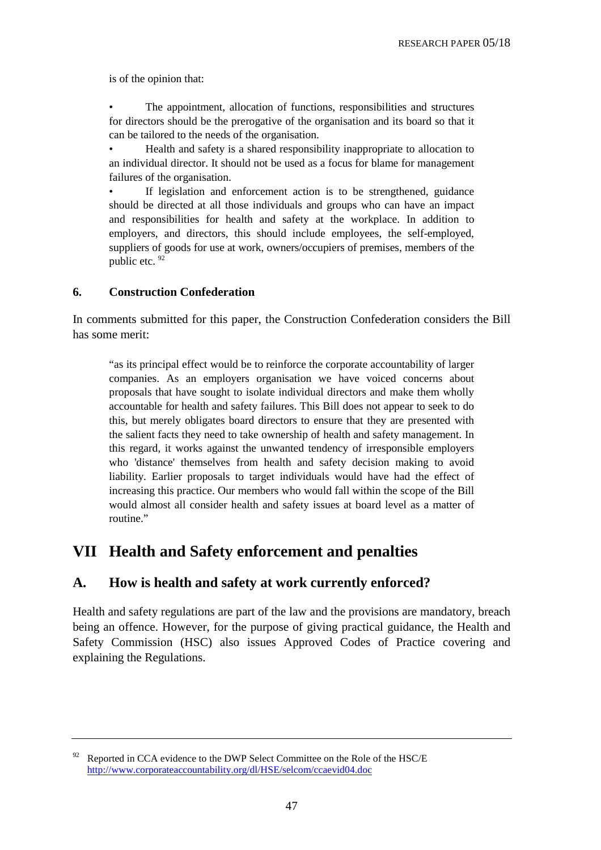is of the opinion that:

The appointment, allocation of functions, responsibilities and structures for directors should be the prerogative of the organisation and its board so that it can be tailored to the needs of the organisation.

• Health and safety is a shared responsibility inappropriate to allocation to an individual director. It should not be used as a focus for blame for management failures of the organisation.

If legislation and enforcement action is to be strengthened, guidance should be directed at all those individuals and groups who can have an impact and responsibilities for health and safety at the workplace. In addition to employers, and directors, this should include employees, the self-employed, suppliers of goods for use at work, owners/occupiers of premises, members of the public etc. 92

### **6. Construction Confederation**

In comments submitted for this paper, the Construction Confederation considers the Bill has some merit:

"as its principal effect would be to reinforce the corporate accountability of larger companies. As an employers organisation we have voiced concerns about proposals that have sought to isolate individual directors and make them wholly accountable for health and safety failures. This Bill does not appear to seek to do this, but merely obligates board directors to ensure that they are presented with the salient facts they need to take ownership of health and safety management. In this regard, it works against the unwanted tendency of irresponsible employers who 'distance' themselves from health and safety decision making to avoid liability. Earlier proposals to target individuals would have had the effect of increasing this practice. Our members who would fall within the scope of the Bill would almost all consider health and safety issues at board level as a matter of routine"

# **VII Health and Safety enforcement and penalties**

# **A. How is health and safety at work currently enforced?**

Health and safety regulations are part of the law and the provisions are mandatory, breach being an offence. However, for the purpose of giving practical guidance, the Health and Safety Commission (HSC) also issues Approved Codes of Practice covering and explaining the Regulations.

 $92$  Reported in CCA evidence to the DWP Select Committee on the Role of the HSC/E <http://www.corporateaccountability.org/dl/HSE/selcom/ccaevid04.doc>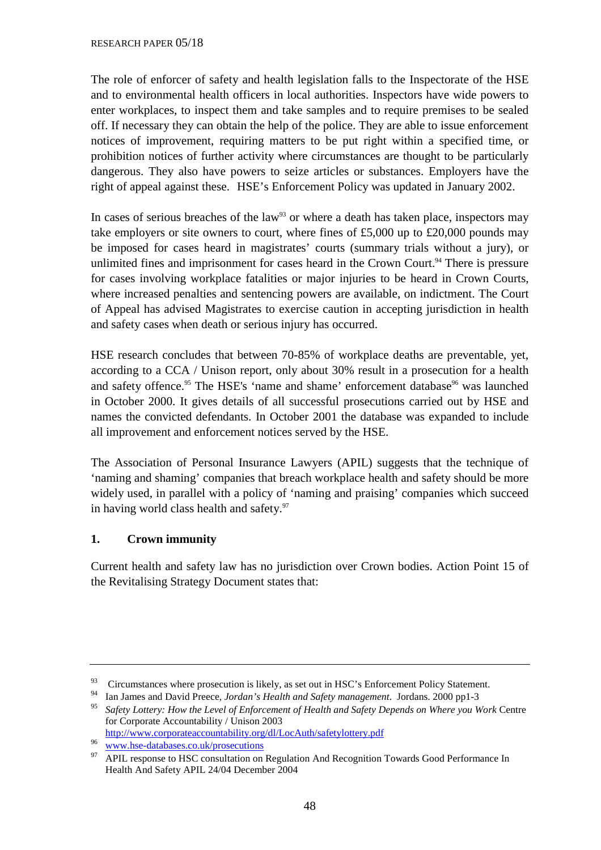The role of enforcer of safety and health legislation falls to the Inspectorate of the HSE and to environmental health officers in local authorities. Inspectors have wide powers to enter workplaces, to inspect them and take samples and to require premises to be sealed off. If necessary they can obtain the help of the police. They are able to issue enforcement notices of improvement, requiring matters to be put right within a specified time, or prohibition notices of further activity where circumstances are thought to be particularly dangerous. They also have powers to seize articles or substances. Employers have the right of appeal against these. HSE's Enforcement Policy was updated in January 2002.

In cases of serious breaches of the law<sup>93</sup> or where a death has taken place, inspectors may take employers or site owners to court, where fines of £5,000 up to £20,000 pounds may be imposed for cases heard in magistrates' courts (summary trials without a jury), or unlimited fines and imprisonment for cases heard in the Crown Court.<sup>94</sup> There is pressure for cases involving workplace fatalities or major injuries to be heard in Crown Courts, where increased penalties and sentencing powers are available, on indictment. The Court of Appeal has advised Magistrates to exercise caution in accepting jurisdiction in health and safety cases when death or serious injury has occurred.

HSE research concludes that between 70-85% of workplace deaths are preventable, yet, according to a CCA / Unison report, only about 30% result in a prosecution for a health and safety offence.<sup>95</sup> The HSE's 'name and shame' enforcement database<sup>96</sup> was launched in October 2000. It gives details of all successful prosecutions carried out by HSE and names the convicted defendants. In October 2001 the database was expanded to include all improvement and enforcement notices served by the HSE.

The Association of Personal Insurance Lawyers (APIL) suggests that the technique of 'naming and shaming' companies that breach workplace health and safety should be more widely used, in parallel with a policy of 'naming and praising' companies which succeed in having world class health and safety.<sup>97</sup>

# **1. Crown immunity**

Current health and safety law has no jurisdiction over Crown bodies. Action Point 15 of the Revitalising Strategy Document states that:

<sup>&</sup>lt;sup>93</sup> Circumstances where prosecution is likely, as set out in HSC's Enforcement Policy Statement.

<sup>94</sup> Ian James and David Preece, *Jordan's Health and Safety management*. Jordans. 2000 pp1-3

<sup>95</sup> *Safety Lottery: How the Level of Enforcement of Health and Safety Depends on Where you Work* Centre for Corporate Accountability / Unison 2003

<http://www.corporateaccountability.org/dl/LocAuth/safetylottery.pdf>

<sup>&</sup>lt;sup>96</sup> www.hse-databases.co.uk/prosecutions<br><sup>97</sup> APIL response to HSC consultation on Regulation And Recognition Towards Good Performance In Health And Safety APIL 24/04 December 2004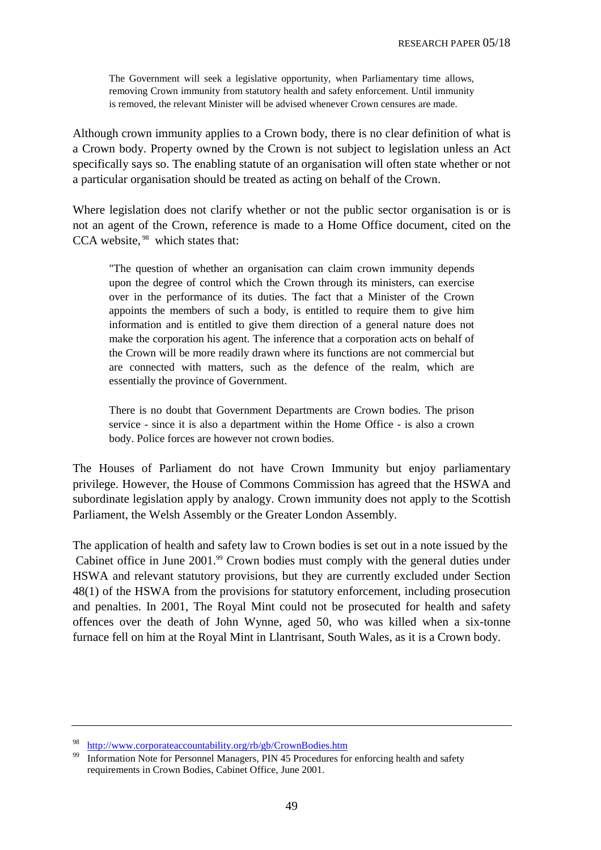The Government will seek a legislative opportunity, when Parliamentary time allows, removing Crown immunity from statutory health and safety enforcement. Until immunity is removed, the relevant Minister will be advised whenever Crown censures are made.

Although crown immunity applies to a Crown body, there is no clear definition of what is a Crown body. Property owned by the Crown is not subject to legislation unless an Act specifically says so. The enabling statute of an organisation will often state whether or not a particular organisation should be treated as acting on behalf of the Crown.

Where legislation does not clarify whether or not the public sector organisation is or is not an agent of the Crown, reference is made to a Home Office document, cited on the CCA website, <sup>98</sup> which states that:

"The question of whether an organisation can claim crown immunity depends upon the degree of control which the Crown through its ministers, can exercise over in the performance of its duties. The fact that a Minister of the Crown appoints the members of such a body, is entitled to require them to give him information and is entitled to give them direction of a general nature does not make the corporation his agent. The inference that a corporation acts on behalf of the Crown will be more readily drawn where its functions are not commercial but are connected with matters, such as the defence of the realm, which are essentially the province of Government.

There is no doubt that Government Departments are Crown bodies. The prison service - since it is also a department within the Home Office - is also a crown body. Police forces are however not crown bodies.

The Houses of Parliament do not have Crown Immunity but enjoy parliamentary privilege. However, the House of Commons Commission has agreed that the HSWA and subordinate legislation apply by analogy. Crown immunity does not apply to the Scottish Parliament, the Welsh Assembly or the Greater London Assembly.

The application of health and safety law to Crown bodies is set out in a note issued by the Cabinet office in June 2001.<sup>99</sup> Crown bodies must comply with the general duties under HSWA and relevant statutory provisions, but they are currently excluded under Section 48(1) of the HSWA from the provisions for statutory enforcement, including prosecution and penalties. In 2001, The Royal Mint could not be prosecuted for health and safety offences over the death of John Wynne, aged 50, who was killed when a six-tonne furnace fell on him at the Royal Mint in Llantrisant, South Wales, as it is a Crown body.

http://www.corporateaccountability.org/rb/gb/CrownBodies.htm<br>Information Note for Personnel Managers, PIN 45 Procedures for enforcing health and safety requirements in Crown Bodies, Cabinet Office, June 2001.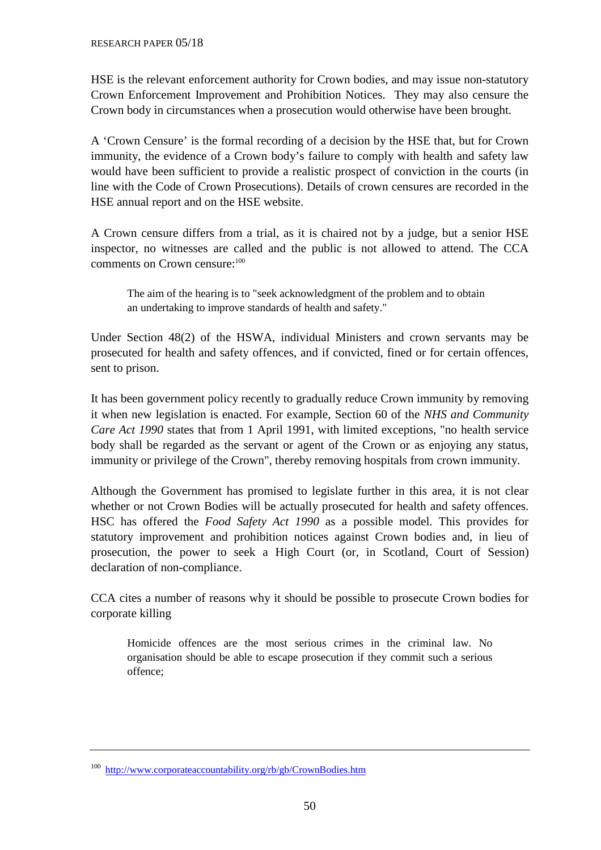HSE is the relevant enforcement authority for Crown bodies, and may issue non-statutory Crown Enforcement Improvement and Prohibition Notices. They may also censure the Crown body in circumstances when a prosecution would otherwise have been brought.

A 'Crown Censure' is the formal recording of a decision by the HSE that, but for Crown immunity, the evidence of a Crown body's failure to comply with health and safety law would have been sufficient to provide a realistic prospect of conviction in the courts (in line with the Code of Crown Prosecutions). Details of crown censures are recorded in the HSE annual report and on the HSE website.

A Crown censure differs from a trial, as it is chaired not by a judge, but a senior HSE inspector, no witnesses are called and the public is not allowed to attend. The CCA comments on Crown censure:<sup>100</sup>

The aim of the hearing is to "seek acknowledgment of the problem and to obtain an undertaking to improve standards of health and safety."

Under Section 48(2) of the HSWA, individual Ministers and crown servants may be prosecuted for health and safety offences, and if convicted, fined or for certain offences, sent to prison.

It has been government policy recently to gradually reduce Crown immunity by removing it when new legislation is enacted. For example, Section 60 of the *NHS and Community Care Act 1990* states that from 1 April 1991, with limited exceptions, "no health service body shall be regarded as the servant or agent of the Crown or as enjoying any status, immunity or privilege of the Crown", thereby removing hospitals from crown immunity.

Although the Government has promised to legislate further in this area, it is not clear whether or not Crown Bodies will be actually prosecuted for health and safety offences. HSC has offered the *Food Safety Act 1990* as a possible model. This provides for statutory improvement and prohibition notices against Crown bodies and, in lieu of prosecution, the power to seek a High Court (or, in Scotland, Court of Session) declaration of non-compliance.

CCA cites a number of reasons why it should be possible to prosecute Crown bodies for corporate killing

Homicide offences are the most serious crimes in the criminal law. No organisation should be able to escape prosecution if they commit such a serious offence;

<sup>100</sup><http://www.corporateaccountability.org/rb/gb/CrownBodies.htm>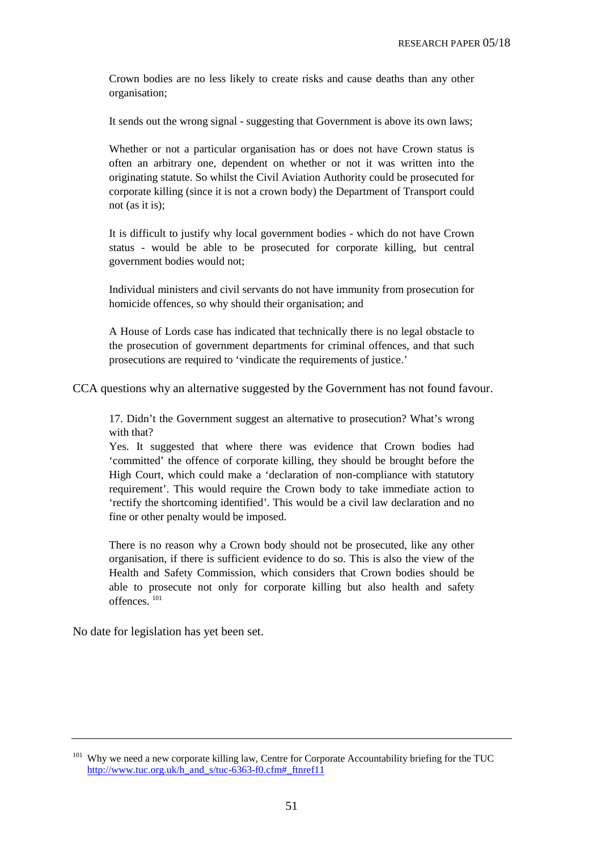Crown bodies are no less likely to create risks and cause deaths than any other organisation;

It sends out the wrong signal - suggesting that Government is above its own laws;

Whether or not a particular organisation has or does not have Crown status is often an arbitrary one, dependent on whether or not it was written into the originating statute. So whilst the Civil Aviation Authority could be prosecuted for corporate killing (since it is not a crown body) the Department of Transport could not (as it is);

It is difficult to justify why local government bodies - which do not have Crown status - would be able to be prosecuted for corporate killing, but central government bodies would not;

Individual ministers and civil servants do not have immunity from prosecution for homicide offences, so why should their organisation; and

A House of Lords case has indicated that technically there is no legal obstacle to the prosecution of government departments for criminal offences, and that such prosecutions are required to 'vindicate the requirements of justice.'

CCA questions why an alternative suggested by the Government has not found favour.

17. Didn't the Government suggest an alternative to prosecution? What's wrong with that?

Yes. It suggested that where there was evidence that Crown bodies had 'committed' the offence of corporate killing, they should be brought before the High Court, which could make a 'declaration of non-compliance with statutory requirement'. This would require the Crown body to take immediate action to 'rectify the shortcoming identified'. This would be a civil law declaration and no fine or other penalty would be imposed.

There is no reason why a Crown body should not be prosecuted, like any other organisation, if there is sufficient evidence to do so. This is also the view of the Health and Safety Commission, which considers that Crown bodies should be able to prosecute not only for corporate killing but also health and safety offences. 101

No date for legislation has yet been set.

<sup>&</sup>lt;sup>101</sup> Why we need a new corporate killing law, Centre for Corporate Accountability briefing for the TUC http://www.tuc.org.uk/h\_and\_s/tuc-6363-f0.cfm#\_ftnref11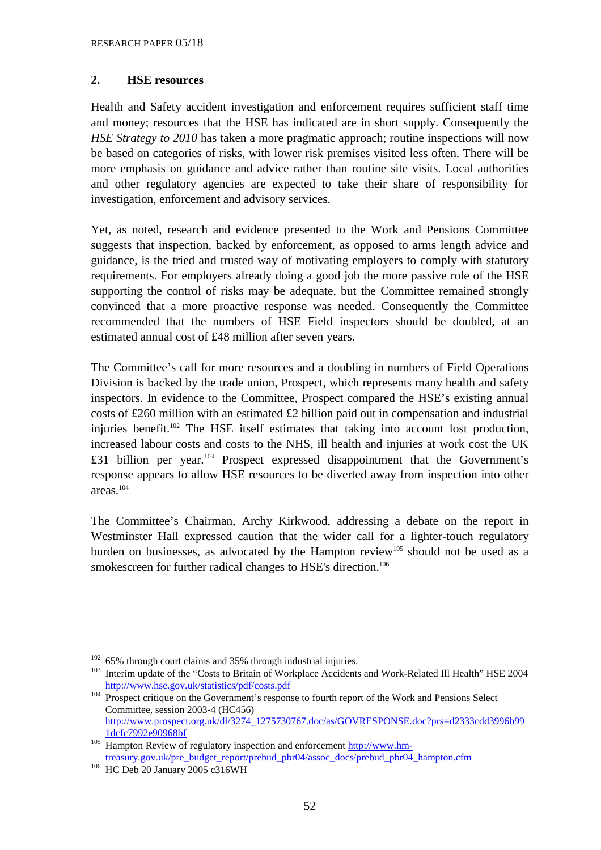### **2. HSE resources**

Health and Safety accident investigation and enforcement requires sufficient staff time and money; resources that the HSE has indicated are in short supply. Consequently the *HSE Strategy to 2010* has taken a more pragmatic approach; routine inspections will now be based on categories of risks, with lower risk premises visited less often. There will be more emphasis on guidance and advice rather than routine site visits. Local authorities and other regulatory agencies are expected to take their share of responsibility for investigation, enforcement and advisory services.

Yet, as noted, research and evidence presented to the Work and Pensions Committee suggests that inspection, backed by enforcement, as opposed to arms length advice and guidance, is the tried and trusted way of motivating employers to comply with statutory requirements. For employers already doing a good job the more passive role of the HSE supporting the control of risks may be adequate, but the Committee remained strongly convinced that a more proactive response was needed. Consequently the Committee recommended that the numbers of HSE Field inspectors should be doubled, at an estimated annual cost of £48 million after seven years.

The Committee's call for more resources and a doubling in numbers of Field Operations Division is backed by the trade union, Prospect, which represents many health and safety inspectors. In evidence to the Committee, Prospect compared the HSE's existing annual costs of £260 million with an estimated £2 billion paid out in compensation and industrial injuries benefit.<sup>102</sup> The HSE itself estimates that taking into account lost production, increased labour costs and costs to the NHS, ill health and injuries at work cost the UK £31 billion per year.<sup>103</sup> Prospect expressed disappointment that the Government's response appears to allow HSE resources to be diverted away from inspection into other areas.104

The Committee's Chairman, Archy Kirkwood, addressing a debate on the report in Westminster Hall expressed caution that the wider call for a lighter-touch regulatory burden on businesses, as advocated by the Hampton review<sup>105</sup> should not be used as a smokescreen for further radical changes to HSE's direction.<sup>106</sup>

 $102$  65% through court claims and 35% through industrial injuries.

<sup>&</sup>lt;sup>103</sup> Interim update of the "Costs to Britain of Workplace Accidents and Work-Related Ill Health" HSE 2004 http://www.hse.gov.uk/statistics/pdf/costs.pdf

 $\overline{104}$  Prospect critique on the Government's response to fourth report of the Work and Pensions Select Committee, session 2003-4 (HC456) [http://www.prospect.org.uk/dl/3274\\_1275730767.doc/as/GOVRESPONSE.doc?prs=d2333cdd3996b99](http://www.prospect.org.uk/dl/3274_1275730767.doc/as/GOVRESPONSE.doc?prs=d2333cdd3996b99
1dcfc7992e90968bf)

<sup>1</sup>dcfc7992e90968bf<br>
<sup>105</sup> Hampton Review of regulatory inspection and enforcemen[t http://www.hm](http://www.hm-treasury.gov.uk/pre_budget_report/prebud_pbr04/assoc_docs/prebud_pbr04_hampton.cfm)[treasury.gov.uk/pre\\_budget\\_report/prebud\\_pbr04/assoc\\_docs/prebud\\_pbr04\\_hampton.cfm](http://www.hm-treasury.gov.uk/pre_budget_report/prebud_pbr04/assoc_docs/prebud_pbr04_hampton.cfm) 106 HC Deb 20 January 2005 c316WH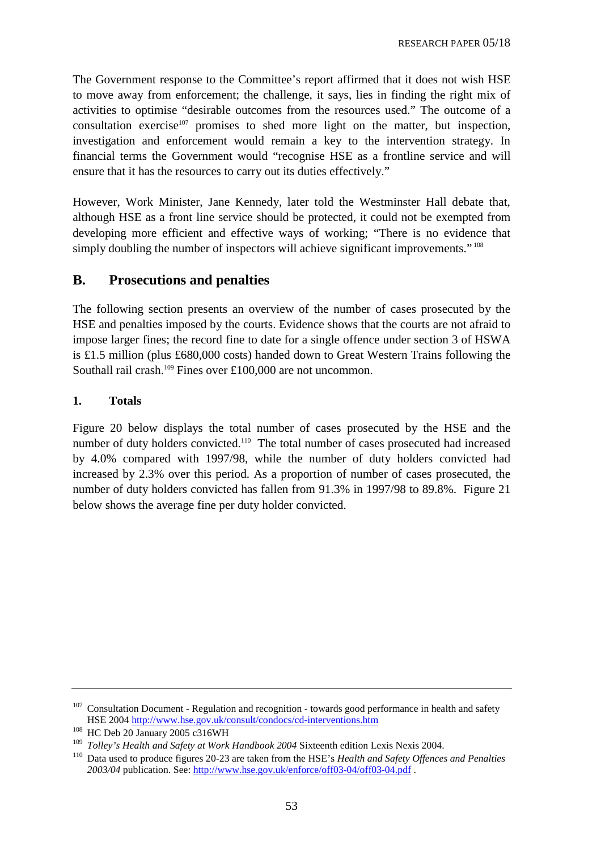The Government response to the Committee's report affirmed that it does not wish HSE to move away from enforcement; the challenge, it says, lies in finding the right mix of activities to optimise "desirable outcomes from the resources used." The outcome of a consultation exercise $107$  promises to shed more light on the matter, but inspection, investigation and enforcement would remain a key to the intervention strategy. In financial terms the Government would "recognise HSE as a frontline service and will ensure that it has the resources to carry out its duties effectively."

However, Work Minister, Jane Kennedy, later told the Westminster Hall debate that, although HSE as a front line service should be protected, it could not be exempted from developing more efficient and effective ways of working; "There is no evidence that simply doubling the number of inspectors will achieve significant improvements."<sup>108</sup>

# **B. Prosecutions and penalties**

The following section presents an overview of the number of cases prosecuted by the HSE and penalties imposed by the courts. Evidence shows that the courts are not afraid to impose larger fines; the record fine to date for a single offence under section 3 of HSWA is £1.5 million (plus £680,000 costs) handed down to Great Western Trains following the Southall rail crash.<sup>109</sup> Fines over £100,000 are not uncommon.

### **1. Totals**

Figure 20 below displays the total number of cases prosecuted by the HSE and the number of duty holders convicted.<sup>110</sup> The total number of cases prosecuted had increased by 4.0% compared with 1997/98, while the number of duty holders convicted had increased by 2.3% over this period. As a proportion of number of cases prosecuted, the number of duty holders convicted has fallen from 91.3% in 1997/98 to 89.8%. Figure 21 below shows the average fine per duty holder convicted.

 $107$  Consultation Document - Regulation and recognition - towards good performance in health and safety HSE 2004 http://www.hse.gov.uk/consult/condocs/cd-interventions.htm<br>
<sup>108</sup> HC Deb 20 January 2005 c316WH<br>
<sup>109</sup> Tellav's Health and Safaty at Werk Handbook 2004 Sixteenth edition Is

<sup>109</sup> *Tolley's Health and Safety at Work Handbook 2004* Sixteenth edition Lexis Nexis 2004.

<sup>110</sup> Data used to produce figures 20-23 are taken from the HSE's *Health and Safety Offences and Penalties 2003/04* publication. See: [http://www.hse.gov.uk/enforce/off03-04/off03-04.pdf .](http://www.hse.gov.uk/enforce/off03-04/off03-04.pdf)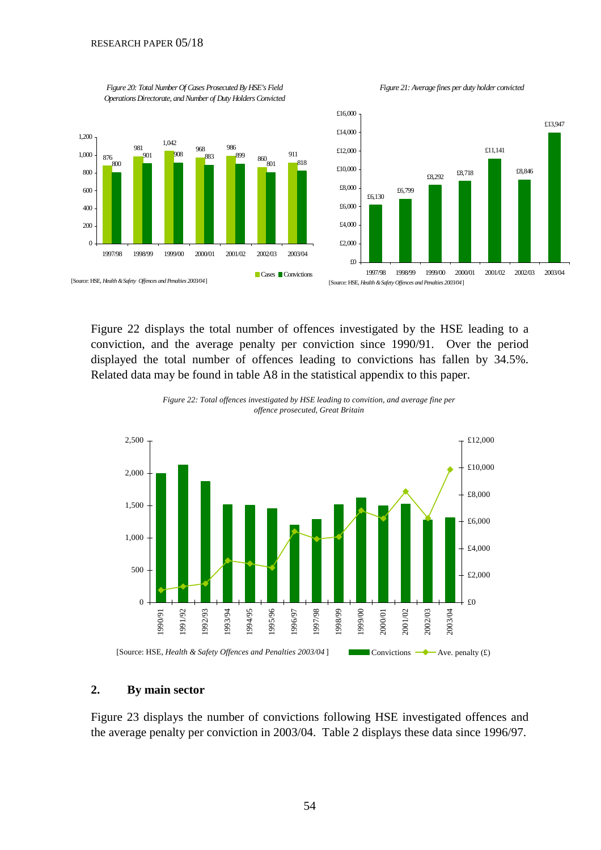*Figure 20: Total Number Of Cases Prosecuted By HSE's Field* 



*Figure 21: Average fines per duty holder convicted*

Figure 22 displays the total number of offences investigated by the HSE leading to a conviction, and the average penalty per conviction since 1990/91. Over the period displayed the total number of offences leading to convictions has fallen by 34.5%. Related data may be found in table A8 in the statistical appendix to this paper.





#### **2. By main sector**

Figure 23 displays the number of convictions following HSE investigated offences and the average penalty per conviction in 2003/04. Table 2 displays these data since 1996/97.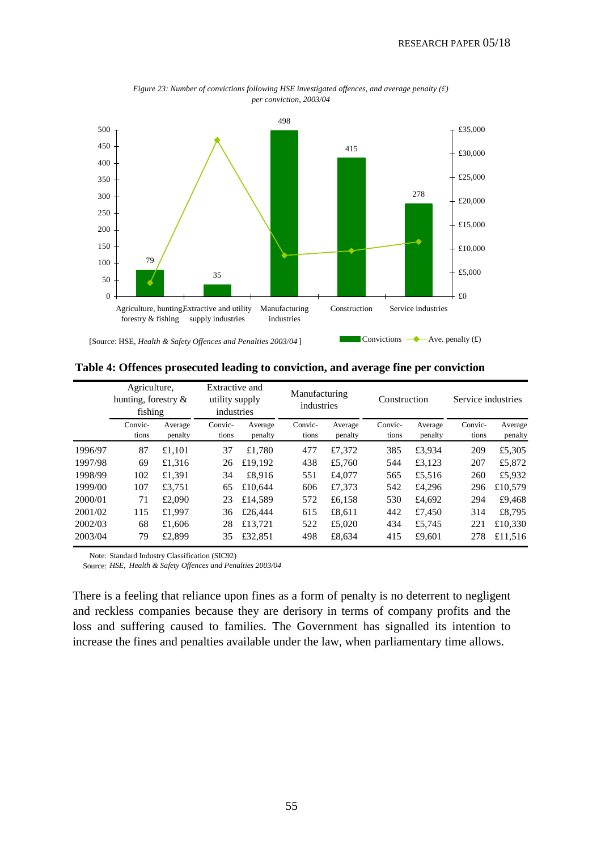

*Figure 23: Number of convictions following HSE investigated offences, and average penalty (£) per conviction, 2003/04*

**Table 4: Offences prosecuted leading to conviction, and average fine per conviction** 

|         | Agriculture,<br>hunting, forestry &<br>fishing |                    | Extractive and<br>utility supply<br>industries |                    | Manufacturing<br>industries |                    | Construction     |                    | Service industries |                    |
|---------|------------------------------------------------|--------------------|------------------------------------------------|--------------------|-----------------------------|--------------------|------------------|--------------------|--------------------|--------------------|
|         | Convic-<br>tions                               | Average<br>penalty | Convic-<br>tions                               | Average<br>penalty | Convic-<br>tions            | Average<br>penalty | Convic-<br>tions | Average<br>penalty | Convic-<br>tions   | Average<br>penalty |
| 1996/97 | 87                                             | £1,101             | 37                                             | £1,780             | 477                         | £7,372             | 385              | £3,934             | 209                | £5,305             |
| 1997/98 | 69                                             | £1,316             | 26                                             | £19,192            | 438                         | £5,760             | 544              | £3.123             | 207                | £5,872             |
| 1998/99 | 102                                            | £1,391             | 34                                             | £8.916             | 551                         | £4,077             | 565              | £5,516             | 260                | £5,932             |
| 1999/00 | 107                                            | £3.751             | 65                                             | £10.644            | 606                         | £7,373             | 542              | £4,296             | 296                | £10,579            |
| 2000/01 | 71                                             | £2,090             | 23                                             | £14,589            | 572                         | £6,158             | 530              | £4,692             | 294                | £9.468             |
| 2001/02 | 115                                            | £1.997             | 36                                             | £26,444            | 615                         | £8.611             | 442              | £7.450             | 314                | £8,795             |
| 2002/03 | 68                                             | £1,606             | 28                                             | £13.721            | 522                         | £5,020             | 434              | £5,745             | 221                | £10,330            |
| 2003/04 | 79                                             | £2,899             | 35                                             | £32,851            | 498                         | £8.634             | 415              | £9.601             | 278                | £11.516            |

Note: Standard Industry Classification (SIC92)

Source: *HSE, Health & Safety Offences and Penalties 2003/04*

There is a feeling that reliance upon fines as a form of penalty is no deterrent to negligent and reckless companies because they are derisory in terms of company profits and the loss and suffering caused to families. The Government has signalled its intention to increase the fines and penalties available under the law, when parliamentary time allows.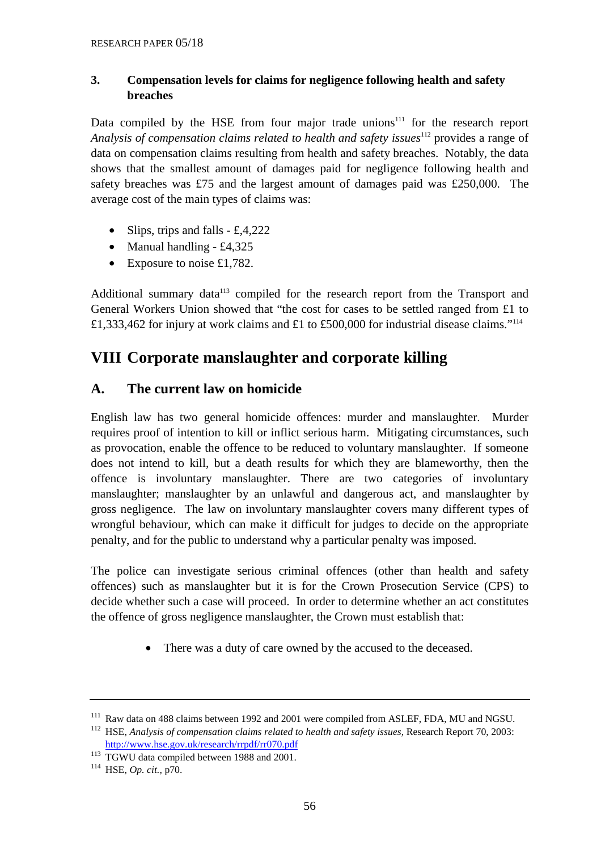### **3. Compensation levels for claims for negligence following health and safety breaches**

Data compiled by the HSE from four major trade unions<sup>111</sup> for the research report Analysis of compensation claims related to health and safety issues<sup>112</sup> provides a range of data on compensation claims resulting from health and safety breaches. Notably, the data shows that the smallest amount of damages paid for negligence following health and safety breaches was £75 and the largest amount of damages paid was £250,000. The average cost of the main types of claims was:

- Slips, trips and falls  $\pounds 4,222$
- Manual handling  $-$  £4,325
- Exposure to noise £1,782.

Additional summary data<sup>113</sup> compiled for the research report from the Transport and General Workers Union showed that "the cost for cases to be settled ranged from £1 to £1,333,462 for injury at work claims and £1 to £500,000 for industrial disease claims."114

# **VIII Corporate manslaughter and corporate killing**

# **A. The current law on homicide**

English law has two general homicide offences: murder and manslaughter. Murder requires proof of intention to kill or inflict serious harm. Mitigating circumstances, such as provocation, enable the offence to be reduced to voluntary manslaughter. If someone does not intend to kill, but a death results for which they are blameworthy, then the offence is involuntary manslaughter. There are two categories of involuntary manslaughter; manslaughter by an unlawful and dangerous act, and manslaughter by gross negligence. The law on involuntary manslaughter covers many different types of wrongful behaviour, which can make it difficult for judges to decide on the appropriate penalty, and for the public to understand why a particular penalty was imposed.

The police can investigate serious criminal offences (other than health and safety offences) such as manslaughter but it is for the Crown Prosecution Service (CPS) to decide whether such a case will proceed. In order to determine whether an act constitutes the offence of gross negligence manslaughter, the Crown must establish that:

• There was a duty of care owned by the accused to the deceased.

<http://www.hse.gov.uk/research/rrpdf/rr070.pdf>113 TGWU data compiled between 1988 and 2001. 114 HSE*, Op. cit.,* p70.

<sup>&</sup>lt;sup>111</sup> Raw data on 488 claims between 1992 and 2001 were compiled from ASLEF, FDA, MU and NGSU.<br><sup>112</sup> HSE. *Analysis of compensation claims related to health and safety issues*, Research Report 70, 2003: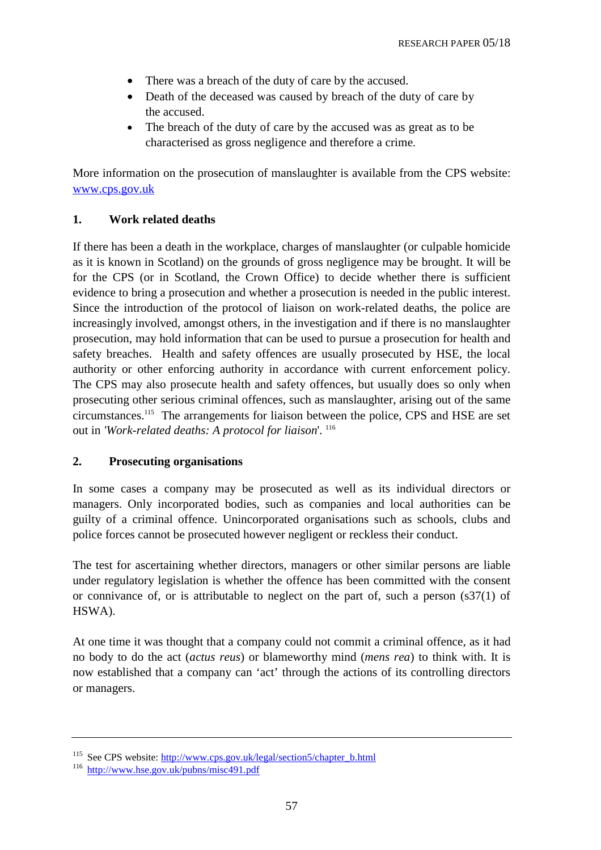- There was a breach of the duty of care by the accused.
- Death of the deceased was caused by breach of the duty of care by the accused.
- The breach of the duty of care by the accused was as great as to be characterised as gross negligence and therefore a crime.

More information on the prosecution of manslaughter is available from the CPS website: [www.cps.gov.uk](http://www.cps.gov.uk) 

### **1. Work related deaths**

If there has been a death in the workplace, charges of manslaughter (or culpable homicide as it is known in Scotland) on the grounds of gross negligence may be brought. It will be for the CPS (or in Scotland, the Crown Office) to decide whether there is sufficient evidence to bring a prosecution and whether a prosecution is needed in the public interest. Since the introduction of the protocol of liaison on work-related deaths, the police are increasingly involved, amongst others, in the investigation and if there is no manslaughter prosecution, may hold information that can be used to pursue a prosecution for health and safety breaches. Health and safety offences are usually prosecuted by HSE, the local authority or other enforcing authority in accordance with current enforcement policy. The CPS may also prosecute health and safety offences, but usually does so only when prosecuting other serious criminal offences, such as manslaughter, arising out of the same circumstances.115 The arrangements for liaison between the police, CPS and HSE are set out in *'Work-related deaths: A protocol for liaison*'. 116

### **2. Prosecuting organisations**

In some cases a company may be prosecuted as well as its individual directors or managers. Only incorporated bodies, such as companies and local authorities can be guilty of a criminal offence. Unincorporated organisations such as schools, clubs and police forces cannot be prosecuted however negligent or reckless their conduct.

The test for ascertaining whether directors, managers or other similar persons are liable under regulatory legislation is whether the offence has been committed with the consent or connivance of, or is attributable to neglect on the part of, such a person  $(837(1)$  of HSWA).

At one time it was thought that a company could not commit a criminal offence, as it had no body to do the act (*actus reus*) or blameworthy mind (*mens rea*) to think with. It is now established that a company can 'act' through the actions of its controlling directors or managers.

<sup>&</sup>lt;sup>115</sup> See CPS website: <u>http://www.cps.gov.uk/legal/section5/chapter\_b.html</u> 116 http://www.hse.gov.uk/pubns/misc491.pdf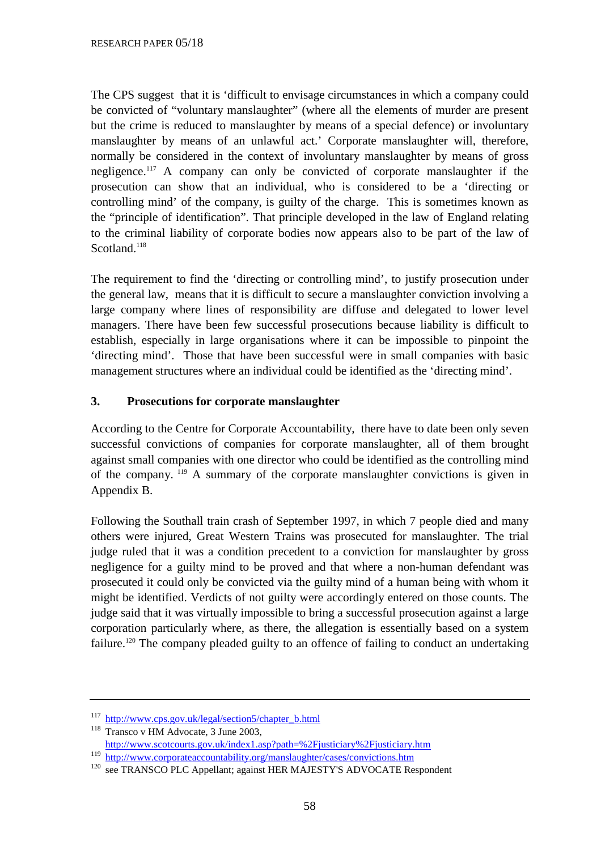The CPS suggest that it is 'difficult to envisage circumstances in which a company could be convicted of "voluntary manslaughter" (where all the elements of murder are present but the crime is reduced to manslaughter by means of a special defence) or involuntary manslaughter by means of an unlawful act.' Corporate manslaughter will, therefore, normally be considered in the context of involuntary manslaughter by means of gross negligence.117 A company can only be convicted of corporate manslaughter if the prosecution can show that an individual, who is considered to be a 'directing or controlling mind' of the company, is guilty of the charge. This is sometimes known as the "principle of identification". That principle developed in the law of England relating to the criminal liability of corporate bodies now appears also to be part of the law of Scotland.<sup>118</sup>

The requirement to find the 'directing or controlling mind', to justify prosecution under the general law, means that it is difficult to secure a manslaughter conviction involving a large company where lines of responsibility are diffuse and delegated to lower level managers. There have been few successful prosecutions because liability is difficult to establish, especially in large organisations where it can be impossible to pinpoint the 'directing mind'. Those that have been successful were in small companies with basic management structures where an individual could be identified as the 'directing mind'.

### **3. Prosecutions for corporate manslaughter**

According to the Centre for Corporate Accountability, there have to date been only seven successful convictions of companies for corporate manslaughter, all of them brought against small companies with one director who could be identified as the controlling mind of the company. 119 A summary of the corporate manslaughter convictions is given in Appendix B.

Following the Southall train crash of September 1997, in which 7 people died and many others were injured, Great Western Trains was prosecuted for manslaughter. The trial judge ruled that it was a condition precedent to a conviction for manslaughter by gross negligence for a guilty mind to be proved and that where a non-human defendant was prosecuted it could only be convicted via the guilty mind of a human being with whom it might be identified. Verdicts of not guilty were accordingly entered on those counts. The judge said that it was virtually impossible to bring a successful prosecution against a large corporation particularly where, as there, the allegation is essentially based on a system failure.<sup>120</sup> The company pleaded guilty to an offence of failing to conduct an undertaking

<sup>&</sup>lt;sup>117</sup> http://www.cps.gov.uk/legal/section5/chapter\_b.html<br><sup>118</sup> Transco v HM Advocate, 3 June 2003,<br>
http://www.scotcourts.gov.uk/index1.asp?path=%2Fjusticiary%2Fjusticiary.htm

<sup>&</sup>lt;sup>119</sup> http://www.corporateaccountability.org/manslaughter/cases/convictions.htm<br><sup>120</sup> see TRANSCO PLC Appellant; against HER MAJESTY'S ADVOCATE Respondent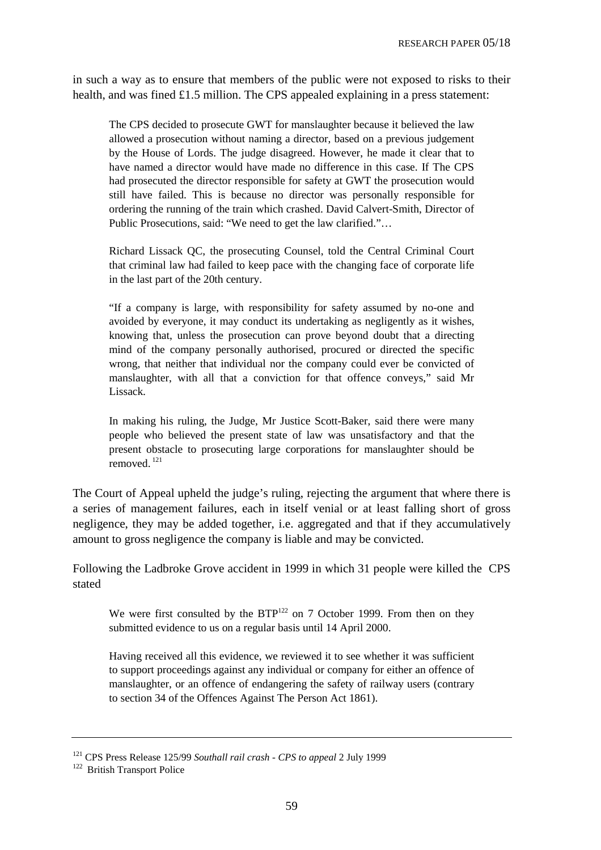in such a way as to ensure that members of the public were not exposed to risks to their health, and was fined £1.5 million. The CPS appealed explaining in a press statement:

The CPS decided to prosecute GWT for manslaughter because it believed the law allowed a prosecution without naming a director, based on a previous judgement by the House of Lords. The judge disagreed. However, he made it clear that to have named a director would have made no difference in this case. If The CPS had prosecuted the director responsible for safety at GWT the prosecution would still have failed. This is because no director was personally responsible for ordering the running of the train which crashed. David Calvert-Smith, Director of Public Prosecutions, said: "We need to get the law clarified."…

Richard Lissack QC, the prosecuting Counsel, told the Central Criminal Court that criminal law had failed to keep pace with the changing face of corporate life in the last part of the 20th century.

"If a company is large, with responsibility for safety assumed by no-one and avoided by everyone, it may conduct its undertaking as negligently as it wishes, knowing that, unless the prosecution can prove beyond doubt that a directing mind of the company personally authorised, procured or directed the specific wrong, that neither that individual nor the company could ever be convicted of manslaughter, with all that a conviction for that offence conveys," said Mr Lissack.

In making his ruling, the Judge, Mr Justice Scott-Baker, said there were many people who believed the present state of law was unsatisfactory and that the present obstacle to prosecuting large corporations for manslaughter should be removed<sup>121</sup>

The Court of Appeal upheld the judge's ruling, rejecting the argument that where there is a series of management failures, each in itself venial or at least falling short of gross negligence, they may be added together, i.e. aggregated and that if they accumulatively amount to gross negligence the company is liable and may be convicted.

Following the Ladbroke Grove accident in 1999 in which 31 people were killed the CPS stated

We were first consulted by the  $BTP^{122}$  on 7 October 1999. From then on they submitted evidence to us on a regular basis until 14 April 2000.

Having received all this evidence, we reviewed it to see whether it was sufficient to support proceedings against any individual or company for either an offence of manslaughter, or an offence of endangering the safety of railway users (contrary to section 34 of the Offences Against The Person Act 1861).

<sup>&</sup>lt;sup>121</sup> CPS Press Release 125/99 *Southall rail crash - CPS to appeal* 2 July 1999 <sup>122</sup> British Transport Police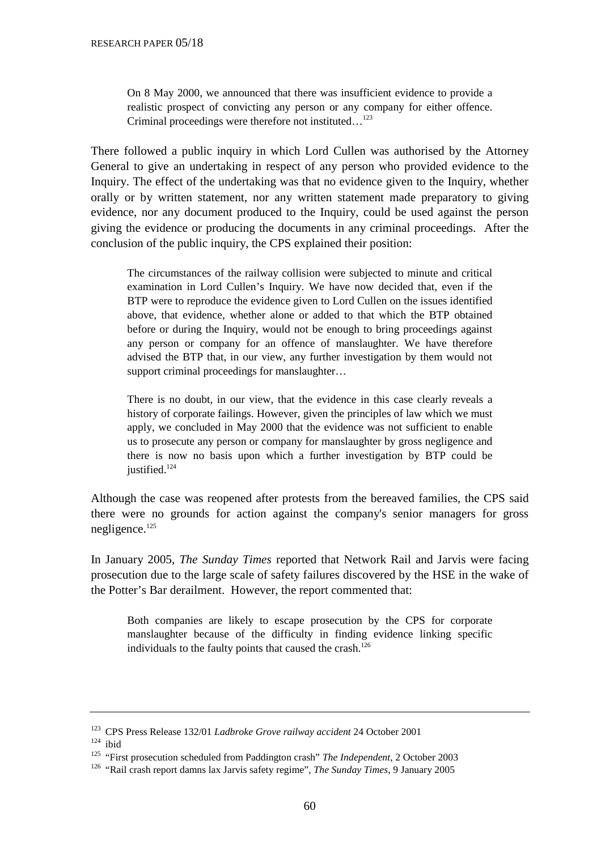On 8 May 2000, we announced that there was insufficient evidence to provide a realistic prospect of convicting any person or any company for either offence. Criminal proceedings were therefore not instituted...<sup>123</sup>

There followed a public inquiry in which Lord Cullen was authorised by the Attorney General to give an undertaking in respect of any person who provided evidence to the Inquiry. The effect of the undertaking was that no evidence given to the Inquiry, whether orally or by written statement, nor any written statement made preparatory to giving evidence, nor any document produced to the Inquiry, could be used against the person giving the evidence or producing the documents in any criminal proceedings. After the conclusion of the public inquiry, the CPS explained their position:

The circumstances of the railway collision were subjected to minute and critical examination in Lord Cullen's Inquiry. We have now decided that, even if the BTP were to reproduce the evidence given to Lord Cullen on the issues identified above, that evidence, whether alone or added to that which the BTP obtained before or during the Inquiry, would not be enough to bring proceedings against any person or company for an offence of manslaughter. We have therefore advised the BTP that, in our view, any further investigation by them would not support criminal proceedings for manslaughter...

There is no doubt, in our view, that the evidence in this case clearly reveals a history of corporate failings. However, given the principles of law which we must apply, we concluded in May 2000 that the evidence was not sufficient to enable us to prosecute any person or company for manslaughter by gross negligence and there is now no basis upon which a further investigation by BTP could be justified.<sup>124</sup>

Although the case was reopened after protests from the bereaved families, the CPS said there were no grounds for action against the company's senior managers for gross negligence.125

In January 2005, *The Sunday Times* reported that Network Rail and Jarvis were facing prosecution due to the large scale of safety failures discovered by the HSE in the wake of the Potter's Bar derailment. However, the report commented that:

Both companies are likely to escape prosecution by the CPS for corporate manslaughter because of the difficulty in finding evidence linking specific individuals to the faulty points that caused the crash.<sup>126</sup>

<sup>123</sup> CPS Press Release 132/01 *Ladbroke Grove railway accident* 24 October 2001 124 ibid

<sup>125 &</sup>quot;First prosecution scheduled from Paddington crash" *The Independent*, 2 October 2003

<sup>126 &</sup>quot;Rail crash report damns lax Jarvis safety regime", *The Sunday Times*, 9 January 2005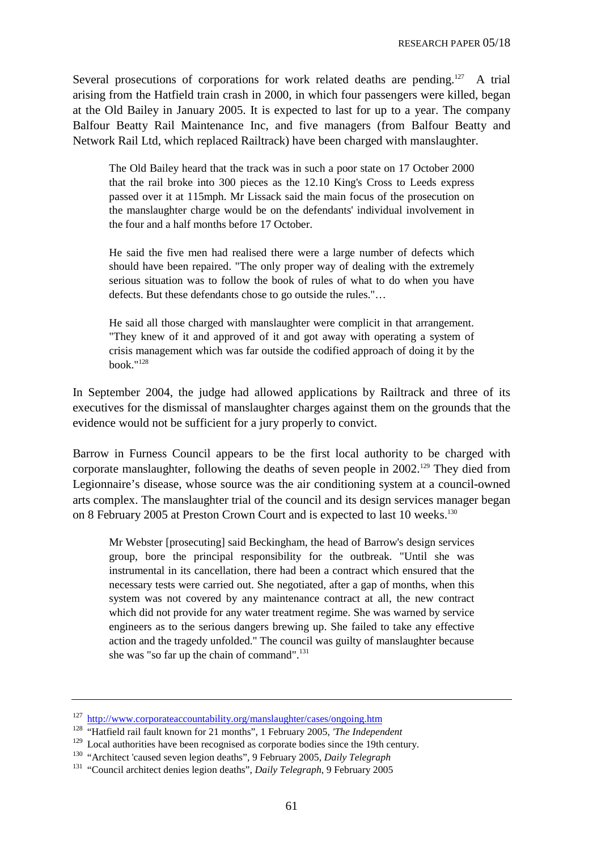Several prosecutions of corporations for work related deaths are pending.<sup>127</sup> A trial arising from the Hatfield train crash in 2000, in which four passengers were killed, began at the Old Bailey in January 2005. It is expected to last for up to a year. The company Balfour Beatty Rail Maintenance Inc, and five managers (from Balfour Beatty and Network Rail Ltd, which replaced Railtrack) have been charged with manslaughter.

The Old Bailey heard that the track was in such a poor state on 17 October 2000 that the rail broke into 300 pieces as the 12.10 King's Cross to Leeds express passed over it at 115mph. Mr Lissack said the main focus of the prosecution on the manslaughter charge would be on the defendants' individual involvement in the four and a half months before 17 October.

He said the five men had realised there were a large number of defects which should have been repaired. "The only proper way of dealing with the extremely serious situation was to follow the book of rules of what to do when you have defects. But these defendants chose to go outside the rules."…

He said all those charged with manslaughter were complicit in that arrangement. "They knew of it and approved of it and got away with operating a system of crisis management which was far outside the codified approach of doing it by the book." $128$ 

In September 2004, the judge had allowed applications by Railtrack and three of its executives for the dismissal of manslaughter charges against them on the grounds that the evidence would not be sufficient for a jury properly to convict.

Barrow in Furness Council appears to be the first local authority to be charged with corporate manslaughter, following the deaths of seven people in  $2002$ .<sup>129</sup> They died from Legionnaire's disease, whose source was the air conditioning system at a council-owned arts complex. The manslaughter trial of the council and its design services manager began on 8 February 2005 at Preston Crown Court and is expected to last 10 weeks.<sup>130</sup>

Mr Webster [prosecuting] said Beckingham, the head of Barrow's design services group, bore the principal responsibility for the outbreak. "Until she was instrumental in its cancellation, there had been a contract which ensured that the necessary tests were carried out. She negotiated, after a gap of months, when this system was not covered by any maintenance contract at all, the new contract which did not provide for any water treatment regime. She was warned by service engineers as to the serious dangers brewing up. She failed to take any effective action and the tragedy unfolded." The council was guilty of manslaughter because she was "so far up the chain of command".<sup>131</sup>

<sup>&</sup>lt;sup>127</sup> http://www.corporateaccountability.org/manslaughter/cases/ongoing.htm<br><sup>128</sup> "Hatfield rail fault known for 21 months", 1 February 2005, *The Independent*<br><sup>129</sup> Local authorities have been recognised as corporate bod

<sup>130 &</sup>quot;Architect 'caused seven legion deaths", 9 February 2005, *Daily Telegraph* 131 "Council architect denies legion deaths", *Daily Telegraph*, 9 February 2005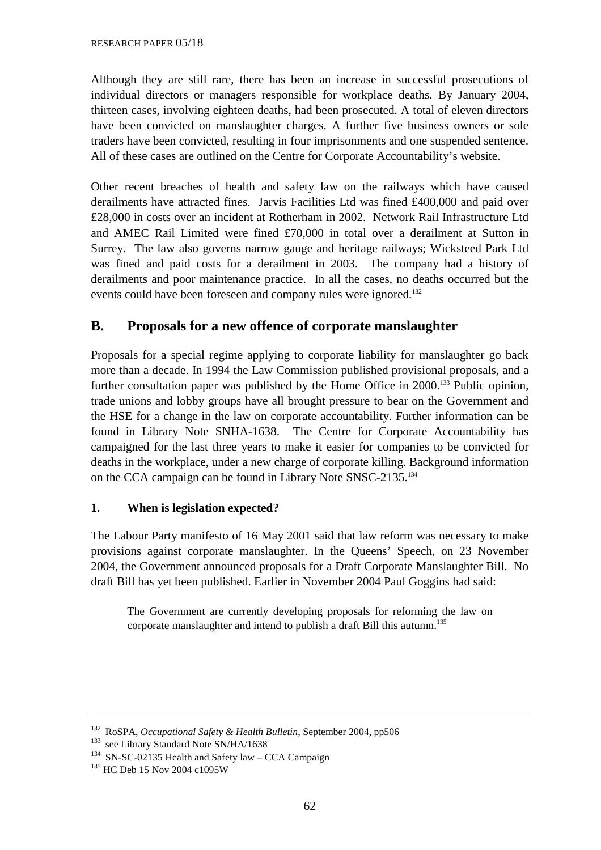Although they are still rare, there has been an increase in successful prosecutions of individual directors or managers responsible for workplace deaths. By January 2004, thirteen cases, involving eighteen deaths, had been prosecuted. A total of eleven directors have been convicted on manslaughter charges. A further five business owners or sole traders have been convicted, resulting in four imprisonments and one suspended sentence. All of these cases are outlined on the Centre for Corporate Accountability's website.

Other recent breaches of health and safety law on the railways which have caused derailments have attracted fines. Jarvis Facilities Ltd was fined £400,000 and paid over £28,000 in costs over an incident at Rotherham in 2002. Network Rail Infrastructure Ltd and AMEC Rail Limited were fined £70,000 in total over a derailment at Sutton in Surrey. The law also governs narrow gauge and heritage railways; Wicksteed Park Ltd was fined and paid costs for a derailment in 2003. The company had a history of derailments and poor maintenance practice. In all the cases, no deaths occurred but the events could have been foreseen and company rules were ignored.<sup>132</sup>

# **B. Proposals for a new offence of corporate manslaughter**

Proposals for a special regime applying to corporate liability for manslaughter go back more than a decade. In 1994 the Law Commission published provisional proposals, and a further consultation paper was published by the Home Office in 2000.<sup>133</sup> Public opinion, trade unions and lobby groups have all brought pressure to bear on the Government and the HSE for a change in the law on corporate accountability. Further information can be found in Library Note SNHA-1638. The Centre for Corporate Accountability has campaigned for the last three years to make it easier for companies to be convicted for deaths in the workplace, under a new charge of corporate killing. Background information on the CCA campaign can be found in Library Note SNSC-2135.134

# **1. When is legislation expected?**

The Labour Party manifesto of 16 May 2001 said that law reform was necessary to make provisions against corporate manslaughter. In the Queens' Speech, on 23 November 2004, the Government announced proposals for a Draft Corporate Manslaughter Bill. No draft Bill has yet been published. Earlier in November 2004 Paul Goggins had said:

The Government are currently developing proposals for reforming the law on corporate manslaughter and intend to publish a draft Bill this autumn.<sup>135</sup>

<sup>132</sup> RoSPA, *Occupational Safety & Health Bulletin*, September 2004, pp506

<sup>&</sup>lt;sup>133</sup> see Library Standard Note SN/HA/1638

<sup>&</sup>lt;sup>134</sup> SN-SC-02135 Health and Safety law – CCA Campaign

<sup>&</sup>lt;sup>135</sup> HC Deb 15 Nov 2004 c1095W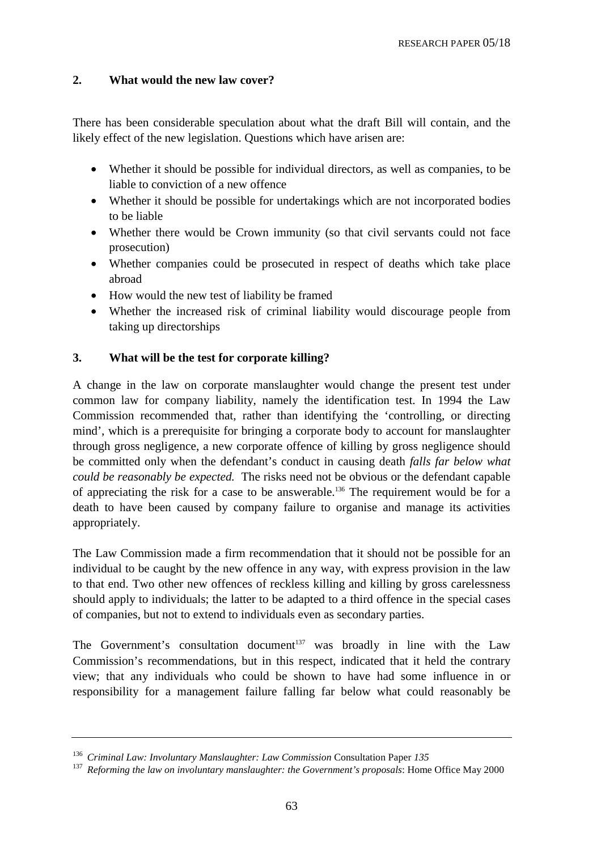### **2. What would the new law cover?**

There has been considerable speculation about what the draft Bill will contain, and the likely effect of the new legislation. Questions which have arisen are:

- Whether it should be possible for individual directors, as well as companies, to be liable to conviction of a new offence
- Whether it should be possible for undertakings which are not incorporated bodies to be liable
- Whether there would be Crown immunity (so that civil servants could not face prosecution)
- Whether companies could be prosecuted in respect of deaths which take place abroad
- How would the new test of liability be framed
- Whether the increased risk of criminal liability would discourage people from taking up directorships

### **3. What will be the test for corporate killing?**

A change in the law on corporate manslaughter would change the present test under common law for company liability, namely the identification test. In 1994 the Law Commission recommended that, rather than identifying the 'controlling, or directing mind', which is a prerequisite for bringing a corporate body to account for manslaughter through gross negligence, a new corporate offence of killing by gross negligence should be committed only when the defendant's conduct in causing death *falls far below what could be reasonably be expected.* The risks need not be obvious or the defendant capable of appreciating the risk for a case to be answerable.136 The requirement would be for a death to have been caused by company failure to organise and manage its activities appropriately.

The Law Commission made a firm recommendation that it should not be possible for an individual to be caught by the new offence in any way, with express provision in the law to that end. Two other new offences of reckless killing and killing by gross carelessness should apply to individuals; the latter to be adapted to a third offence in the special cases of companies, but not to extend to individuals even as secondary parties.

The Government's consultation document<sup>137</sup> was broadly in line with the Law Commission's recommendations, but in this respect, indicated that it held the contrary view; that any individuals who could be shown to have had some influence in or responsibility for a management failure falling far below what could reasonably be

<sup>&</sup>lt;sup>136</sup> *Criminal Law: Involuntary Manslaughter: Law Commission Consultation Paper 135* 

<sup>&</sup>lt;sup>137</sup> Reforming the law on involuntary manslaughter: the Government's proposals: Home Office May 2000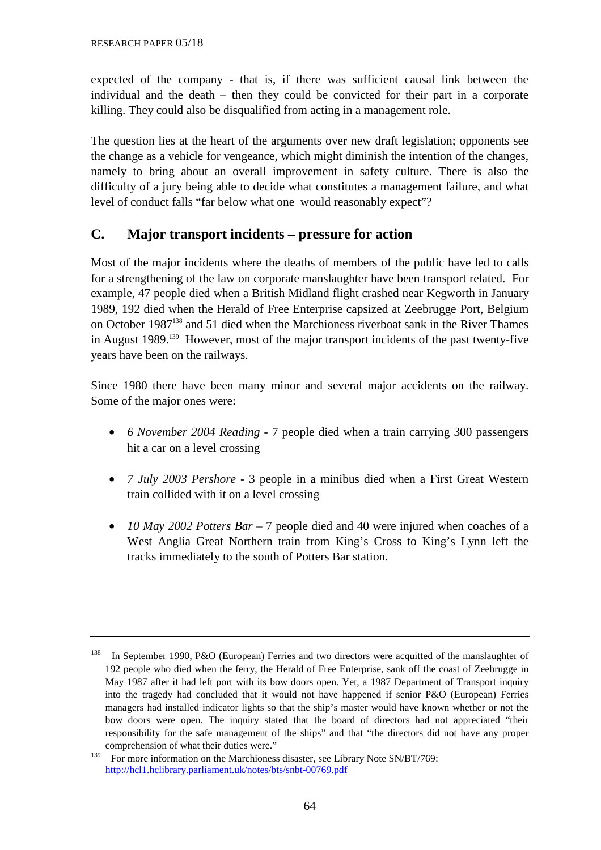expected of the company - that is, if there was sufficient causal link between the individual and the death – then they could be convicted for their part in a corporate killing. They could also be disqualified from acting in a management role.

The question lies at the heart of the arguments over new draft legislation; opponents see the change as a vehicle for vengeance, which might diminish the intention of the changes, namely to bring about an overall improvement in safety culture. There is also the difficulty of a jury being able to decide what constitutes a management failure, and what level of conduct falls "far below what one would reasonably expect"?

# **C. Major transport incidents – pressure for action**

Most of the major incidents where the deaths of members of the public have led to calls for a strengthening of the law on corporate manslaughter have been transport related. For example, 47 people died when a British Midland flight crashed near Kegworth in January 1989, 192 died when the Herald of Free Enterprise capsized at Zeebrugge Port, Belgium on October 1987138 and 51 died when the Marchioness riverboat sank in the River Thames in August 1989.139 However, most of the major transport incidents of the past twenty-five years have been on the railways.

Since 1980 there have been many minor and several major accidents on the railway. Some of the major ones were:

- *6 November 2004 Reading* 7 people died when a train carrying 300 passengers hit a car on a level crossing
- *7 July 2003 Pershore* 3 people in a minibus died when a First Great Western train collided with it on a level crossing
- *10 May 2002 Potters Bar* 7 people died and 40 were injured when coaches of a West Anglia Great Northern train from King's Cross to King's Lynn left the tracks immediately to the south of Potters Bar station.

<sup>138</sup> In September 1990, P&O (European) Ferries and two directors were acquitted of the manslaughter of 192 people who died when the ferry, the Herald of Free Enterprise, sank off the coast of Zeebrugge in May 1987 after it had left port with its bow doors open. Yet, a 1987 Department of Transport inquiry into the tragedy had concluded that it would not have happened if senior P&O (European) Ferries managers had installed indicator lights so that the ship's master would have known whether or not the bow doors were open. The inquiry stated that the board of directors had not appreciated "their responsibility for the safe management of the ships" and that "the directors did not have any proper comprehension of what their duties were."

<sup>&</sup>lt;sup>139</sup> For more information on the Marchioness disaster, see Library Note SN/BT/769: <http://hcl1.hclibrary.parliament.uk/notes/bts/snbt-00769.pdf>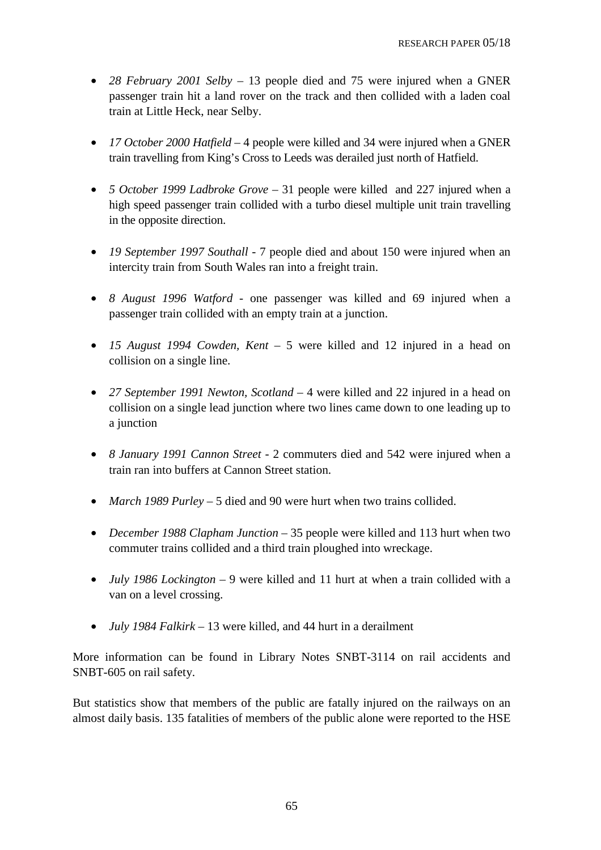- *28 February 2001 Selby* 13 people died and 75 were injured when a GNER passenger train hit a land rover on the track and then collided with a laden coal train at Little Heck, near Selby.
- *17 October 2000 Hatfield* 4 people were killed and 34 were injured when a GNER train travelling from King's Cross to Leeds was derailed just north of Hatfield.
- *5 October 1999 Ladbroke Grove* 31 people were killed and 227 injured when a high speed passenger train collided with a turbo diesel multiple unit train travelling in the opposite direction.
- *19 September 1997 Southall* 7 people died and about 150 were injured when an intercity train from South Wales ran into a freight train.
- *8 August 1996 Watford* one passenger was killed and 69 injured when a passenger train collided with an empty train at a junction.
- *15 August 1994 Cowden, Kent* 5 were killed and 12 injured in a head on collision on a single line.
- *27 September 1991 Newton, Scotland* 4 were killed and 22 injured in a head on collision on a single lead junction where two lines came down to one leading up to a junction
- *8 January 1991 Cannon Street* 2 commuters died and 542 were injured when a train ran into buffers at Cannon Street station.
- *March 1989 Purley* 5 died and 90 were hurt when two trains collided.
- *December 1988 Clapham Junction* 35 people were killed and 113 hurt when two commuter trains collided and a third train ploughed into wreckage.
- *July 1986 Lockington* 9 were killed and 11 hurt at when a train collided with a van on a level crossing.
- *July 1984 Falkirk* 13 were killed, and 44 hurt in a derailment

More information can be found in Library Notes SNBT-3114 on rail accidents and SNBT-605 on rail safety.

But statistics show that members of the public are fatally injured on the railways on an almost daily basis. 135 fatalities of members of the public alone were reported to the HSE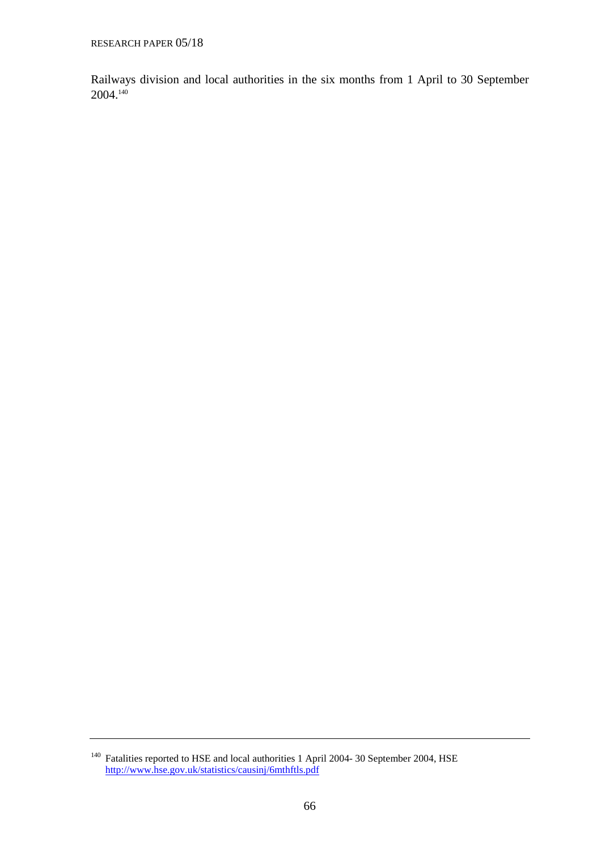Railways division and local authorities in the six months from 1 April to 30 September 2004.140

<sup>&</sup>lt;sup>140</sup> Fatalities reported to HSE and local authorities 1 April 2004- 30 September 2004, HSE <http://www.hse.gov.uk/statistics/causinj/6mthftls.pdf>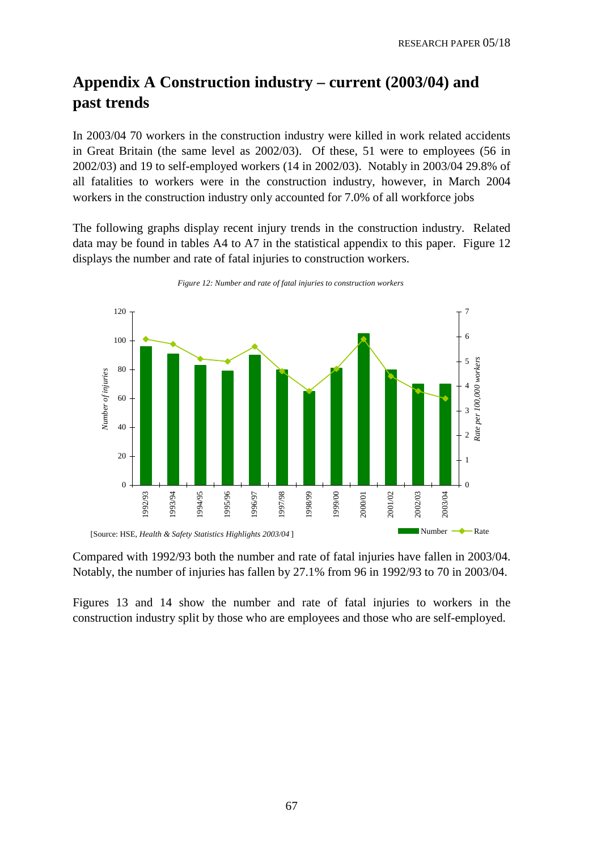# **Appendix A Construction industry – current (2003/04) and past trends**

In 2003/04 70 workers in the construction industry were killed in work related accidents in Great Britain (the same level as 2002/03). Of these, 51 were to employees (56 in 2002/03) and 19 to self-employed workers (14 in 2002/03). Notably in 2003/04 29.8% of all fatalities to workers were in the construction industry, however, in March 2004 workers in the construction industry only accounted for 7.0% of all workforce jobs

The following graphs display recent injury trends in the construction industry. Related data may be found in tables A4 to A7 in the statistical appendix to this paper. Figure 12 displays the number and rate of fatal injuries to construction workers.



*Figure 12: Number and rate of fatal injuries to construction workers*

Compared with 1992/93 both the number and rate of fatal injuries have fallen in 2003/04. Notably, the number of injuries has fallen by 27.1% from 96 in 1992/93 to 70 in 2003/04.

Figures 13 and 14 show the number and rate of fatal injuries to workers in the construction industry split by those who are employees and those who are self-employed.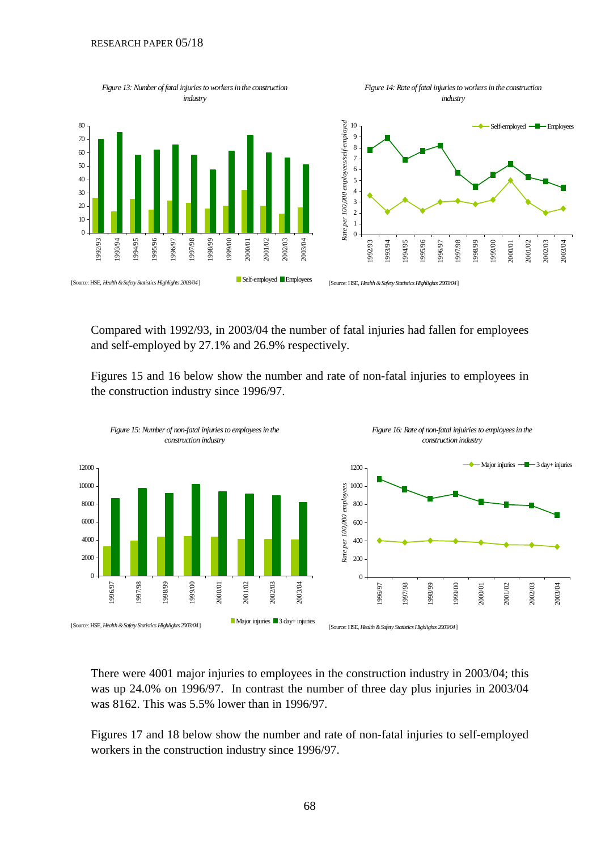#### RESEARCH PAPER 05/18



Compared with 1992/93, in 2003/04 the number of fatal injuries had fallen for employees and self-employed by 27.1% and 26.9% respectively.

Figures 15 and 16 below show the number and rate of non-fatal injuries to employees in the construction industry since 1996/97.



There were 4001 major injuries to employees in the construction industry in 2003/04; this was up 24.0% on 1996/97. In contrast the number of three day plus injuries in 2003/04 was 8162. This was 5.5% lower than in 1996/97.

Figures 17 and 18 below show the number and rate of non-fatal injuries to self-employed workers in the construction industry since 1996/97.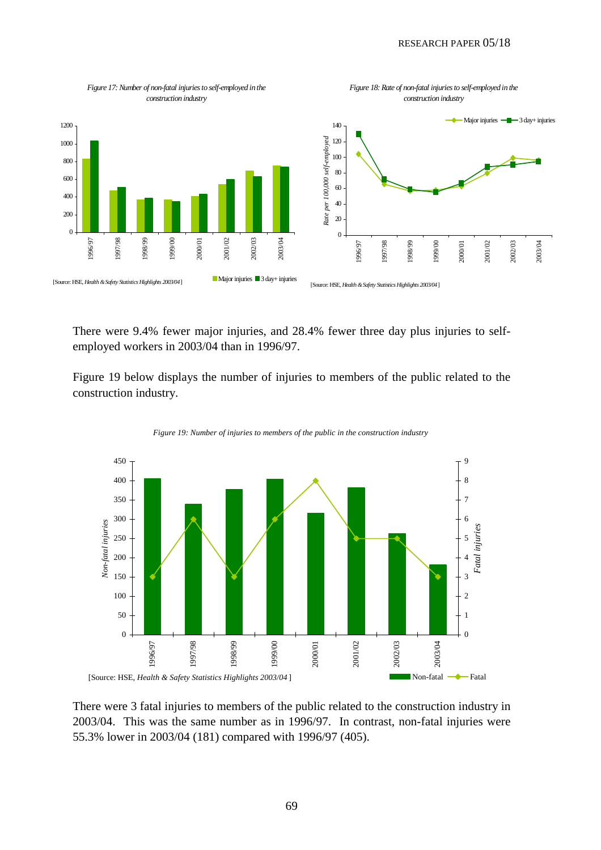

There were 9.4% fewer major injuries, and 28.4% fewer three day plus injuries to selfemployed workers in 2003/04 than in 1996/97.

Figure 19 below displays the number of injuries to members of the public related to the construction industry.





There were 3 fatal injuries to members of the public related to the construction industry in 2003/04. This was the same number as in 1996/97. In contrast, non-fatal injuries were 55.3% lower in 2003/04 (181) compared with 1996/97 (405).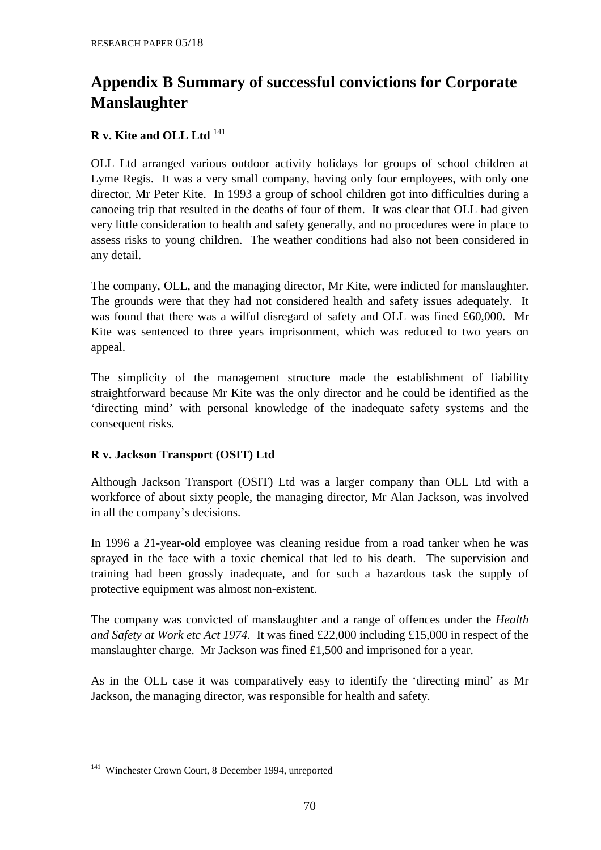# **Appendix B Summary of successful convictions for Corporate Manslaughter**

# **R v. Kite and OLL Ltd** 141

OLL Ltd arranged various outdoor activity holidays for groups of school children at Lyme Regis. It was a very small company, having only four employees, with only one director, Mr Peter Kite. In 1993 a group of school children got into difficulties during a canoeing trip that resulted in the deaths of four of them. It was clear that OLL had given very little consideration to health and safety generally, and no procedures were in place to assess risks to young children. The weather conditions had also not been considered in any detail.

The company, OLL, and the managing director, Mr Kite, were indicted for manslaughter. The grounds were that they had not considered health and safety issues adequately. It was found that there was a wilful disregard of safety and OLL was fined £60,000. Mr Kite was sentenced to three years imprisonment, which was reduced to two years on appeal.

The simplicity of the management structure made the establishment of liability straightforward because Mr Kite was the only director and he could be identified as the 'directing mind' with personal knowledge of the inadequate safety systems and the consequent risks.

# **R v. Jackson Transport (OSIT) Ltd**

Although Jackson Transport (OSIT) Ltd was a larger company than OLL Ltd with a workforce of about sixty people, the managing director, Mr Alan Jackson, was involved in all the company's decisions.

In 1996 a 21-year-old employee was cleaning residue from a road tanker when he was sprayed in the face with a toxic chemical that led to his death. The supervision and training had been grossly inadequate, and for such a hazardous task the supply of protective equipment was almost non-existent.

The company was convicted of manslaughter and a range of offences under the *Health and Safety at Work etc Act 1974.* It was fined £22,000 including £15,000 in respect of the manslaughter charge. Mr Jackson was fined £1,500 and imprisoned for a year.

As in the OLL case it was comparatively easy to identify the 'directing mind' as Mr Jackson, the managing director, was responsible for health and safety.

<sup>141</sup> Winchester Crown Court, 8 December 1994, unreported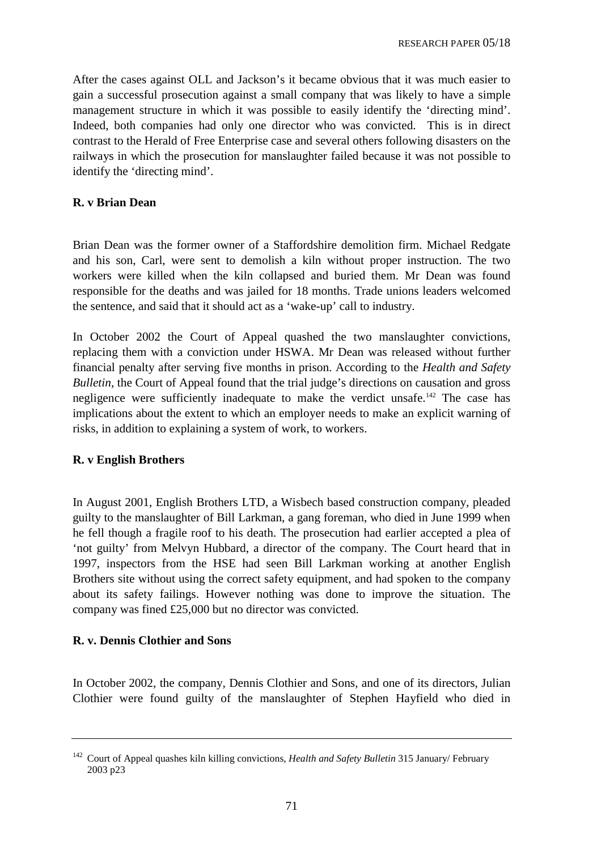After the cases against OLL and Jackson's it became obvious that it was much easier to gain a successful prosecution against a small company that was likely to have a simple management structure in which it was possible to easily identify the 'directing mind'. Indeed, both companies had only one director who was convicted. This is in direct contrast to the Herald of Free Enterprise case and several others following disasters on the railways in which the prosecution for manslaughter failed because it was not possible to identify the 'directing mind'.

### **R. v Brian Dean**

Brian Dean was the former owner of a Staffordshire demolition firm. Michael Redgate and his son, Carl, were sent to demolish a kiln without proper instruction. The two workers were killed when the kiln collapsed and buried them. Mr Dean was found responsible for the deaths and was jailed for 18 months. Trade unions leaders welcomed the sentence, and said that it should act as a 'wake-up' call to industry.

In October 2002 the Court of Appeal quashed the two manslaughter convictions, replacing them with a conviction under HSWA. Mr Dean was released without further financial penalty after serving five months in prison. According to the *Health and Safety Bulletin*, the Court of Appeal found that the trial judge's directions on causation and gross negligence were sufficiently inadequate to make the verdict unsafe.<sup>142</sup> The case has implications about the extent to which an employer needs to make an explicit warning of risks, in addition to explaining a system of work, to workers.

#### **R. v English Brothers**

In August 2001, English Brothers LTD, a Wisbech based construction company, pleaded guilty to the manslaughter of Bill Larkman, a gang foreman, who died in June 1999 when he fell though a fragile roof to his death. The prosecution had earlier accepted a plea of 'not guilty' from Melvyn Hubbard, a director of the company. The Court heard that in 1997, inspectors from the HSE had seen Bill Larkman working at another English Brothers site without using the correct safety equipment, and had spoken to the company about its safety failings. However nothing was done to improve the situation. The company was fined £25,000 but no director was convicted.

#### **R. v. Dennis Clothier and Sons**

In October 2002, the company, Dennis Clothier and Sons, and one of its directors, Julian Clothier were found guilty of the manslaughter of Stephen Hayfield who died in

<sup>142</sup> Court of Appeal quashes kiln killing convictions, *Health and Safety Bulletin* 315 January/ February 2003 p23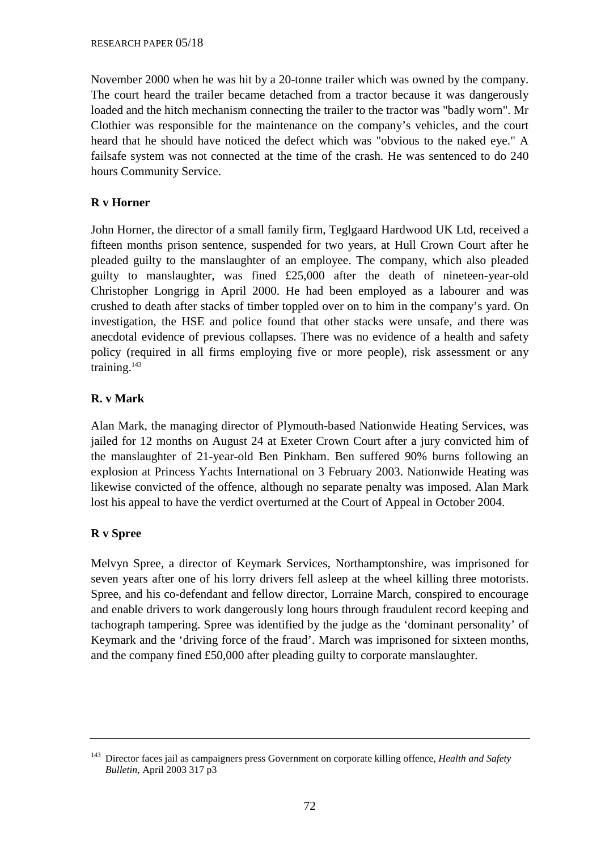November 2000 when he was hit by a 20-tonne trailer which was owned by the company. The court heard the trailer became detached from a tractor because it was dangerously loaded and the hitch mechanism connecting the trailer to the tractor was "badly worn". Mr Clothier was responsible for the maintenance on the company's vehicles, and the court heard that he should have noticed the defect which was "obvious to the naked eye." A failsafe system was not connected at the time of the crash. He was sentenced to do 240 hours Community Service.

# **R v Horner**

John Horner, the director of a small family firm, Teglgaard Hardwood UK Ltd, received a fifteen months prison sentence, suspended for two years, at Hull Crown Court after he pleaded guilty to the manslaughter of an employee. The company, which also pleaded guilty to manslaughter, was fined £25,000 after the death of nineteen-year-old Christopher Longrigg in April 2000. He had been employed as a labourer and was crushed to death after stacks of timber toppled over on to him in the company's yard. On investigation, the HSE and police found that other stacks were unsafe, and there was anecdotal evidence of previous collapses. There was no evidence of a health and safety policy (required in all firms employing five or more people), risk assessment or any training.<sup>143</sup>

# **R. v Mark**

Alan Mark, the managing director of Plymouth-based Nationwide Heating Services, was jailed for 12 months on August 24 at Exeter Crown Court after a jury convicted him of the manslaughter of 21-year-old Ben Pinkham. Ben suffered 90% burns following an explosion at Princess Yachts International on 3 February 2003. Nationwide Heating was likewise convicted of the offence, although no separate penalty was imposed. Alan Mark lost his appeal to have the verdict overturned at the Court of Appeal in October 2004.

# **R v Spree**

Melvyn Spree, a director of Keymark Services, Northamptonshire, was imprisoned for seven years after one of his lorry drivers fell asleep at the wheel killing three motorists. Spree, and his co-defendant and fellow director, Lorraine March, conspired to encourage and enable drivers to work dangerously long hours through fraudulent record keeping and tachograph tampering. Spree was identified by the judge as the 'dominant personality' of Keymark and the 'driving force of the fraud'. March was imprisoned for sixteen months, and the company fined £50,000 after pleading guilty to corporate manslaughter.

<sup>143</sup> Director faces jail as campaigners press Government on corporate killing offence, *Health and Safety Bulletin*, April 2003 317 p3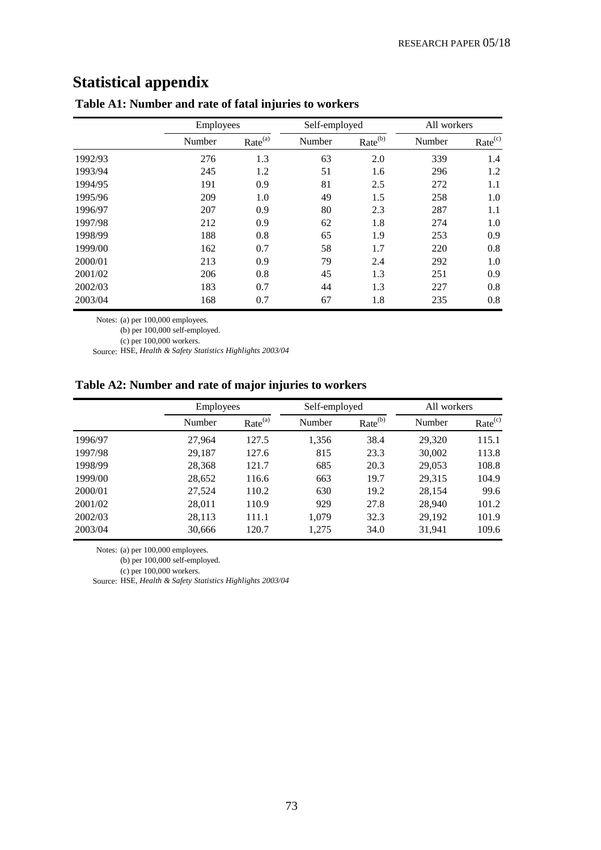## **Statistical appendix**

|         |        | Employees           |        | Self-employed       | All workers |                     |
|---------|--------|---------------------|--------|---------------------|-------------|---------------------|
|         | Number | Rate <sup>(a)</sup> | Number | Rate <sup>(b)</sup> | Number      | Rate <sup>(c)</sup> |
| 1992/93 | 276    | 1.3                 | 63     | 2.0                 | 339         | 1.4                 |
| 1993/94 | 245    | 1.2                 | 51     | 1.6                 | 296         | 1.2                 |
| 1994/95 | 191    | 0.9                 | 81     | 2.5                 | 272         | 1.1                 |
| 1995/96 | 209    | 1.0                 | 49     | 1.5                 | 258         | 1.0                 |
| 1996/97 | 207    | 0.9                 | 80     | 2.3                 | 287         | 1.1                 |
| 1997/98 | 212    | 0.9                 | 62     | 1.8                 | 274         | 1.0                 |
| 1998/99 | 188    | 0.8                 | 65     | 1.9                 | 253         | 0.9                 |
| 1999/00 | 162    | 0.7                 | 58     | 1.7                 | 220         | 0.8                 |
| 2000/01 | 213    | 0.9                 | 79     | 2.4                 | 292         | 1.0                 |
| 2001/02 | 206    | 0.8                 | 45     | 1.3                 | 251         | 0.9                 |
| 2002/03 | 183    | 0.7                 | 44     | 1.3                 | 227         | 0.8                 |
| 2003/04 | 168    | 0.7                 | 67     | 1.8                 | 235         | 0.8                 |

## **Table A1: Number and rate of fatal injuries to workers**

Notes: (a) per 100,000 employees.

(b) per 100,000 self-employed.

(c) per 100,000 workers.

Source: HSE*, Health & Safety Statistics Highlights 2003/04*

## **Table A2: Number and rate of major injuries to workers**

|         | <b>Employees</b> |                     | Self-employed |                     | All workers |                     |
|---------|------------------|---------------------|---------------|---------------------|-------------|---------------------|
|         | Number           | Rate <sup>(a)</sup> | Number        | Rate <sup>(b)</sup> | Number      | Rate <sup>(c)</sup> |
| 1996/97 | 27.964           | 127.5               | 1,356         | 38.4                | 29.320      | 115.1               |
| 1997/98 | 29,187           | 127.6               | 815           | 23.3                | 30,002      | 113.8               |
| 1998/99 | 28,368           | 121.7               | 685           | 20.3                | 29,053      | 108.8               |
| 1999/00 | 28,652           | 116.6               | 663           | 19.7                | 29.315      | 104.9               |
| 2000/01 | 27,524           | 110.2               | 630           | 19.2                | 28,154      | 99.6                |
| 2001/02 | 28,011           | 110.9               | 929           | 27.8                | 28,940      | 101.2               |
| 2002/03 | 28,113           | 111.1               | 1,079         | 32.3                | 29,192      | 101.9               |
| 2003/04 | 30,666           | 120.7               | 1,275         | 34.0                | 31,941      | 109.6               |

Notes: (a) per 100,000 employees.

 $(b)$  per 100,000 self-employed.

(c) per 100,000 workers.

Source: HSE*, Health & Safety Statistics Highlights 2003/04*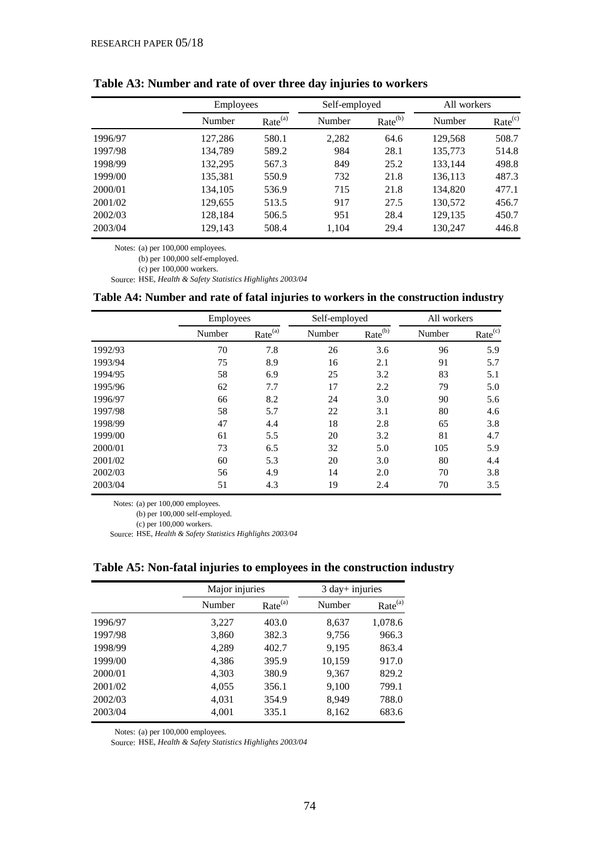|         | <b>Employees</b> |                     |        | Self-employed<br>All workers |         |                     |
|---------|------------------|---------------------|--------|------------------------------|---------|---------------------|
|         | Number           | Rate <sup>(a)</sup> | Number | Rate <sup>(b)</sup>          | Number  | Rate <sup>(c)</sup> |
| 1996/97 | 127,286          | 580.1               | 2,282  | 64.6                         | 129,568 | 508.7               |
| 1997/98 | 134,789          | 589.2               | 984    | 28.1                         | 135,773 | 514.8               |
| 1998/99 | 132,295          | 567.3               | 849    | 25.2                         | 133,144 | 498.8               |
| 1999/00 | 135,381          | 550.9               | 732    | 21.8                         | 136,113 | 487.3               |
| 2000/01 | 134,105          | 536.9               | 715    | 21.8                         | 134,820 | 477.1               |
| 2001/02 | 129,655          | 513.5               | 917    | 27.5                         | 130,572 | 456.7               |
| 2002/03 | 128,184          | 506.5               | 951    | 28.4                         | 129,135 | 450.7               |
| 2003/04 | 129,143          | 508.4               | 1.104  | 29.4                         | 130,247 | 446.8               |

**Table A3: Number and rate of over three day injuries to workers**

Notes: (a) per 100,000 employees.

(b) per 100,000 self-employed.

(c) per 100,000 workers.

Source: HSE*, Health & Safety Statistics Highlights 2003/04*

## **Table A4: Number and rate of fatal injuries to workers in the construction industry**

|         | Employees |                     | Self-employed |                     | All workers |                     |
|---------|-----------|---------------------|---------------|---------------------|-------------|---------------------|
|         | Number    | Rate <sup>(a)</sup> | Number        | Rate <sup>(b)</sup> | Number      | Rate <sup>(c)</sup> |
| 1992/93 | 70        | 7.8                 | 26            | 3.6                 | 96          | 5.9                 |
| 1993/94 | 75        | 8.9                 | 16            | 2.1                 | 91          | 5.7                 |
| 1994/95 | 58        | 6.9                 | 25            | 3.2                 | 83          | 5.1                 |
| 1995/96 | 62        | 7.7                 | 17            | 2.2                 | 79          | 5.0                 |
| 1996/97 | 66        | 8.2                 | 24            | 3.0                 | 90          | 5.6                 |
| 1997/98 | 58        | 5.7                 | 22            | 3.1                 | 80          | 4.6                 |
| 1998/99 | 47        | 4.4                 | 18            | 2.8                 | 65          | 3.8                 |
| 1999/00 | 61        | 5.5                 | 20            | 3.2                 | 81          | 4.7                 |
| 2000/01 | 73        | 6.5                 | 32            | 5.0                 | 105         | 5.9                 |
| 2001/02 | 60        | 5.3                 | 20            | 3.0                 | 80          | 4.4                 |
| 2002/03 | 56        | 4.9                 | 14            | 2.0                 | 70          | 3.8                 |
| 2003/04 | 51        | 4.3                 | 19            | 2.4                 | 70          | 3.5                 |

Notes: (a) per 100,000 employees.

(b) per 100,000 self-employed.

(c) per 100,000 workers.

Source: HSE*, Health & Safety Statistics Highlights 2003/04*

|         | Major injuries |                     | $3$ day+ injuries |                     |
|---------|----------------|---------------------|-------------------|---------------------|
|         | Number         | Rate <sup>(a)</sup> | Number            | Rate <sup>(a)</sup> |
| 1996/97 | 3,227          | 403.0               | 8,637             | 1,078.6             |
| 1997/98 | 3,860          | 382.3               | 9,756             | 966.3               |
| 1998/99 | 4,289          | 402.7               | 9,195             | 863.4               |
| 1999/00 | 4,386          | 395.9               | 10,159            | 917.0               |
| 2000/01 | 4,303          | 380.9               | 9,367             | 829.2               |
| 2001/02 | 4,055          | 356.1               | 9,100             | 799.1               |
| 2002/03 | 4,031          | 354.9               | 8,949             | 788.0               |
| 2003/04 | 4,001          | 335.1               | 8,162             | 683.6               |

**Table A5: Non-fatal injuries to employees in the construction industry**

Notes: (a) per 100,000 employees.

Source: HSE*, Health & Safety Statistics Highlights 2003/04*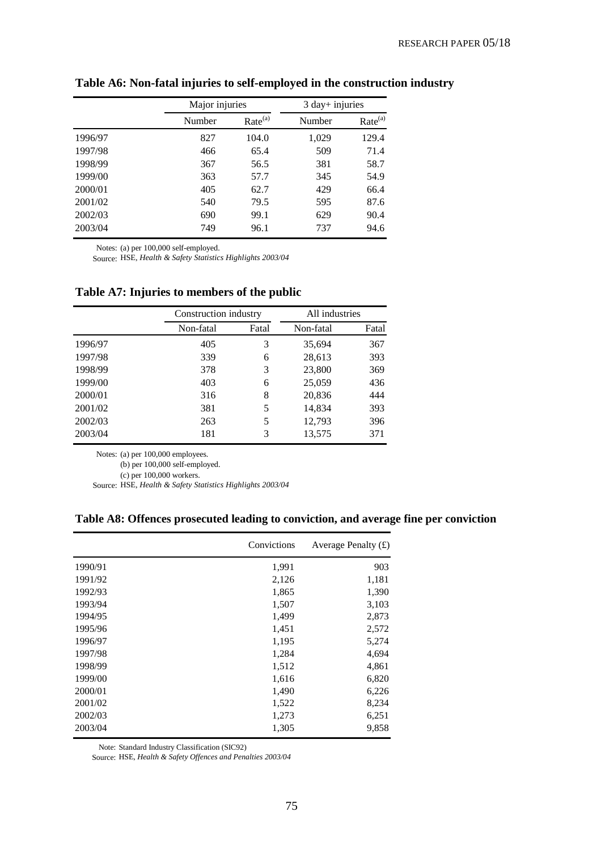|         | Major injuries |                     | 3 day+ injuries |                     |  |
|---------|----------------|---------------------|-----------------|---------------------|--|
|         | Number         | Rate <sup>(a)</sup> | Number          | Rate <sup>(a)</sup> |  |
| 1996/97 | 827            | 104.0               | 1,029           | 129.4               |  |
| 1997/98 | 466            | 65.4                | 509             | 71.4                |  |
| 1998/99 | 367            | 56.5                | 381             | 58.7                |  |
| 1999/00 | 363            | 57.7                | 345             | 54.9                |  |
| 2000/01 | 405            | 62.7                | 429             | 66.4                |  |
| 2001/02 | 540            | 79.5                | 595             | 87.6                |  |
| 2002/03 | 690            | 99.1                | 629             | 90.4                |  |
| 2003/04 | 749            | 96.1                | 737             | 94.6                |  |

**Table A6: Non-fatal injuries to self-employed in the construction industry**

Notes: (a) per 100,000 self-employed.

Source: HSE*, Health & Safety Statistics Highlights 2003/04*

|         | Construction industry |       | All industries |       |  |
|---------|-----------------------|-------|----------------|-------|--|
|         | Non-fatal             | Fatal | Non-fatal      | Fatal |  |
| 1996/97 | 405                   | 3     | 35,694         | 367   |  |
| 1997/98 | 339                   | 6     | 28,613         | 393   |  |
| 1998/99 | 378                   | 3     | 23,800         | 369   |  |
| 1999/00 | 403                   | 6     | 25,059         | 436   |  |
| 2000/01 | 316                   | 8     | 20,836         | 444   |  |
| 2001/02 | 381                   | 5     | 14,834         | 393   |  |
| 2002/03 | 263                   | 5     | 12,793         | 396   |  |
| 2003/04 | 181                   | 3     | 13,575         | 371   |  |

**Table A7: Injuries to members of the public**

Notes: (a) per 100,000 employees.

(b) per 100,000 self-employed.

(c) per 100,000 workers.

Source: HSE*, Health & Safety Statistics Highlights 2003/04*

**Table A8: Offences prosecuted leading to conviction, and average fine per conviction**

|         | Convictions | Average Penalty $(f)$ |
|---------|-------------|-----------------------|
| 1990/91 | 1,991       | 903                   |
| 1991/92 | 2,126       | 1,181                 |
| 1992/93 | 1,865       | 1,390                 |
| 1993/94 | 1,507       | 3,103                 |
| 1994/95 | 1,499       | 2,873                 |
| 1995/96 | 1,451       | 2,572                 |
| 1996/97 | 1,195       | 5,274                 |
| 1997/98 | 1,284       | 4,694                 |
| 1998/99 | 1,512       | 4,861                 |
| 1999/00 | 1,616       | 6,820                 |
| 2000/01 | 1,490       | 6,226                 |
| 2001/02 | 1,522       | 8,234                 |
| 2002/03 | 1,273       | 6,251                 |
| 2003/04 | 1,305       | 9,858                 |

Note: Standard Industry Classification (SIC92)

Source: HSE, *Health & Safety Offences and Penalties 2003/04*